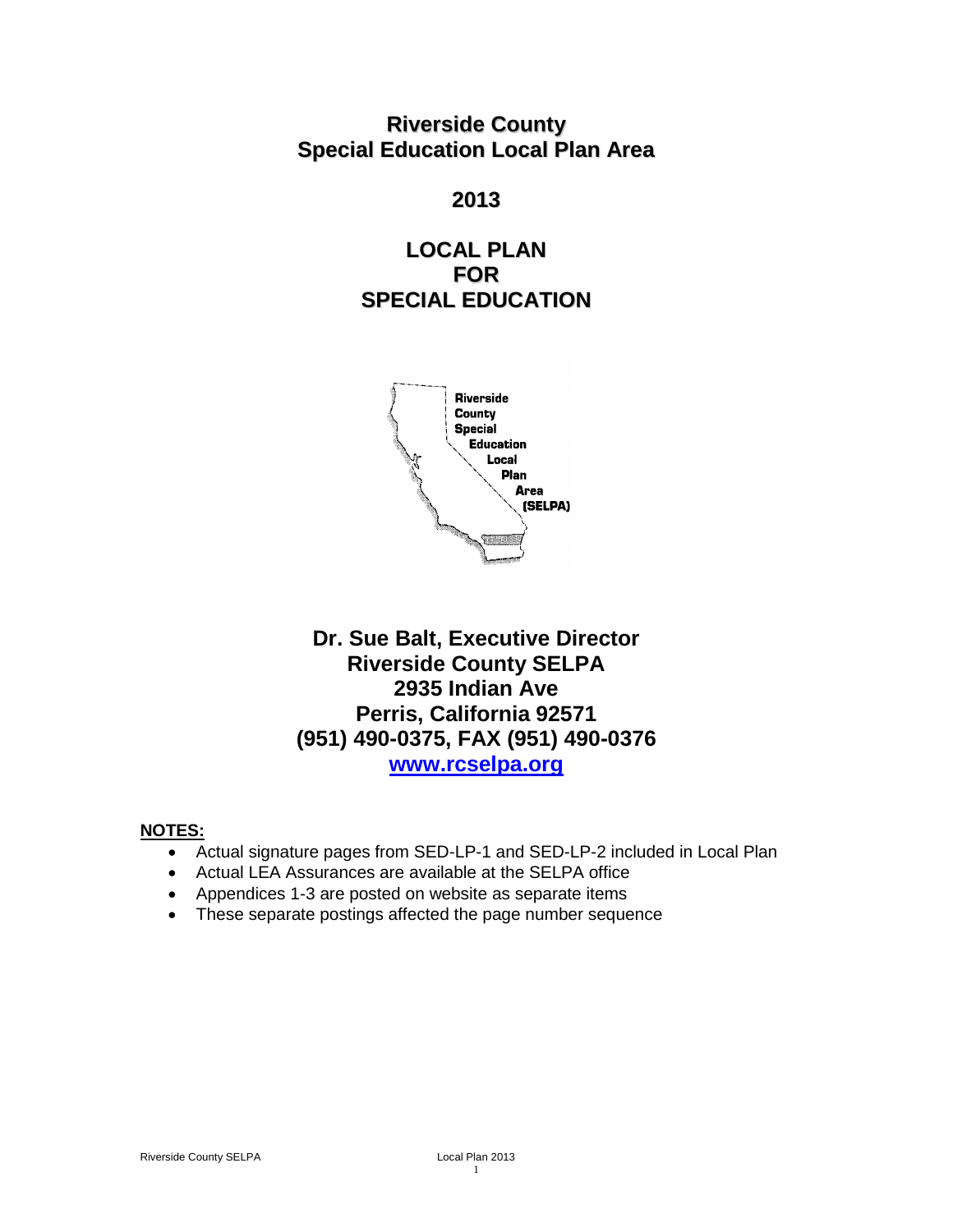**Riverside County Special Education Local Plan Area**

## **2013**

# **LOCAL PLAN FOR SPECIAL EDUCATION**



# **Dr. Sue Balt, Executive Director Riverside County SELPA 2935 Indian Ave Perris, California 92571 (951) 490-0375, FAX (951) 490-0376 [www.rcselpa.org](http://www.rcselpa.org/)**

### **NOTES:**

- Actual signature pages from SED-LP-1 and SED-LP-2 included in Local Plan
- Actual LEA Assurances are available at the SELPA office
- Appendices 1-3 are posted on website as separate items
- These separate postings affected the page number sequence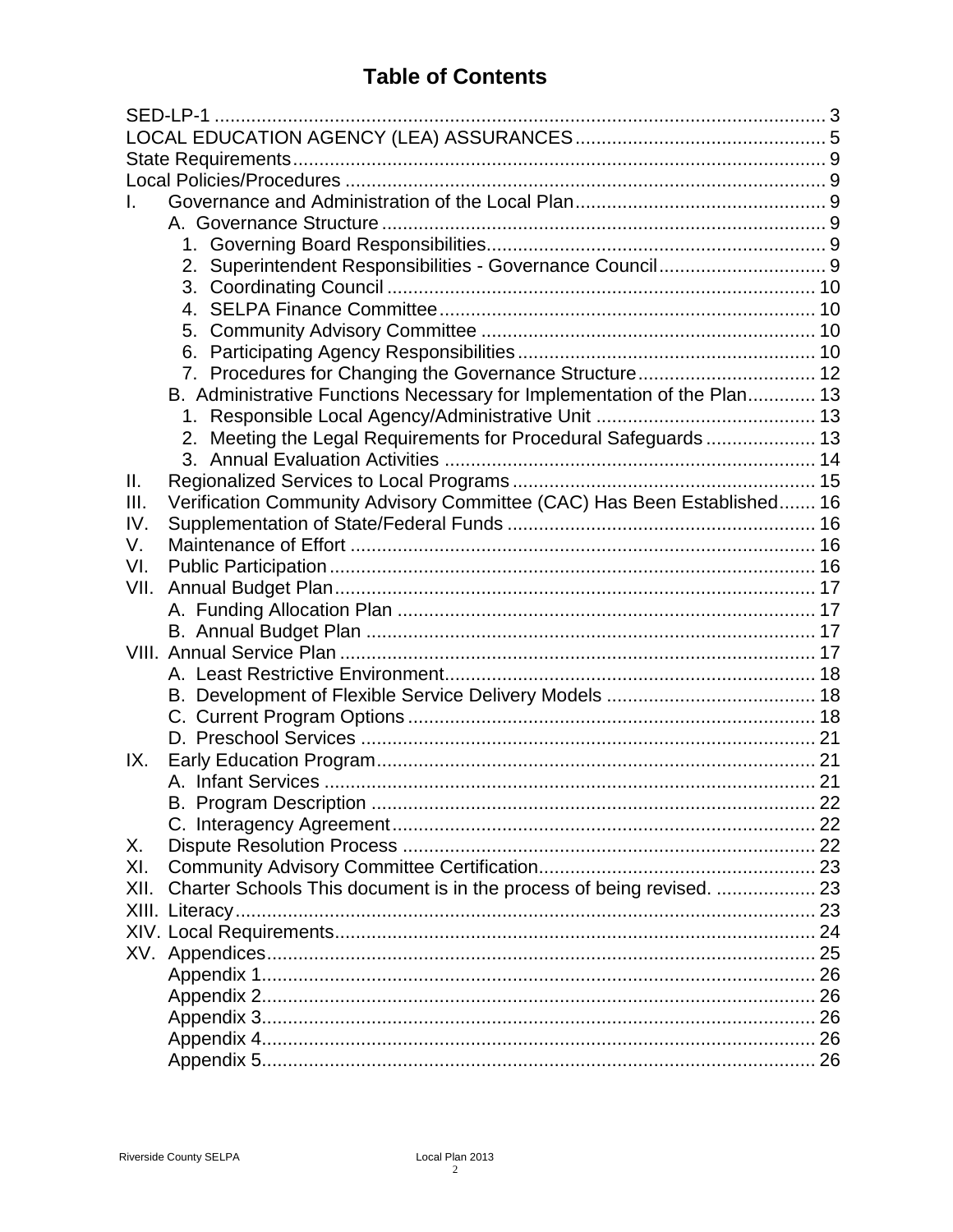# **Table of Contents**

|      | 2.                                                                      |  |  |
|------|-------------------------------------------------------------------------|--|--|
|      |                                                                         |  |  |
|      |                                                                         |  |  |
|      |                                                                         |  |  |
|      |                                                                         |  |  |
|      |                                                                         |  |  |
|      | B. Administrative Functions Necessary for Implementation of the Plan 13 |  |  |
|      |                                                                         |  |  |
|      | 2. Meeting the Legal Requirements for Procedural Safeguards  13         |  |  |
|      |                                                                         |  |  |
| Ш.   |                                                                         |  |  |
| III. | Verification Community Advisory Committee (CAC) Has Been Established 16 |  |  |
| IV.  |                                                                         |  |  |
| V.   |                                                                         |  |  |
| VI.  |                                                                         |  |  |
| VII. |                                                                         |  |  |
|      |                                                                         |  |  |
|      |                                                                         |  |  |
|      |                                                                         |  |  |
|      |                                                                         |  |  |
|      |                                                                         |  |  |
|      |                                                                         |  |  |
|      |                                                                         |  |  |
| IX.  |                                                                         |  |  |
|      |                                                                         |  |  |
|      |                                                                         |  |  |
|      |                                                                         |  |  |
| Х.   |                                                                         |  |  |
| XI.  |                                                                         |  |  |
| XII. | Charter Schools This document is in the process of being revised.  23   |  |  |
|      |                                                                         |  |  |
|      |                                                                         |  |  |
|      |                                                                         |  |  |
|      |                                                                         |  |  |
|      |                                                                         |  |  |
|      |                                                                         |  |  |
|      |                                                                         |  |  |
|      |                                                                         |  |  |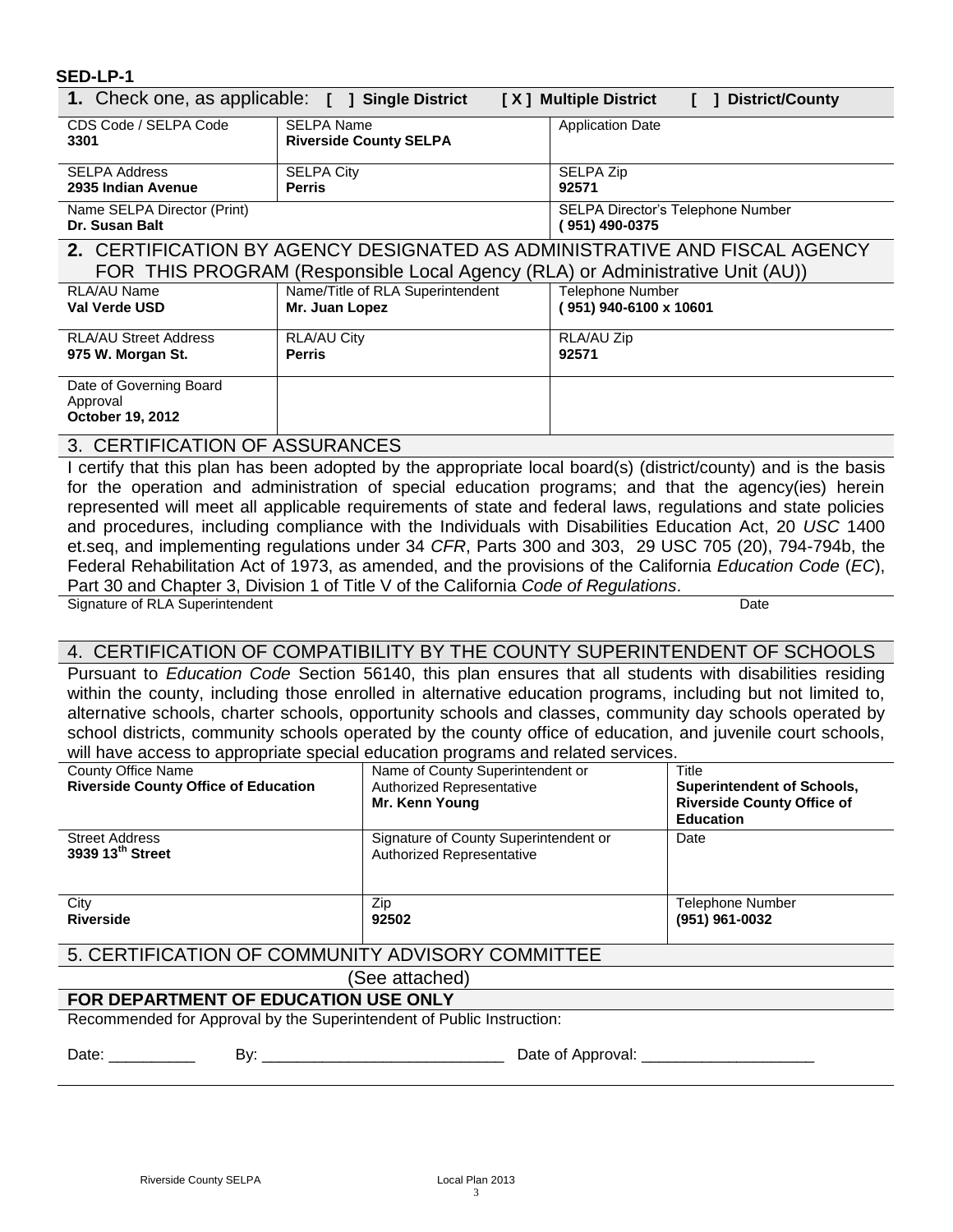#### <span id="page-2-0"></span>**SED-LP-1**

| 1. Check one, as applicable: [ ] Single District<br>[X] Multiple District<br><b>District/County</b>                                                        |                                                    |                                                     |  |
|------------------------------------------------------------------------------------------------------------------------------------------------------------|----------------------------------------------------|-----------------------------------------------------|--|
| CDS Code / SELPA Code<br>3301                                                                                                                              | <b>SELPA Name</b><br><b>Riverside County SELPA</b> | <b>Application Date</b>                             |  |
| <b>SELPA Address</b><br>2935 Indian Avenue                                                                                                                 | <b>SELPA City</b><br><b>Perris</b>                 | SELPA Zip<br>92571                                  |  |
| Name SELPA Director (Print)<br>Dr. Susan Balt                                                                                                              |                                                    | SELPA Director's Telephone Number<br>(951) 490-0375 |  |
| 2. CERTIFICATION BY AGENCY DESIGNATED AS ADMINISTRATIVE AND FISCAL AGENCY<br>FOR THIS PROGRAM (Responsible Local Agency (RLA) or Administrative Unit (AU)) |                                                    |                                                     |  |
| RLA/AU Name<br>Val Verde USD                                                                                                                               | Name/Title of RLA Superintendent<br>Mr. Juan Lopez | <b>Telephone Number</b><br>951) 940-6100 x 10601    |  |
| <b>RLA/AU Street Address</b><br>975 W. Morgan St.                                                                                                          | RLA/AU City<br><b>Perris</b>                       | RLA/AU Zip<br>92571                                 |  |
| Date of Governing Board<br>Approval<br><b>October 19, 2012</b><br>--------------                                                                           |                                                    |                                                     |  |

### 3. CERTIFICATION OF ASSURANCES

I certify that this plan has been adopted by the appropriate local board(s) (district/county) and is the basis for the operation and administration of special education programs; and that the agency(ies) herein represented will meet all applicable requirements of state and federal laws, regulations and state policies and procedures, including compliance with the Individuals with Disabilities Education Act, 20 *USC* 1400 et.seq, and implementing regulations under 34 *CFR*, Parts 300 and 303, 29 USC 705 (20), 794-794b, the Federal Rehabilitation Act of 1973, as amended, and the provisions of the California *Education Code* (*EC*), Part 30 and Chapter 3, Division 1 of Title V of the California *Code of Regulations*.

Signature of RLA Superintendent **Date** 

### 4. CERTIFICATION OF COMPATIBILITY BY THE COUNTY SUPERINTENDENT OF SCHOOLS

Pursuant to *Education Code* Section 56140, this plan ensures that all students with disabilities residing within the county, including those enrolled in alternative education programs, including but not limited to, alternative schools, charter schools, opportunity schools and classes, community day schools operated by school districts, community schools operated by the county office of education, and juvenile court schools, will have access to appropriate special education programs and related services.

| <b>County Office Name</b><br><b>Riverside County Office of Education</b> | Name of County Superintendent or<br><b>Authorized Representative</b><br>Mr. Kenn Young | Title<br><b>Superintendent of Schools,</b><br><b>Riverside County Office of</b><br><b>Education</b> |  |
|--------------------------------------------------------------------------|----------------------------------------------------------------------------------------|-----------------------------------------------------------------------------------------------------|--|
| <b>Street Address</b><br>3939 13 <sup>th</sup> Street                    | Signature of County Superintendent or<br><b>Authorized Representative</b>              | Date                                                                                                |  |
| City<br><b>Riverside</b>                                                 | Zip<br>92502                                                                           | Telephone Number<br>(951) 961-0032                                                                  |  |
| 5. CERTIFICATION OF COMMUNITY ADVISORY COMMITTEE                         |                                                                                        |                                                                                                     |  |
| (See attached)                                                           |                                                                                        |                                                                                                     |  |
| FOR DEPARTMENT OF EDUCATION USE ONLY                                     |                                                                                        |                                                                                                     |  |
| Recommended for Approval by the Superintendent of Public Instruction:    |                                                                                        |                                                                                                     |  |
| Date: $\frac{1}{\sqrt{1-\frac{1}{2}}\cdot\frac{1}{2}}$                   | Date of Approval: ___                                                                  |                                                                                                     |  |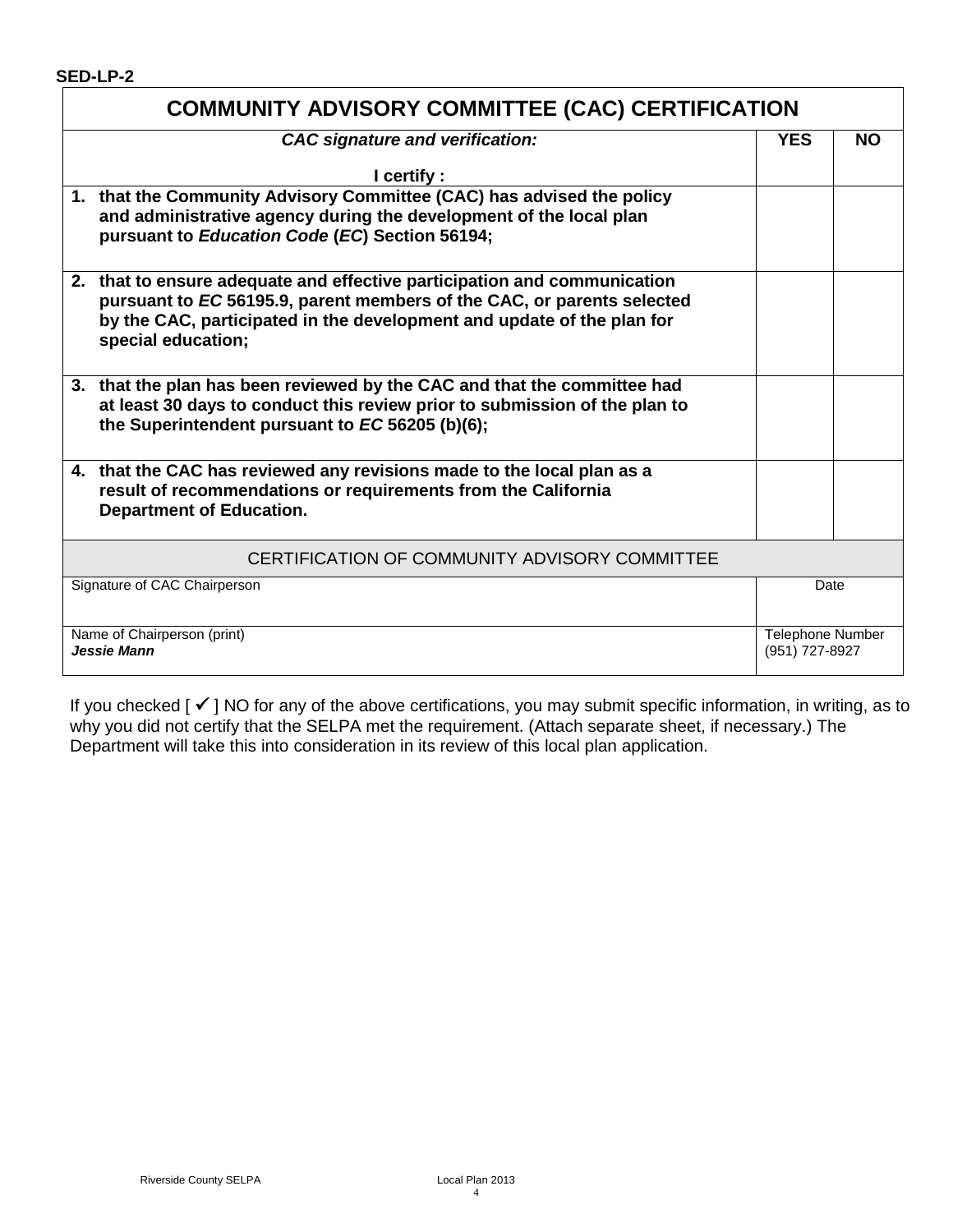#### **SED-LP-2**

| <b>COMMUNITY ADVISORY COMMITTEE (CAC) CERTIFICATION</b>                                                                                                                                                                                            |            |                                           |
|----------------------------------------------------------------------------------------------------------------------------------------------------------------------------------------------------------------------------------------------------|------------|-------------------------------------------|
| <b>CAC</b> signature and verification:                                                                                                                                                                                                             | <b>YES</b> | <b>NO</b>                                 |
| I certify :                                                                                                                                                                                                                                        |            |                                           |
| 1. that the Community Advisory Committee (CAC) has advised the policy<br>and administrative agency during the development of the local plan<br>pursuant to Education Code (EC) Section 56194;                                                      |            |                                           |
| 2. that to ensure adequate and effective participation and communication<br>pursuant to EC 56195.9, parent members of the CAC, or parents selected<br>by the CAC, participated in the development and update of the plan for<br>special education; |            |                                           |
| 3. that the plan has been reviewed by the CAC and that the committee had<br>at least 30 days to conduct this review prior to submission of the plan to<br>the Superintendent pursuant to EC 56205 (b)(6);                                          |            |                                           |
| 4. that the CAC has reviewed any revisions made to the local plan as a<br>result of recommendations or requirements from the California<br><b>Department of Education.</b>                                                                         |            |                                           |
| CERTIFICATION OF COMMUNITY ADVISORY COMMITTEE                                                                                                                                                                                                      |            |                                           |
| Signature of CAC Chairperson<br>Date                                                                                                                                                                                                               |            |                                           |
| Name of Chairperson (print)<br>Jessie Mann                                                                                                                                                                                                         |            | <b>Telephone Number</b><br>(951) 727-8927 |

If you checked  $[\checkmark]$  NO for any of the above certifications, you may submit specific information, in writing, as to why you did not certify that the SELPA met the requirement. (Attach separate sheet, if necessary.) The Department will take this into consideration in its review of this local plan application.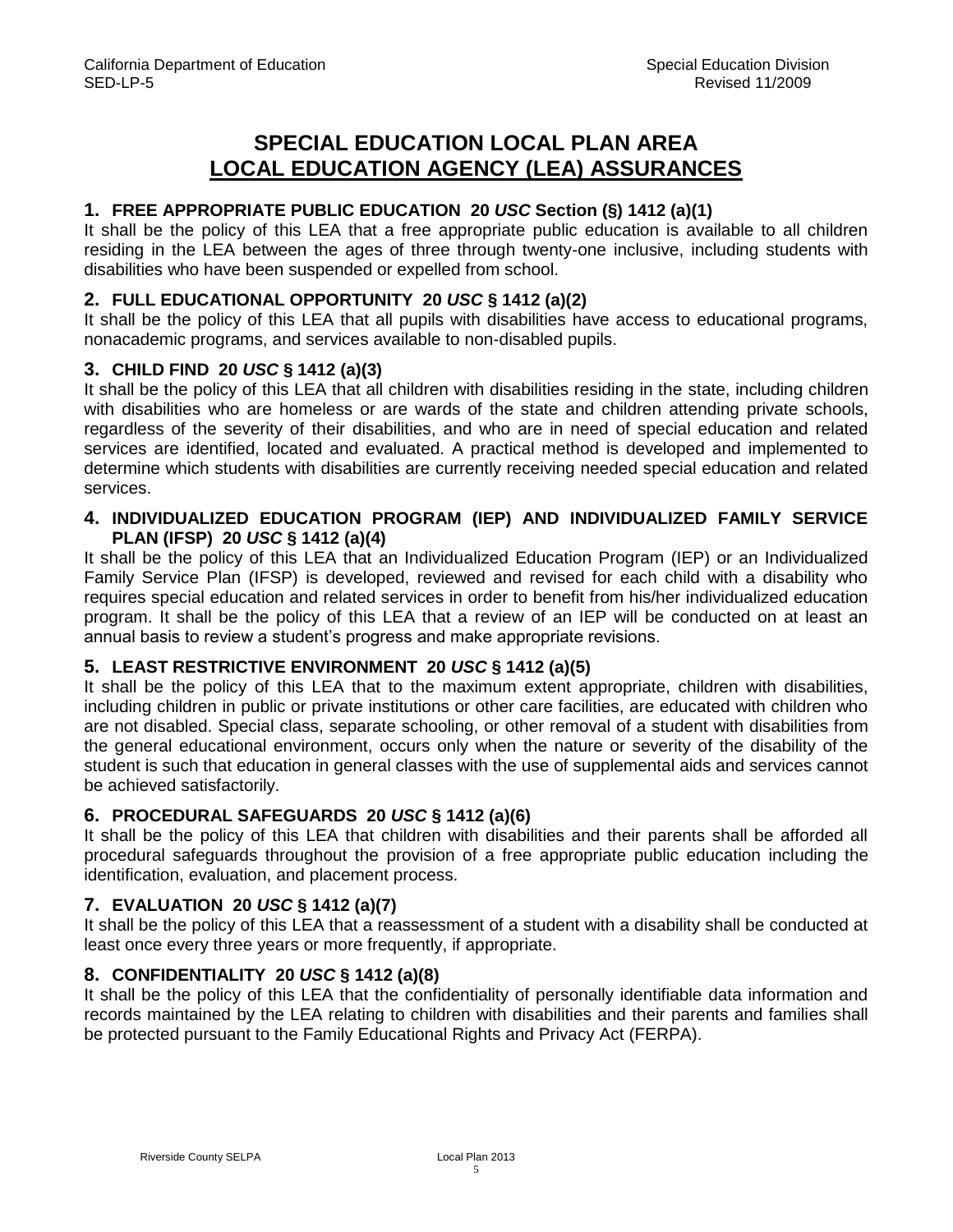# **SPECIAL EDUCATION LOCAL PLAN AREA LOCAL EDUCATION AGENCY (LEA) ASSURANCES**

### <span id="page-4-0"></span>**1. FREE APPROPRIATE PUBLIC EDUCATION 20** *USC* **Section (§) 1412 (a)(1)**

It shall be the policy of this LEA that a free appropriate public education is available to all children residing in the LEA between the ages of three through twenty-one inclusive, including students with disabilities who have been suspended or expelled from school.

### **2. FULL EDUCATIONAL OPPORTUNITY 20** *USC* **§ 1412 (a)(2)**

It shall be the policy of this LEA that all pupils with disabilities have access to educational programs, nonacademic programs, and services available to non-disabled pupils.

### **3. CHILD FIND 20** *USC* **§ 1412 (a)(3)**

It shall be the policy of this LEA that all children with disabilities residing in the state, including children with disabilities who are homeless or are wards of the state and children attending private schools, regardless of the severity of their disabilities, and who are in need of special education and related services are identified, located and evaluated. A practical method is developed and implemented to determine which students with disabilities are currently receiving needed special education and related services.

### **4. INDIVIDUALIZED EDUCATION PROGRAM (IEP) AND INDIVIDUALIZED FAMILY SERVICE PLAN (IFSP) 20** *USC* **§ 1412 (a)(4)**

It shall be the policy of this LEA that an Individualized Education Program (IEP) or an Individualized Family Service Plan (IFSP) is developed, reviewed and revised for each child with a disability who requires special education and related services in order to benefit from his/her individualized education program. It shall be the policy of this LEA that a review of an IEP will be conducted on at least an annual basis to review a student's progress and make appropriate revisions.

### **5. LEAST RESTRICTIVE ENVIRONMENT 20** *USC* **§ 1412 (a)(5)**

It shall be the policy of this LEA that to the maximum extent appropriate, children with disabilities, including children in public or private institutions or other care facilities, are educated with children who are not disabled. Special class, separate schooling, or other removal of a student with disabilities from the general educational environment, occurs only when the nature or severity of the disability of the student is such that education in general classes with the use of supplemental aids and services cannot be achieved satisfactorily.

### **6. PROCEDURAL SAFEGUARDS 20** *USC* **§ 1412 (a)(6)**

It shall be the policy of this LEA that children with disabilities and their parents shall be afforded all procedural safeguards throughout the provision of a free appropriate public education including the identification, evaluation, and placement process.

### **7. EVALUATION 20** *USC* **§ 1412 (a)(7)**

It shall be the policy of this LEA that a reassessment of a student with a disability shall be conducted at least once every three years or more frequently, if appropriate.

## **8. CONFIDENTIALITY 20** *USC* **§ 1412 (a)(8)**

It shall be the policy of this LEA that the confidentiality of personally identifiable data information and records maintained by the LEA relating to children with disabilities and their parents and families shall be protected pursuant to the Family Educational Rights and Privacy Act (FERPA).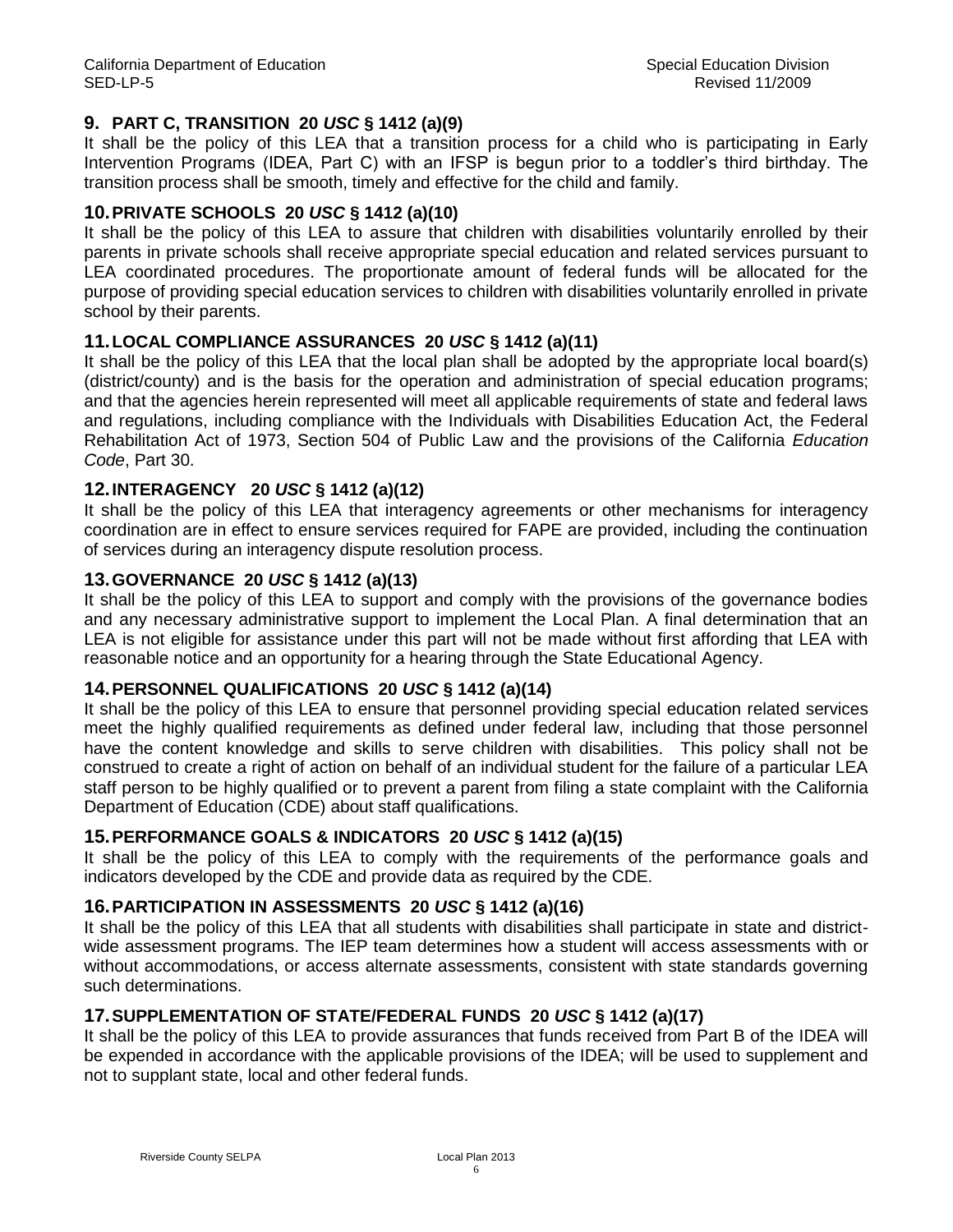### **9. PART C, TRANSITION 20** *USC* **§ 1412 (a)(9)**

It shall be the policy of this LEA that a transition process for a child who is participating in Early Intervention Programs (IDEA, Part C) with an IFSP is begun prior to a toddler's third birthday. The transition process shall be smooth, timely and effective for the child and family.

### **10.PRIVATE SCHOOLS 20** *USC* **§ 1412 (a)(10)**

It shall be the policy of this LEA to assure that children with disabilities voluntarily enrolled by their parents in private schools shall receive appropriate special education and related services pursuant to LEA coordinated procedures. The proportionate amount of federal funds will be allocated for the purpose of providing special education services to children with disabilities voluntarily enrolled in private school by their parents.

### **11.LOCAL COMPLIANCE ASSURANCES 20** *USC* **§ 1412 (a)(11)**

It shall be the policy of this LEA that the local plan shall be adopted by the appropriate local board(s) (district/county) and is the basis for the operation and administration of special education programs; and that the agencies herein represented will meet all applicable requirements of state and federal laws and regulations, including compliance with the Individuals with Disabilities Education Act, the Federal Rehabilitation Act of 1973, Section 504 of Public Law and the provisions of the California *Education Code*, Part 30.

### **12.INTERAGENCY 20** *USC* **§ 1412 (a)(12)**

It shall be the policy of this LEA that interagency agreements or other mechanisms for interagency coordination are in effect to ensure services required for FAPE are provided, including the continuation of services during an interagency dispute resolution process.

### **13.GOVERNANCE 20** *USC* **§ 1412 (a)(13)**

It shall be the policy of this LEA to support and comply with the provisions of the governance bodies and any necessary administrative support to implement the Local Plan. A final determination that an LEA is not eligible for assistance under this part will not be made without first affording that LEA with reasonable notice and an opportunity for a hearing through the State Educational Agency.

### **14.PERSONNEL QUALIFICATIONS 20** *USC* **§ 1412 (a)(14)**

It shall be the policy of this LEA to ensure that personnel providing special education related services meet the highly qualified requirements as defined under federal law, including that those personnel have the content knowledge and skills to serve children with disabilities. This policy shall not be construed to create a right of action on behalf of an individual student for the failure of a particular LEA staff person to be highly qualified or to prevent a parent from filing a state complaint with the California Department of Education (CDE) about staff qualifications.

### **15.PERFORMANCE GOALS & INDICATORS 20** *USC* **§ 1412 (a)(15)**

It shall be the policy of this LEA to comply with the requirements of the performance goals and indicators developed by the CDE and provide data as required by the CDE.

### **16.PARTICIPATION IN ASSESSMENTS 20** *USC* **§ 1412 (a)(16)**

It shall be the policy of this LEA that all students with disabilities shall participate in state and districtwide assessment programs. The IEP team determines how a student will access assessments with or without accommodations, or access alternate assessments, consistent with state standards governing such determinations.

### **17.SUPPLEMENTATION OF STATE/FEDERAL FUNDS 20** *USC* **§ 1412 (a)(17)**

It shall be the policy of this LEA to provide assurances that funds received from Part B of the IDEA will be expended in accordance with the applicable provisions of the IDEA; will be used to supplement and not to supplant state, local and other federal funds.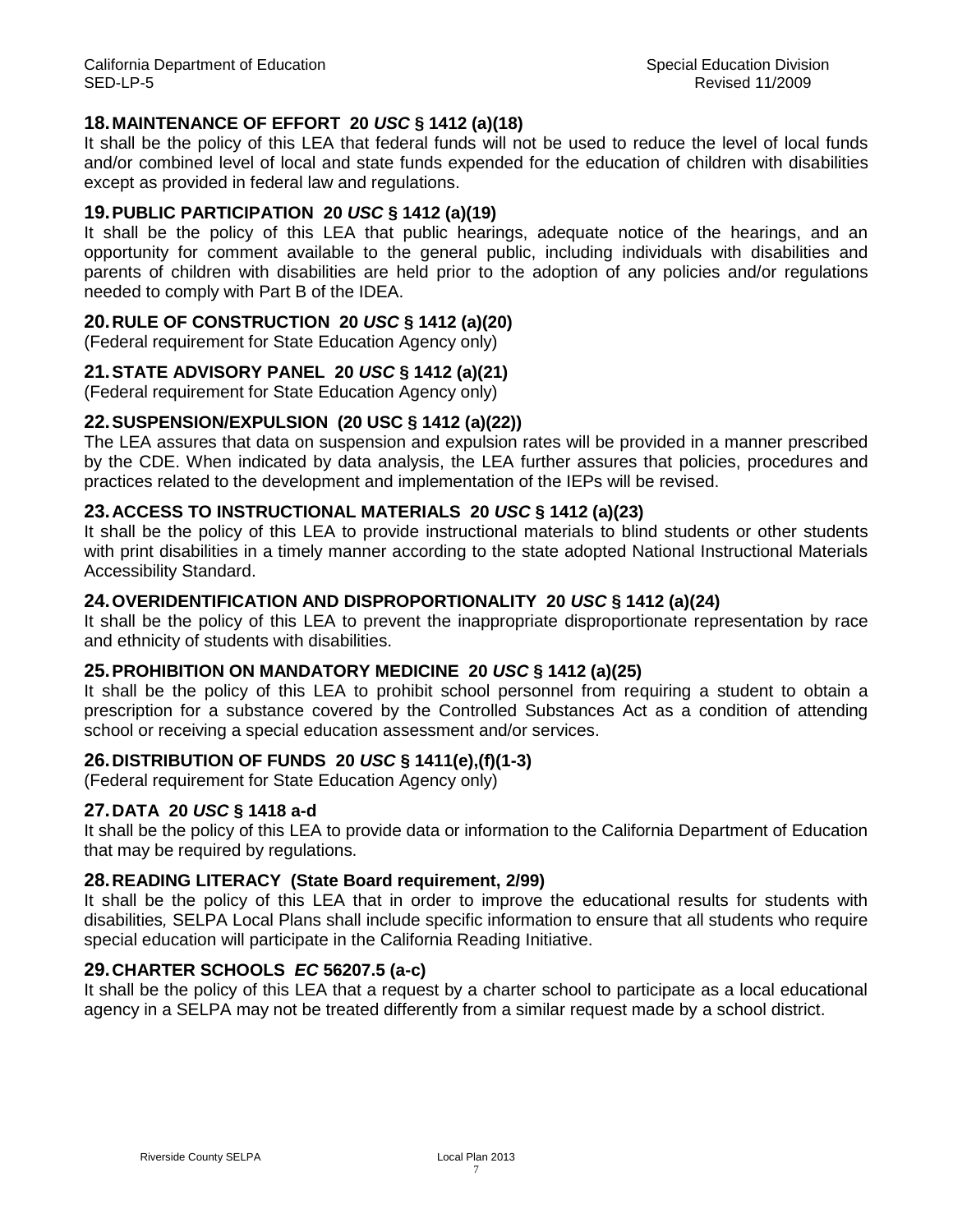### **18.MAINTENANCE OF EFFORT 20** *USC* **§ 1412 (a)(18)**

It shall be the policy of this LEA that federal funds will not be used to reduce the level of local funds and/or combined level of local and state funds expended for the education of children with disabilities except as provided in federal law and regulations.

### **19.PUBLIC PARTICIPATION 20** *USC* **§ 1412 (a)(19)**

It shall be the policy of this LEA that public hearings, adequate notice of the hearings, and an opportunity for comment available to the general public, including individuals with disabilities and parents of children with disabilities are held prior to the adoption of any policies and/or regulations needed to comply with Part B of the IDEA.

### **20.RULE OF CONSTRUCTION 20** *USC* **§ 1412 (a)(20)**

(Federal requirement for State Education Agency only)

### **21.STATE ADVISORY PANEL 20** *USC* **§ 1412 (a)(21)**

(Federal requirement for State Education Agency only)

### **22.SUSPENSION/EXPULSION (20 USC § 1412 (a)(22))**

The LEA assures that data on suspension and expulsion rates will be provided in a manner prescribed by the CDE. When indicated by data analysis, the LEA further assures that policies, procedures and practices related to the development and implementation of the IEPs will be revised.

### **23.ACCESS TO INSTRUCTIONAL MATERIALS 20** *USC* **§ 1412 (a)(23)**

It shall be the policy of this LEA to provide instructional materials to blind students or other students with print disabilities in a timely manner according to the state adopted National Instructional Materials Accessibility Standard.

### **24.OVERIDENTIFICATION AND DISPROPORTIONALITY 20** *USC* **§ 1412 (a)(24)**

It shall be the policy of this LEA to prevent the inappropriate disproportionate representation by race and ethnicity of students with disabilities.

### **25.PROHIBITION ON MANDATORY MEDICINE 20** *USC* **§ 1412 (a)(25)**

It shall be the policy of this LEA to prohibit school personnel from requiring a student to obtain a prescription for a substance covered by the Controlled Substances Act as a condition of attending school or receiving a special education assessment and/or services.

### **26.DISTRIBUTION OF FUNDS 20** *USC* **§ 1411(e),(f)(1-3)**

(Federal requirement for State Education Agency only)

### **27.DATA 20** *USC* **§ 1418 a-d**

It shall be the policy of this LEA to provide data or information to the California Department of Education that may be required by regulations.

### **28.READING LITERACY (State Board requirement, 2/99)**

It shall be the policy of this LEA that in order to improve the educational results for students with disabilities*,* SELPA Local Plans shall include specific information to ensure that all students who require special education will participate in the California Reading Initiative.

### **29.CHARTER SCHOOLS** *EC* **56207.5 (a-c)**

It shall be the policy of this LEA that a request by a charter school to participate as a local educational agency in a SELPA may not be treated differently from a similar request made by a school district.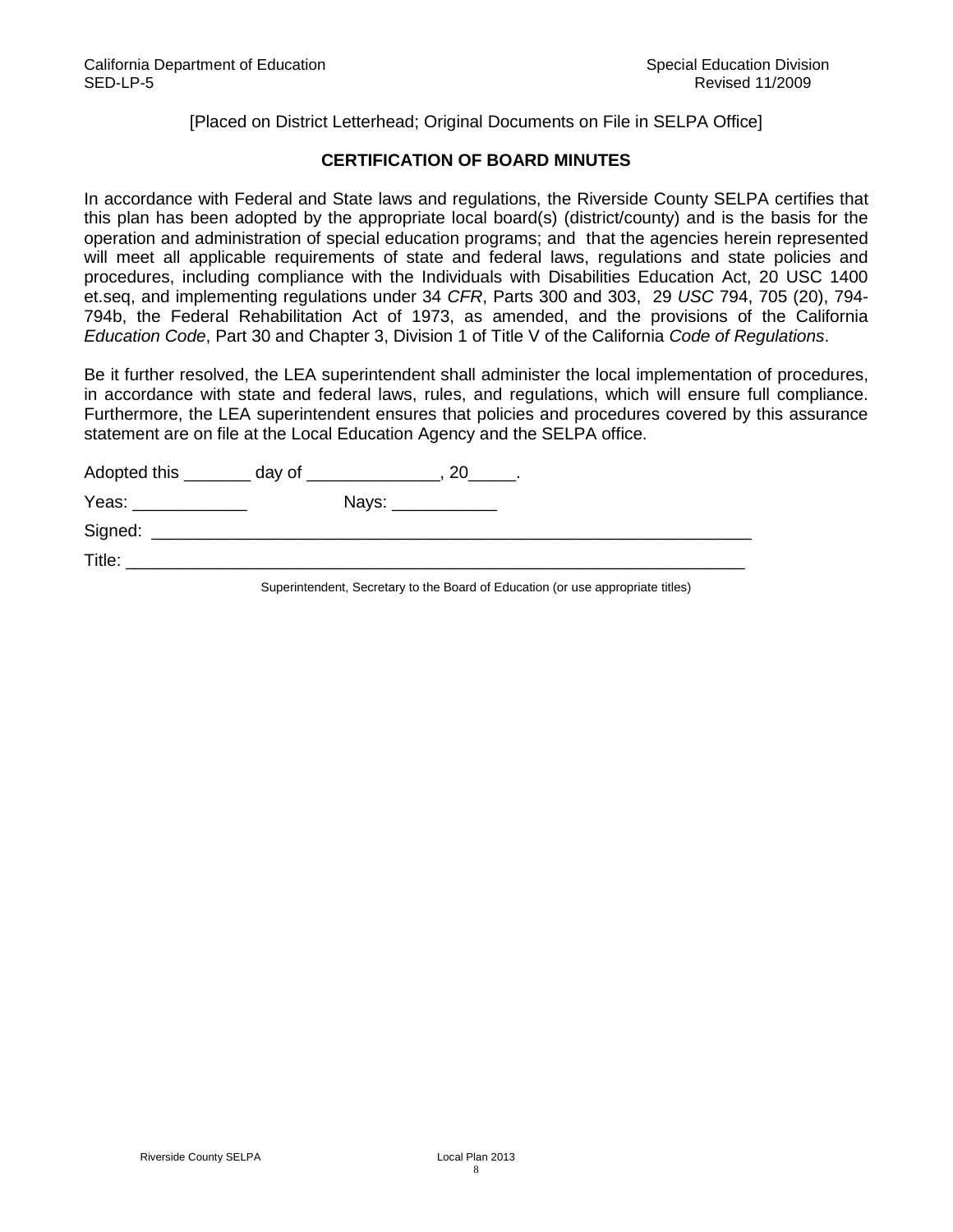[Placed on District Letterhead; Original Documents on File in SELPA Office]

### **CERTIFICATION OF BOARD MINUTES**

In accordance with Federal and State laws and regulations, the Riverside County SELPA certifies that this plan has been adopted by the appropriate local board(s) (district/county) and is the basis for the operation and administration of special education programs; and that the agencies herein represented will meet all applicable requirements of state and federal laws, regulations and state policies and procedures, including compliance with the Individuals with Disabilities Education Act, 20 USC 1400 et.seq, and implementing regulations under 34 *CFR*, Parts 300 and 303, 29 *USC* 794, 705 (20), 794- 794b, the Federal Rehabilitation Act of 1973, as amended, and the provisions of the California *Education Code*, Part 30 and Chapter 3, Division 1 of Title V of the California *Code of Regulations*.

Be it further resolved, the LEA superintendent shall administer the local implementation of procedures, in accordance with state and federal laws, rules, and regulations, which will ensure full compliance. Furthermore, the LEA superintendent ensures that policies and procedures covered by this assurance statement are on file at the Local Education Agency and the SELPA office.

| Adopted this                                                                                                                                                                                                                   | day of $\_\_$                                                       |  |
|--------------------------------------------------------------------------------------------------------------------------------------------------------------------------------------------------------------------------------|---------------------------------------------------------------------|--|
| Yeas: The Contract of the Contract of the Contract of the Contract of the Contract of the Contract of the Contract of the Contract of the Contract of the Contract of the Contract of the Contract of the Contract of the Cont | Nays: ____________                                                  |  |
| Signed:                                                                                                                                                                                                                        | <u> 1989 - Andrea Stadt Britain, amerikansk politiker (d. 1989)</u> |  |
| Title:                                                                                                                                                                                                                         |                                                                     |  |

Superintendent, Secretary to the Board of Education (or use appropriate titles)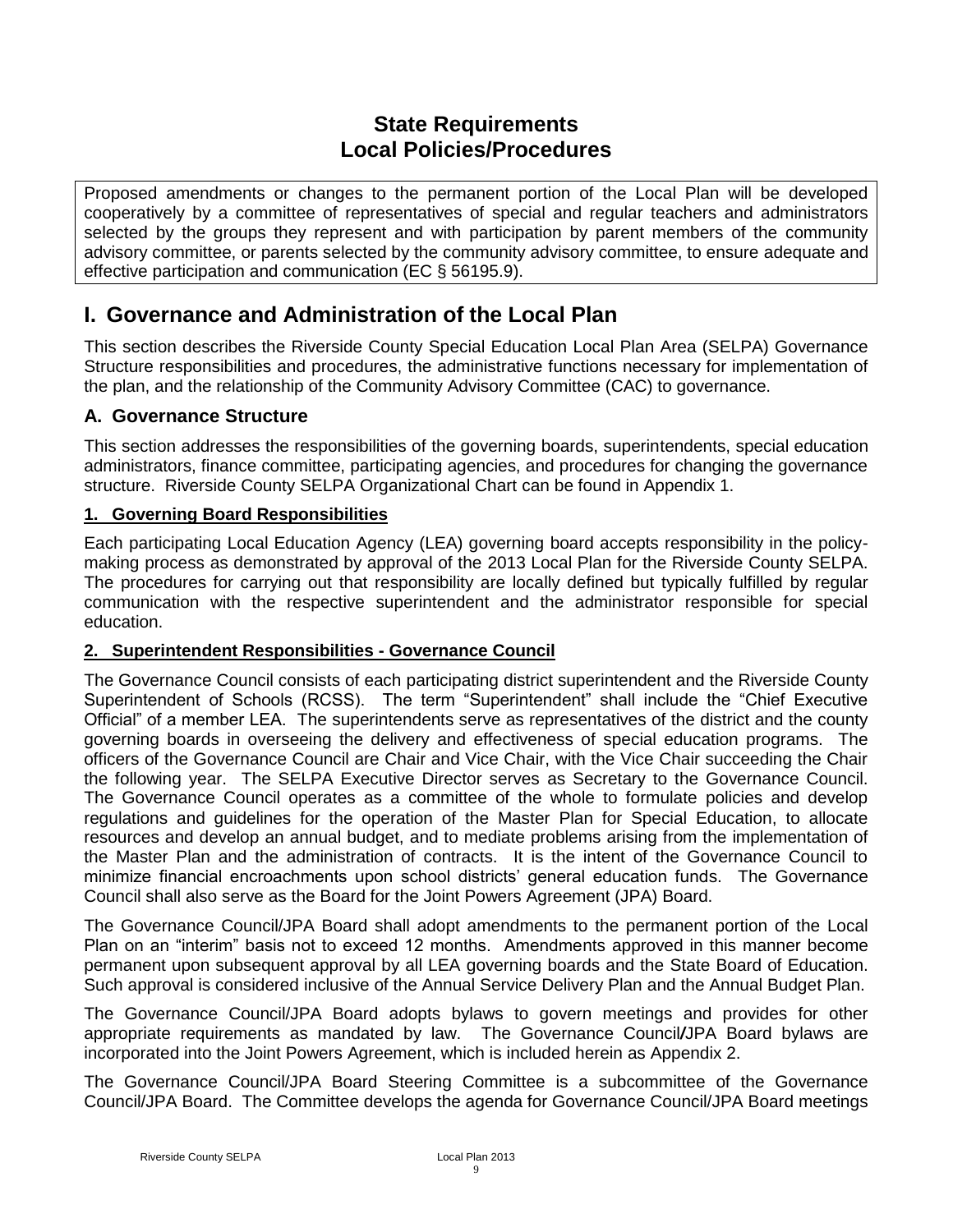# **State Requirements Local Policies/Procedures**

<span id="page-8-1"></span><span id="page-8-0"></span>Proposed amendments or changes to the permanent portion of the Local Plan will be developed cooperatively by a committee of representatives of special and regular teachers and administrators selected by the groups they represent and with participation by parent members of the community advisory committee, or parents selected by the community advisory committee, to ensure adequate and effective participation and communication (EC § 56195.9).

# <span id="page-8-2"></span>**I. Governance and Administration of the Local Plan**

This section describes the Riverside County Special Education Local Plan Area (SELPA) Governance Structure responsibilities and procedures, the administrative functions necessary for implementation of the plan, and the relationship of the Community Advisory Committee (CAC) to governance.

## <span id="page-8-3"></span>**A. Governance Structure**

This section addresses the responsibilities of the governing boards, superintendents, special education administrators, finance committee, participating agencies, and procedures for changing the governance structure. Riverside County SELPA Organizational Chart can be found in Appendix 1.

### <span id="page-8-4"></span>**1. Governing Board Responsibilities**

Each participating Local Education Agency (LEA) governing board accepts responsibility in the policymaking process as demonstrated by approval of the 2013 Local Plan for the Riverside County SELPA. The procedures for carrying out that responsibility are locally defined but typically fulfilled by regular communication with the respective superintendent and the administrator responsible for special education.

### <span id="page-8-5"></span>**2. Superintendent Responsibilities - Governance Council**

The Governance Council consists of each participating district superintendent and the Riverside County Superintendent of Schools (RCSS). The term "Superintendent" shall include the "Chief Executive Official" of a member LEA.The superintendents serve as representatives of the district and the county governing boards in overseeing the delivery and effectiveness of special education programs. The officers of the Governance Council are Chair and Vice Chair, with the Vice Chair succeeding the Chair the following year. The SELPA Executive Director serves as Secretary to the Governance Council. The Governance Council operates as a committee of the whole to formulate policies and develop regulations and guidelines for the operation of the Master Plan for Special Education, to allocate resources and develop an annual budget, and to mediate problems arising from the implementation of the Master Plan and the administration of contracts. It is the intent of the Governance Council to minimize financial encroachments upon school districts' general education funds. The Governance Council shall also serve as the Board for the Joint Powers Agreement (JPA) Board.

The Governance Council/JPA Board shall adopt amendments to the permanent portion of the Local Plan on an "interim" basis not to exceed 12 months. Amendments approved in this manner become permanent upon subsequent approval by all LEA governing boards and the State Board of Education. Such approval is considered inclusive of the Annual Service Delivery Plan and the Annual Budget Plan.

The Governance Council/JPA Board adopts bylaws to govern meetings and provides for other appropriate requirements as mandated by law. The Governance Council*/*JPA Board bylaws are incorporated into the Joint Powers Agreement, which is included herein as Appendix 2.

The Governance Council/JPA Board Steering Committee is a subcommittee of the Governance Council/JPA Board. The Committee develops the agenda for Governance Council/JPA Board meetings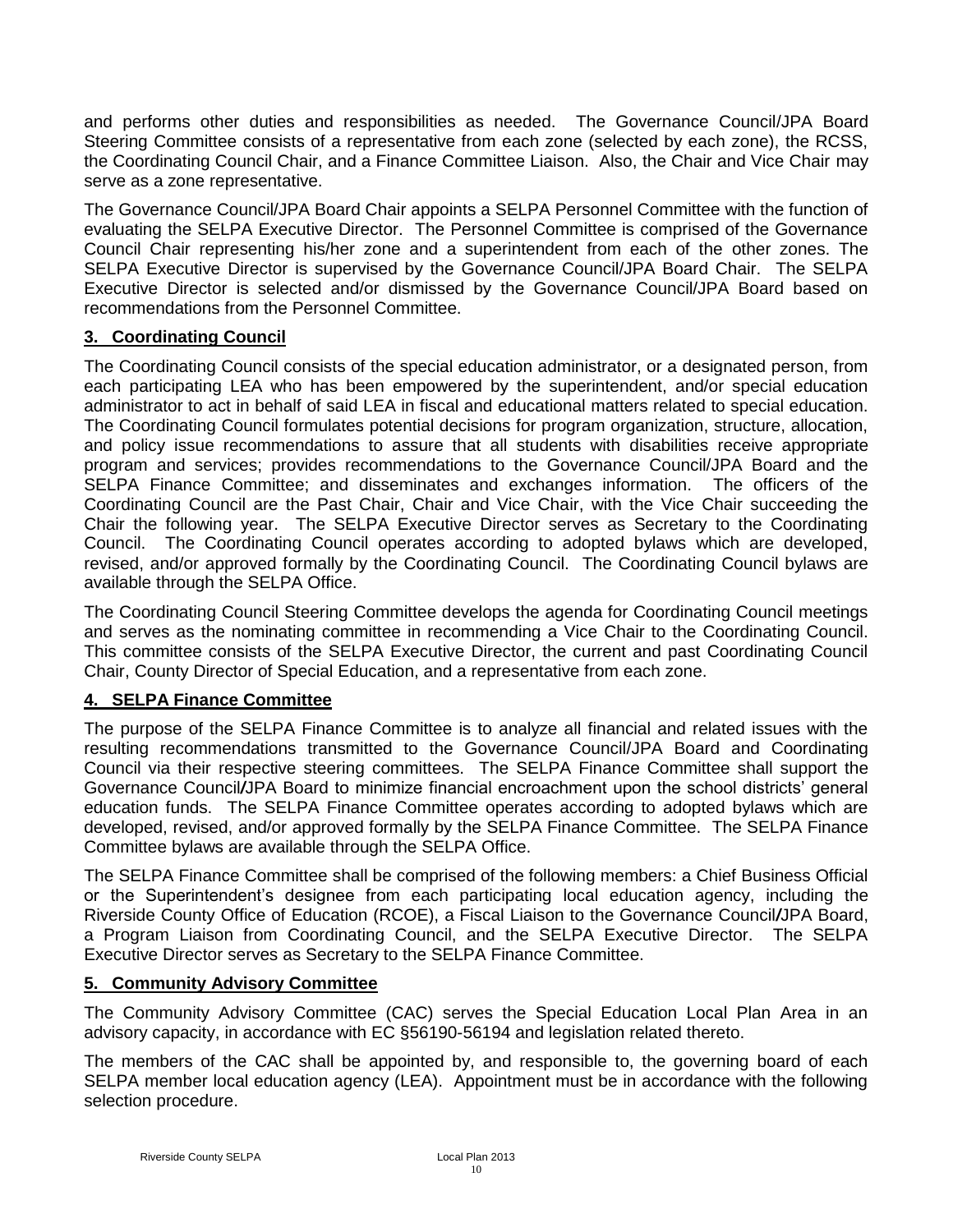and performs other duties and responsibilities as needed. The Governance Council/JPA Board Steering Committee consists of a representative from each zone (selected by each zone), the RCSS, the Coordinating Council Chair, and a Finance Committee Liaison. Also, the Chair and Vice Chair may serve as a zone representative.

The Governance Council/JPA Board Chair appoints a SELPA Personnel Committee with the function of evaluating the SELPA Executive Director. The Personnel Committee is comprised of the Governance Council Chair representing his/her zone and a superintendent from each of the other zones. The SELPA Executive Director is supervised by the Governance Council/JPA Board Chair. The SELPA Executive Director is selected and/or dismissed by the Governance Council/JPA Board based on recommendations from the Personnel Committee.

### <span id="page-9-0"></span>**3. Coordinating Council**

The Coordinating Council consists of the special education administrator, or a designated person, from each participating LEA who has been empowered by the superintendent, and/or special education administrator to act in behalf of said LEA in fiscal and educational matters related to special education. The Coordinating Council formulates potential decisions for program organization, structure, allocation, and policy issue recommendations to assure that all students with disabilities receive appropriate program and services; provides recommendations to the Governance Council/JPA Board and the SELPA Finance Committee; and disseminates and exchanges information. The officers of the Coordinating Council are the Past Chair, Chair and Vice Chair, with the Vice Chair succeeding the Chair the following year. The SELPA Executive Director serves as Secretary to the Coordinating Council. The Coordinating Council operates according to adopted bylaws which are developed, revised, and/or approved formally by the Coordinating Council. The Coordinating Council bylaws are available through the SELPA Office.

The Coordinating Council Steering Committee develops the agenda for Coordinating Council meetings and serves as the nominating committee in recommending a Vice Chair to the Coordinating Council. This committee consists of the SELPA Executive Director, the current and past Coordinating Council Chair, County Director of Special Education, and a representative from each zone.

### <span id="page-9-1"></span>**4. SELPA Finance Committee**

The purpose of the SELPA Finance Committee is to analyze all financial and related issues with the resulting recommendations transmitted to the Governance Council/JPA Board and Coordinating Council via their respective steering committees. The SELPA Finance Committee shall support the Governance Council*/*JPA Board to minimize financial encroachment upon the school districts' general education funds. The SELPA Finance Committee operates according to adopted bylaws which are developed, revised, and/or approved formally by the SELPA Finance Committee. The SELPA Finance Committee bylaws are available through the SELPA Office.

<span id="page-9-2"></span>The SELPA Finance Committee shall be comprised of the following members: a Chief Business Official or the Superintendent's designee from each participating local education agency, including the Riverside County Office of Education (RCOE), a Fiscal Liaison to the Governance Council*/*JPA Board, a Program Liaison from Coordinating Council, and the SELPA Executive Director. The SELPA Executive Director serves as Secretary to the SELPA Finance Committee.

### **5. Community Advisory Committee**

The Community Advisory Committee (CAC) serves the Special Education Local Plan Area in an advisory capacity, in accordance with EC §56190-56194 and legislation related thereto.

<span id="page-9-3"></span>The members of the CAC shall be appointed by, and responsible to, the governing board of each SELPA member local education agency (LEA). Appointment must be in accordance with the following selection procedure.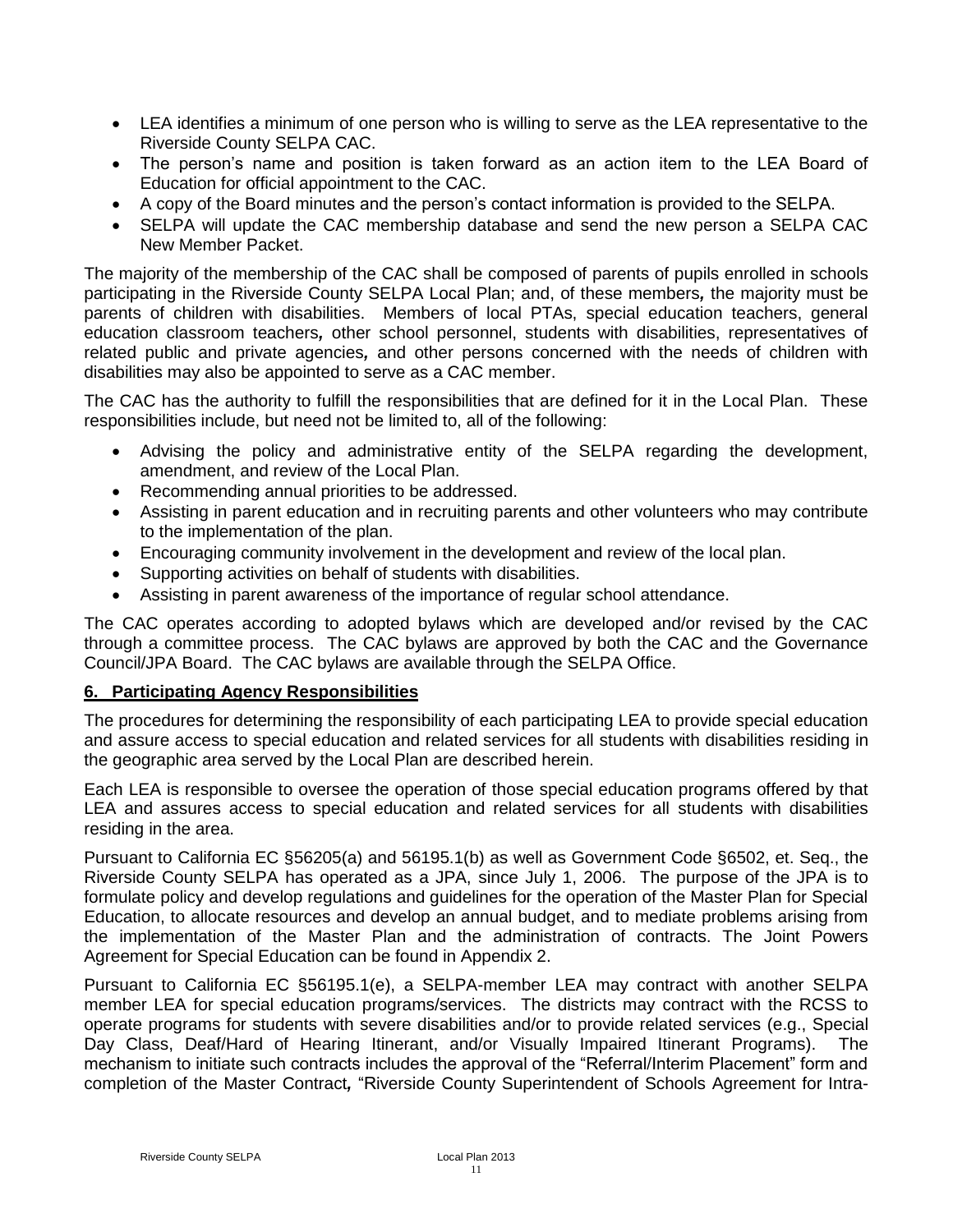- LEA identifies a minimum of one person who is willing to serve as the LEA representative to the Riverside County SELPA CAC.
- The person's name and position is taken forward as an action item to the LEA Board of Education for official appointment to the CAC.
- A copy of the Board minutes and the person's contact information is provided to the SELPA.
- SELPA will update the CAC membership database and send the new person a SELPA CAC New Member Packet.

The majority of the membership of the CAC shall be composed of parents of pupils enrolled in schools participating in the Riverside County SELPA Local Plan; and, of these members*,* the majority must be parents of children with disabilities. Members of local PTAs, special education teachers, general education classroom teachers*,* other school personnel, students with disabilities, representatives of related public and private agencies*,* and other persons concerned with the needs of children with disabilities may also be appointed to serve as a CAC member.

The CAC has the authority to fulfill the responsibilities that are defined for it in the Local Plan. These responsibilities include, but need not be limited to, all of the following:

- Advising the policy and administrative entity of the SELPA regarding the development, amendment, and review of the Local Plan.
- Recommending annual priorities to be addressed.
- Assisting in parent education and in recruiting parents and other volunteers who may contribute to the implementation of the plan.
- Encouraging community involvement in the development and review of the local plan.
- Supporting activities on behalf of students with disabilities.
- Assisting in parent awareness of the importance of regular school attendance.

The CAC operates according to adopted bylaws which are developed and/or revised by the CAC through a committee process. The CAC bylaws are approved by both the CAC and the Governance Council/JPA Board. The CAC bylaws are available through the SELPA Office.

### **6. Participating Agency Responsibilities**

The procedures for determining the responsibility of each participating LEA to provide special education and assure access to special education and related services for all students with disabilities residing in the geographic area served by the Local Plan are described herein.

Each LEA is responsible to oversee the operation of those special education programs offered by that LEA and assures access to special education and related services for all students with disabilities residing in the area.

Pursuant to California EC §56205(a) and 56195.1(b) as well as Government Code §6502, et. Seq., the Riverside County SELPA has operated as a JPA, since July 1, 2006. The purpose of the JPA is to formulate policy and develop regulations and guidelines for the operation of the Master Plan for Special Education, to allocate resources and develop an annual budget, and to mediate problems arising from the implementation of the Master Plan and the administration of contracts. The Joint Powers Agreement for Special Education can be found in Appendix 2.

Pursuant to California EC §56195.1(e), a SELPA-member LEA may contract with another SELPA member LEA for special education programs/services. The districts may contract with the RCSS to operate programs for students with severe disabilities and/or to provide related services (e.g., Special Day Class, Deaf/Hard of Hearing Itinerant, and/or Visually Impaired Itinerant Programs). The mechanism to initiate such contracts includes the approval of the "Referral/Interim Placement" form and completion of the Master Contract*,* "Riverside County Superintendent of Schools Agreement for Intra-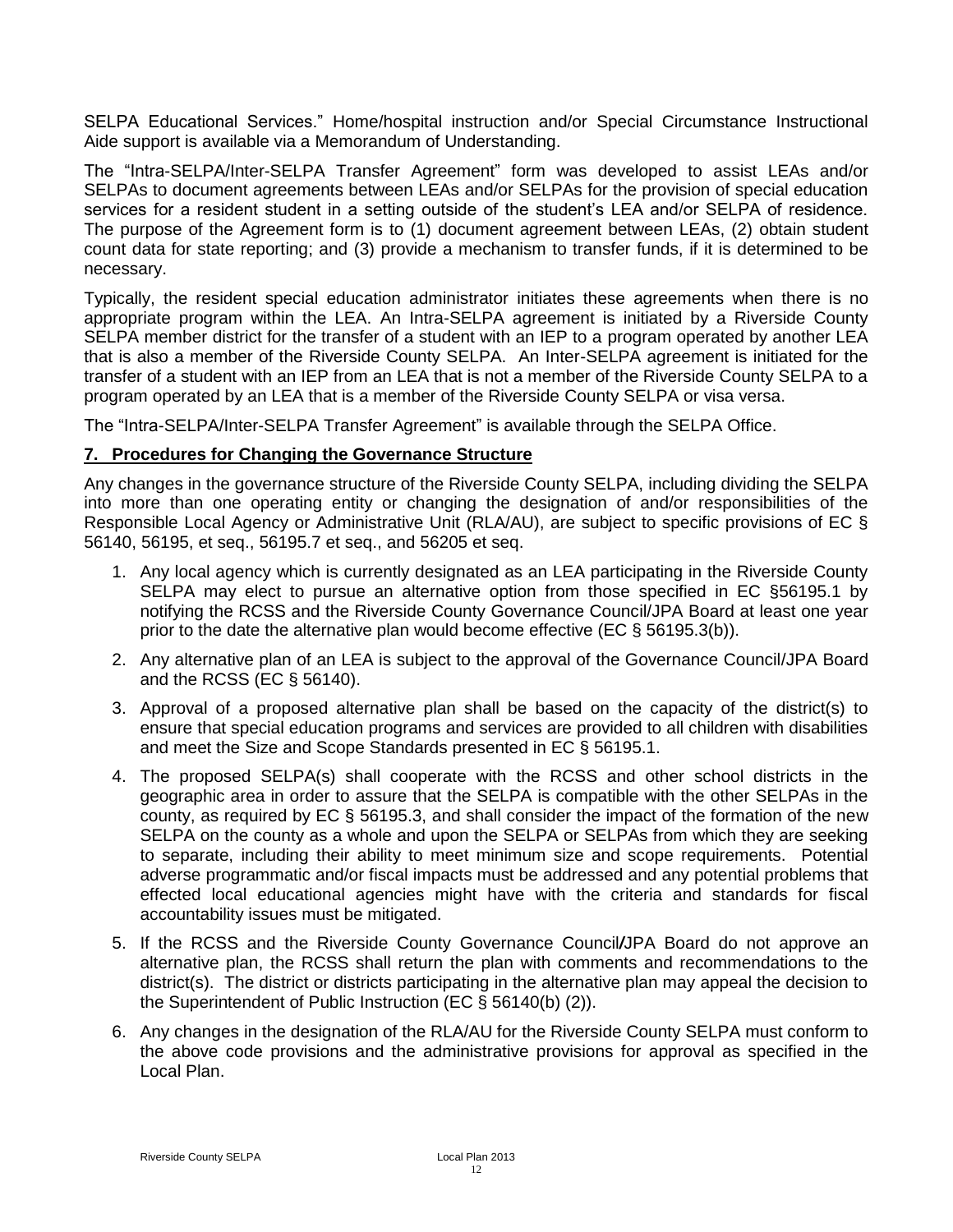SELPA Educational Services." Home/hospital instruction and/or Special Circumstance Instructional Aide support is available via a Memorandum of Understanding.

The "Intra-SELPA/Inter-SELPA Transfer Agreement" form was developed to assist LEAs and/or SELPAs to document agreements between LEAs and/or SELPAs for the provision of special education services for a resident student in a setting outside of the student's LEA and/or SELPA of residence. The purpose of the Agreement form is to (1) document agreement between LEAs, (2) obtain student count data for state reporting; and (3) provide a mechanism to transfer funds, if it is determined to be necessary.

Typically, the resident special education administrator initiates these agreements when there is no appropriate program within the LEA. An Intra-SELPA agreement is initiated by a Riverside County SELPA member district for the transfer of a student with an IEP to a program operated by another LEA that is also a member of the Riverside County SELPA. An Inter-SELPA agreement is initiated for the transfer of a student with an IEP from an LEA that is not a member of the Riverside County SELPA to a program operated by an LEA that is a member of the Riverside County SELPA or visa versa.

The "Intra-SELPA/Inter-SELPA Transfer Agreement" is available through the SELPA Office.

### <span id="page-11-0"></span>**7. Procedures for Changing the Governance Structure**

Any changes in the governance structure of the Riverside County SELPA, including dividing the SELPA into more than one operating entity or changing the designation of and/or responsibilities of the Responsible Local Agency or Administrative Unit (RLA/AU), are subject to specific provisions of EC § 56140, 56195, et seq., 56195.7 et seq., and 56205 et seq.

- 1. Any local agency which is currently designated as an LEA participating in the Riverside County SELPA may elect to pursue an alternative option from those specified in EC §56195.1 by notifying the RCSS and the Riverside County Governance Council/JPA Board at least one year prior to the date the alternative plan would become effective (EC § 56195.3(b)).
- 2. Any alternative plan of an LEA is subject to the approval of the Governance Council/JPA Board and the RCSS (EC § 56140).
- 3. Approval of a proposed alternative plan shall be based on the capacity of the district(s) to ensure that special education programs and services are provided to all children with disabilities and meet the Size and Scope Standards presented in EC § 56195.1.
- 4. The proposed SELPA(s) shall cooperate with the RCSS and other school districts in the geographic area in order to assure that the SELPA is compatible with the other SELPAs in the county, as required by EC § 56195.3, and shall consider the impact of the formation of the new SELPA on the county as a whole and upon the SELPA or SELPAs from which they are seeking to separate, including their ability to meet minimum size and scope requirements. Potential adverse programmatic and/or fiscal impacts must be addressed and any potential problems that effected local educational agencies might have with the criteria and standards for fiscal accountability issues must be mitigated.
- 5. If the RCSS and the Riverside County Governance Council*/*JPA Board do not approve an alternative plan, the RCSS shall return the plan with comments and recommendations to the district(s). The district or districts participating in the alternative plan may appeal the decision to the Superintendent of Public Instruction (EC § 56140(b) (2)).
- 6. Any changes in the designation of the RLA/AU for the Riverside County SELPA must conform to the above code provisions and the administrative provisions for approval as specified in the Local Plan.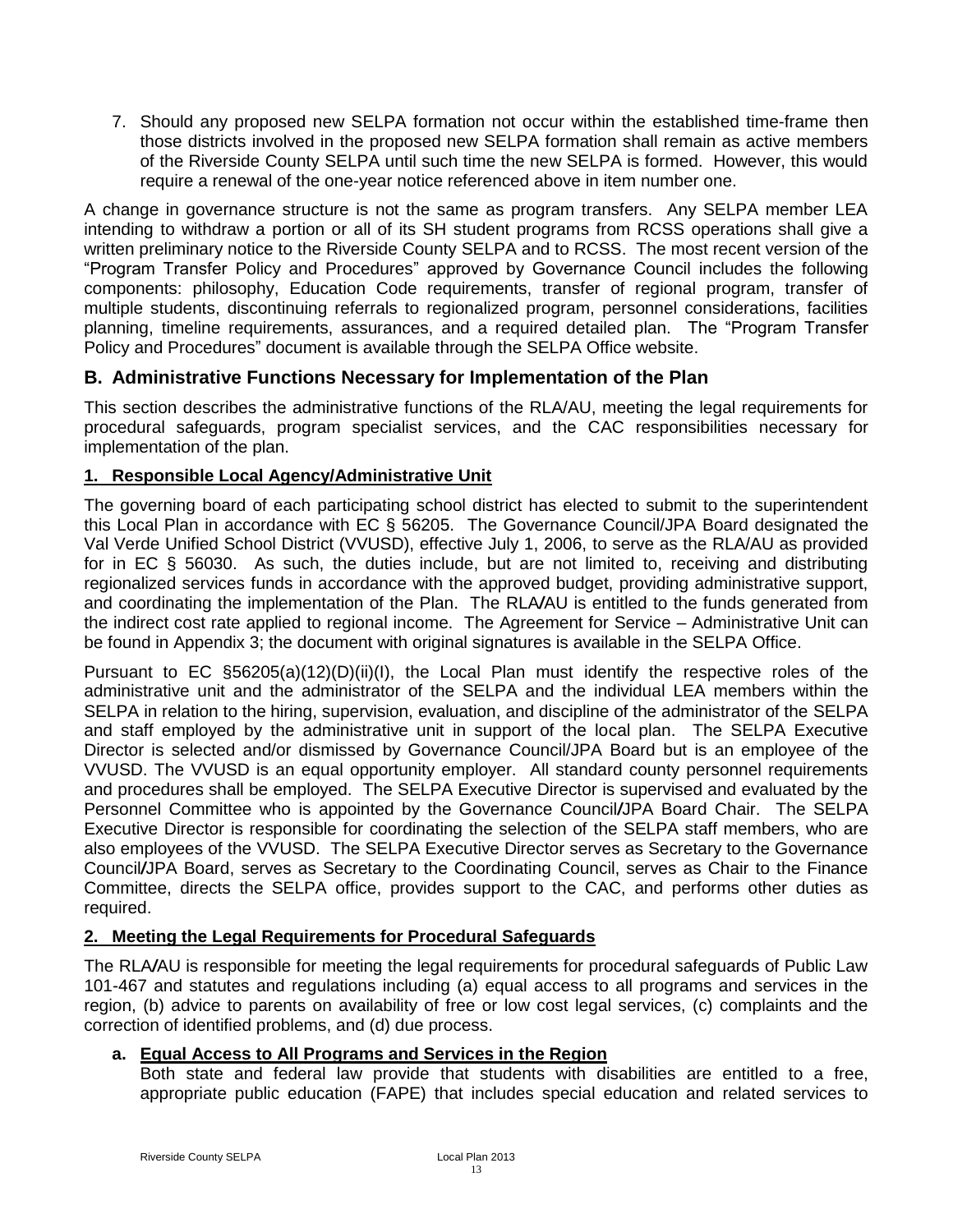7. Should any proposed new SELPA formation not occur within the established time-frame then those districts involved in the proposed new SELPA formation shall remain as active members of the Riverside County SELPA until such time the new SELPA is formed. However, this would require a renewal of the one-year notice referenced above in item number one.

A change in governance structure is not the same as program transfers. Any SELPA member LEA intending to withdraw a portion or all of its SH student programs from RCSS operations shall give a written preliminary notice to the Riverside County SELPA and to RCSS. The most recent version of the "Program Transfer Policy and Procedures" approved by Governance Council includes the following components: philosophy, Education Code requirements, transfer of regional program, transfer of multiple students, discontinuing referrals to regionalized program, personnel considerations, facilities planning, timeline requirements, assurances, and a required detailed plan. The "Program Transfer Policy and Procedures" document is available through the SELPA Office website.

## <span id="page-12-0"></span>**B. Administrative Functions Necessary for Implementation of the Plan**

This section describes the administrative functions of the RLA/AU, meeting the legal requirements for procedural safeguards, program specialist services, and the CAC responsibilities necessary for implementation of the plan.

### <span id="page-12-1"></span>**1. Responsible Local Agency/Administrative Unit**

The governing board of each participating school district has elected to submit to the superintendent this Local Plan in accordance with EC § 56205. The Governance Council/JPA Board designated the Val Verde Unified School District (VVUSD), effective July 1, 2006, to serve as the RLA/AU as provided for in EC § 56030. As such, the duties include, but are not limited to, receiving and distributing regionalized services funds in accordance with the approved budget, providing administrative support, and coordinating the implementation of the Plan. The RLA*/*AU is entitled to the funds generated from the indirect cost rate applied to regional income. The Agreement for Service – Administrative Unit can be found in Appendix 3; the document with original signatures is available in the SELPA Office.

Pursuant to EC §56205(a)(12)(D)(ii)(I), the Local Plan must identify the respective roles of the administrative unit and the administrator of the SELPA and the individual LEA members within the SELPA in relation to the hiring, supervision, evaluation, and discipline of the administrator of the SELPA and staff employed by the administrative unit in support of the local plan. The SELPA Executive Director is selected and/or dismissed by Governance Council/JPA Board but is an employee of the VVUSD. The VVUSD is an equal opportunity employer. All standard county personnel requirements and procedures shall be employed. The SELPA Executive Director is supervised and evaluated by the Personnel Committee who is appointed by the Governance Council*/*JPA Board Chair. The SELPA Executive Director is responsible for coordinating the selection of the SELPA staff members, who are also employees of the VVUSD. The SELPA Executive Director serves as Secretary to the Governance Council*/*JPA Board, serves as Secretary to the Coordinating Council, serves as Chair to the Finance Committee, directs the SELPA office, provides support to the CAC, and performs other duties as required.

### <span id="page-12-2"></span>**2. Meeting the Legal Requirements for Procedural Safeguards**

The RLA*/*AU is responsible for meeting the legal requirements for procedural safeguards of Public Law 101-467 and statutes and regulations including (a) equal access to all programs and services in the region, (b) advice to parents on availability of free or low cost legal services, (c) complaints and the correction of identified problems, and (d) due process.

### **a. Equal Access to All Programs and Services in the Region**

Both state and federal law provide that students with disabilities are entitled to a free, appropriate public education (FAPE) that includes special education and related services to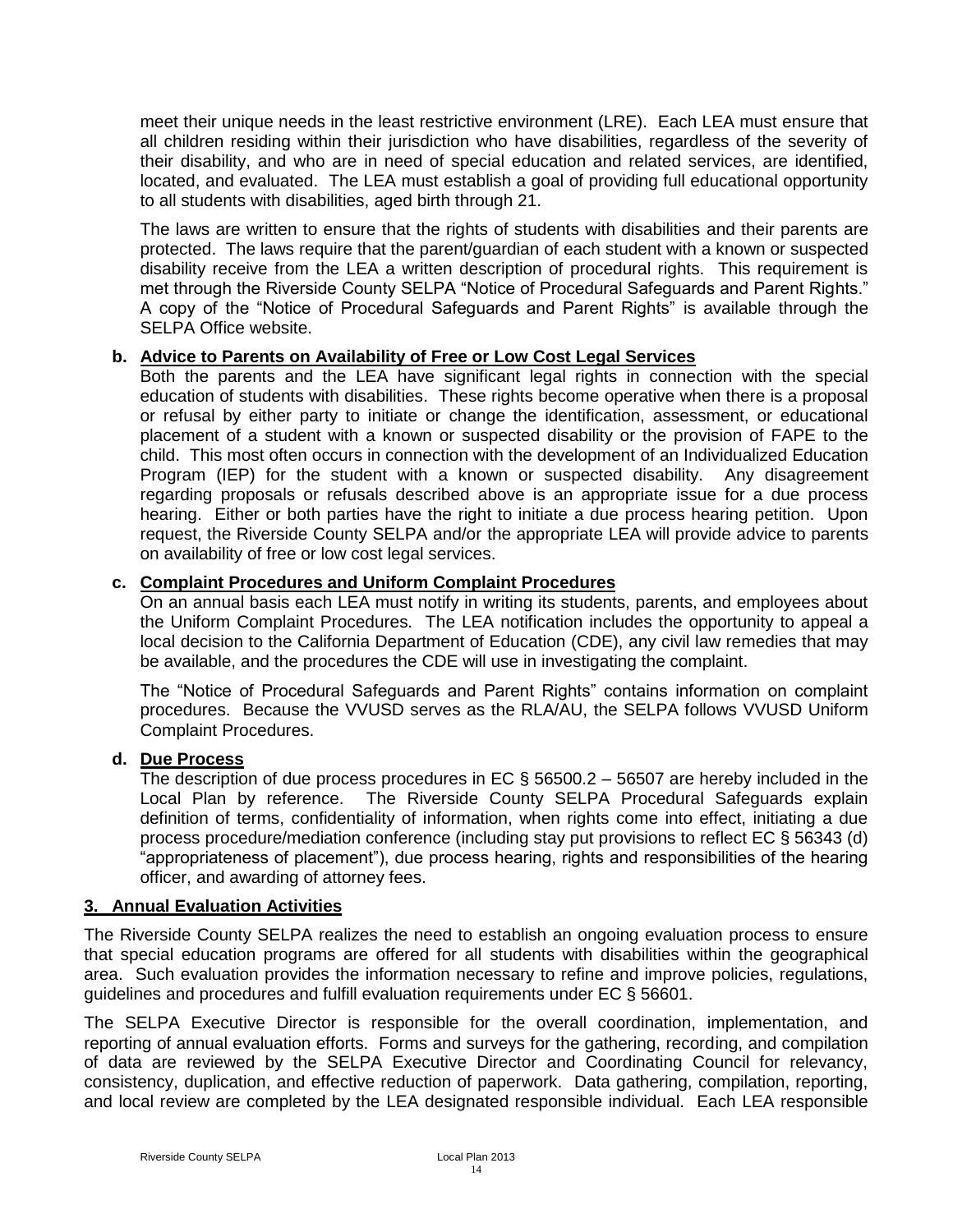meet their unique needs in the least restrictive environment (LRE). Each LEA must ensure that all children residing within their jurisdiction who have disabilities, regardless of the severity of their disability, and who are in need of special education and related services, are identified, located, and evaluated. The LEA must establish a goal of providing full educational opportunity to all students with disabilities, aged birth through 21.

The laws are written to ensure that the rights of students with disabilities and their parents are protected. The laws require that the parent/guardian of each student with a known or suspected disability receive from the LEA a written description of procedural rights. This requirement is met through the Riverside County SELPA "Notice of Procedural Safeguards and Parent Rights." A copy of the "Notice of Procedural Safeguards and Parent Rights" is available through the SELPA Office website.

### **b. Advice to Parents on Availability of Free or Low Cost Legal Services**

Both the parents and the LEA have significant legal rights in connection with the special education of students with disabilities. These rights become operative when there is a proposal or refusal by either party to initiate or change the identification, assessment, or educational placement of a student with a known or suspected disability or the provision of FAPE to the child. This most often occurs in connection with the development of an Individualized Education Program (IEP) for the student with a known or suspected disability. Any disagreement regarding proposals or refusals described above is an appropriate issue for a due process hearing. Either or both parties have the right to initiate a due process hearing petition. Upon request, the Riverside County SELPA and/or the appropriate LEA will provide advice to parents on availability of free or low cost legal services.

### **c. Complaint Procedures and Uniform Complaint Procedures**

On an annual basis each LEA must notify in writing its students, parents, and employees about the Uniform Complaint Procedures. The LEA notification includes the opportunity to appeal a local decision to the California Department of Education (CDE), any civil law remedies that may be available, and the procedures the CDE will use in investigating the complaint.

The "Notice of Procedural Safeguards and Parent Rights" contains information on complaint procedures. Because the VVUSD serves as the RLA/AU, the SELPA follows VVUSD Uniform Complaint Procedures.

### **d. Due Process**

The description of due process procedures in EC  $\S$  56500.2 – 56507 are hereby included in the Local Plan by reference. The Riverside County SELPA Procedural Safeguards explain definition of terms, confidentiality of information, when rights come into effect, initiating a due process procedure/mediation conference (including stay put provisions to reflect EC § 56343 (d) "appropriateness of placement"), due process hearing, rights and responsibilities of the hearing officer, and awarding of attorney fees.

### <span id="page-13-0"></span>**3. Annual Evaluation Activities**

The Riverside County SELPA realizes the need to establish an ongoing evaluation process to ensure that special education programs are offered for all students with disabilities within the geographical area. Such evaluation provides the information necessary to refine and improve policies, regulations, guidelines and procedures and fulfill evaluation requirements under EC § 56601.

The SELPA Executive Director is responsible for the overall coordination, implementation, and reporting of annual evaluation efforts. Forms and surveys for the gathering, recording, and compilation of data are reviewed by the SELPA Executive Director and Coordinating Council for relevancy, consistency, duplication, and effective reduction of paperwork. Data gathering, compilation, reporting, and local review are completed by the LEA designated responsible individual. Each LEA responsible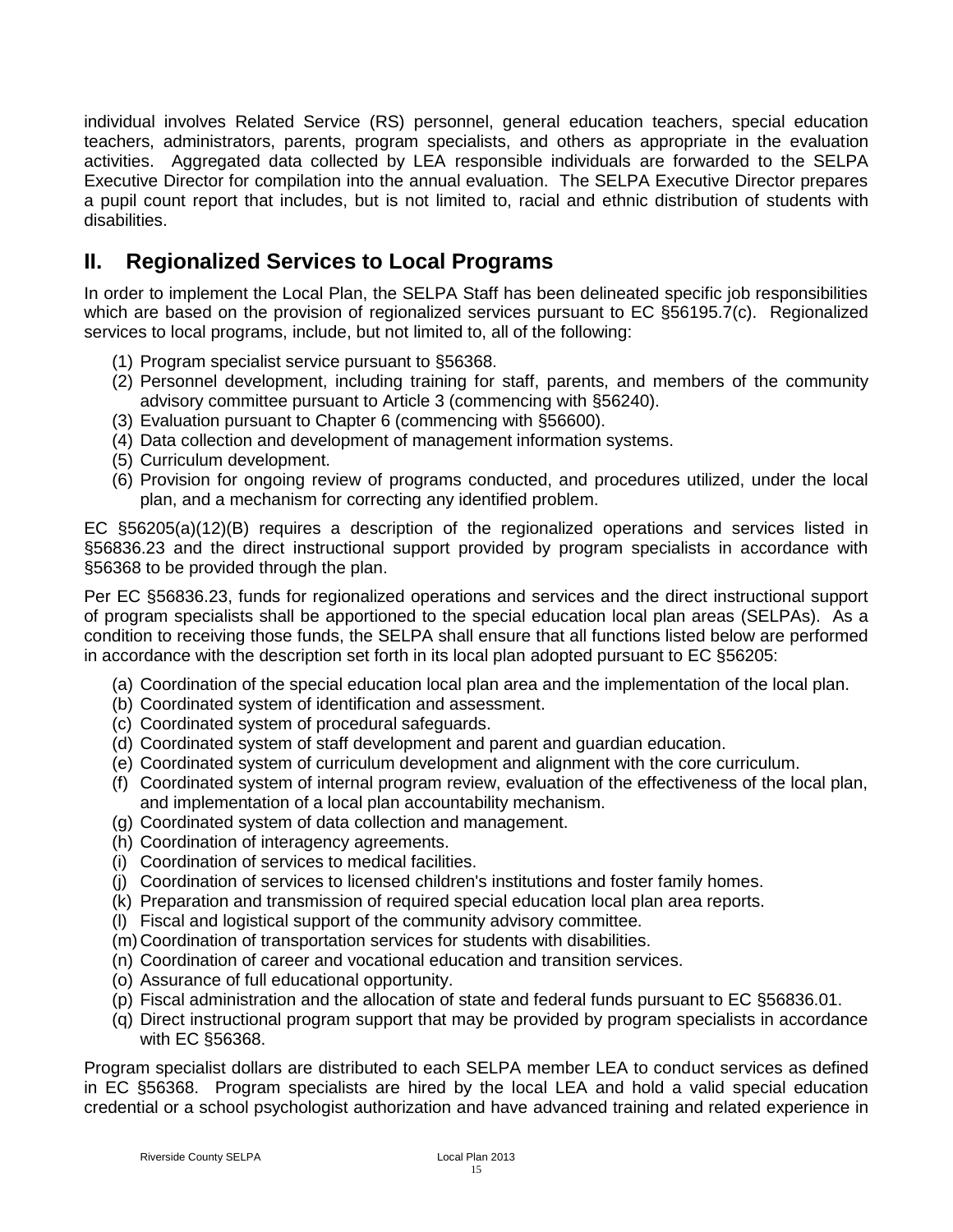individual involves Related Service (RS) personnel, general education teachers, special education teachers, administrators, parents, program specialists, and others as appropriate in the evaluation activities. Aggregated data collected by LEA responsible individuals are forwarded to the SELPA Executive Director for compilation into the annual evaluation. The SELPA Executive Director prepares a pupil count report that includes, but is not limited to, racial and ethnic distribution of students with disabilities.

# <span id="page-14-0"></span>**II. Regionalized Services to Local Programs**

In order to implement the Local Plan, the SELPA Staff has been delineated specific job responsibilities which are based on the provision of regionalized services pursuant to EC §56195.7(c). Regionalized services to local programs, include, but not limited to, all of the following:

- (1) Program specialist service pursuant to §56368.
- (2) Personnel development, including training for staff, parents, and members of the community advisory committee pursuant to Article 3 (commencing with §56240).
- (3) Evaluation pursuant to Chapter 6 (commencing with §56600).
- (4) Data collection and development of management information systems.
- (5) Curriculum development.
- (6) Provision for ongoing review of programs conducted, and procedures utilized, under the local plan, and a mechanism for correcting any identified problem.

EC §56205(a)(12)(B) requires a description of the regionalized operations and services listed in §56836.23 and the direct instructional support provided by program specialists in accordance with §56368 to be provided through the plan.

Per EC §56836.23, funds for regionalized operations and services and the direct instructional support of program specialists shall be apportioned to the special education local plan areas (SELPAs). As a condition to receiving those funds, the SELPA shall ensure that all functions listed below are performed in accordance with the description set forth in its local plan adopted pursuant to EC §56205:

- (a) Coordination of the special education local plan area and the implementation of the local plan.
- (b) Coordinated system of identification and assessment.
- (c) Coordinated system of procedural safeguards.
- (d) Coordinated system of staff development and parent and guardian education.
- (e) Coordinated system of curriculum development and alignment with the core curriculum.
- (f) Coordinated system of internal program review, evaluation of the effectiveness of the local plan, and implementation of a local plan accountability mechanism.
- (g) Coordinated system of data collection and management.
- (h) Coordination of interagency agreements.
- (i) Coordination of services to medical facilities.
- (j) Coordination of services to licensed children's institutions and foster family homes.
- (k) Preparation and transmission of required special education local plan area reports.
- (l) Fiscal and logistical support of the community advisory committee.
- (m)Coordination of transportation services for students with disabilities.
- (n) Coordination of career and vocational education and transition services.
- (o) Assurance of full educational opportunity.
- (p) Fiscal administration and the allocation of state and federal funds pursuant to EC §56836.01.
- (q) Direct instructional program support that may be provided by program specialists in accordance with EC §56368.

Program specialist dollars are distributed to each SELPA member LEA to conduct services as defined in EC §56368. Program specialists are hired by the local LEA and hold a valid special education credential or a school psychologist authorization and have advanced training and related experience in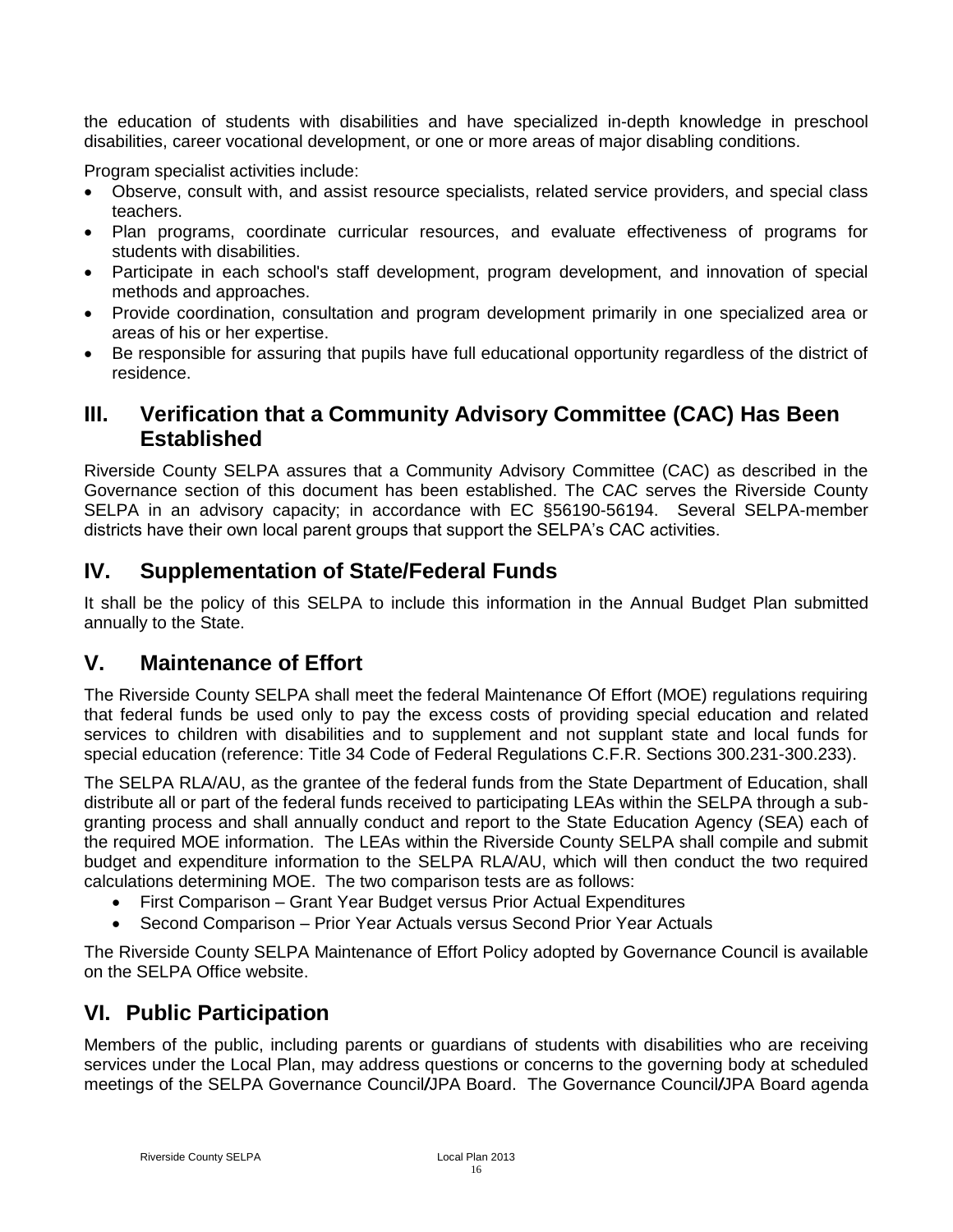the education of students with disabilities and have specialized in-depth knowledge in preschool disabilities, career vocational development, or one or more areas of major disabling conditions.

Program specialist activities include:

- Observe, consult with, and assist resource specialists, related service providers, and special class teachers.
- Plan programs, coordinate curricular resources, and evaluate effectiveness of programs for students with disabilities.
- Participate in each school's staff development, program development, and innovation of special methods and approaches.
- Provide coordination, consultation and program development primarily in one specialized area or areas of his or her expertise.
- Be responsible for assuring that pupils have full educational opportunity regardless of the district of residence.

## <span id="page-15-0"></span>**III. Verification that a Community Advisory Committee (CAC) Has Been Established**

Riverside County SELPA assures that a Community Advisory Committee (CAC) as described in the Governance section of this document has been established. The CAC serves the Riverside County SELPA in an advisory capacity; in accordance with EC §56190-56194. Several SELPA-member districts have their own local parent groups that support the SELPA's CAC activities.

# <span id="page-15-1"></span>**IV. Supplementation of State/Federal Funds**

It shall be the policy of this SELPA to include this information in the Annual Budget Plan submitted annually to the State.

## <span id="page-15-2"></span>**V. Maintenance of Effort**

The Riverside County SELPA shall meet the federal Maintenance Of Effort (MOE) regulations requiring that federal funds be used only to pay the excess costs of providing special education and related services to children with disabilities and to supplement and not supplant state and local funds for special education (reference: Title 34 Code of Federal Regulations C.F.R. Sections 300.231-300.233).

The SELPA RLA/AU, as the grantee of the federal funds from the State Department of Education, shall distribute all or part of the federal funds received to participating LEAs within the SELPA through a subgranting process and shall annually conduct and report to the State Education Agency (SEA) each of the required MOE information. The LEAs within the Riverside County SELPA shall compile and submit budget and expenditure information to the SELPA RLA/AU, which will then conduct the two required calculations determining MOE. The two comparison tests are as follows:

- First Comparison Grant Year Budget versus Prior Actual Expenditures
- Second Comparison Prior Year Actuals versus Second Prior Year Actuals

The Riverside County SELPA Maintenance of Effort Policy adopted by Governance Council is available on the SELPA Office website.

# <span id="page-15-3"></span>**VI. Public Participation**

Members of the public, including parents or guardians of students with disabilities who are receiving services under the Local Plan, may address questions or concerns to the governing body at scheduled meetings of the SELPA Governance Council*/*JPA Board. The Governance Council*/*JPA Board agenda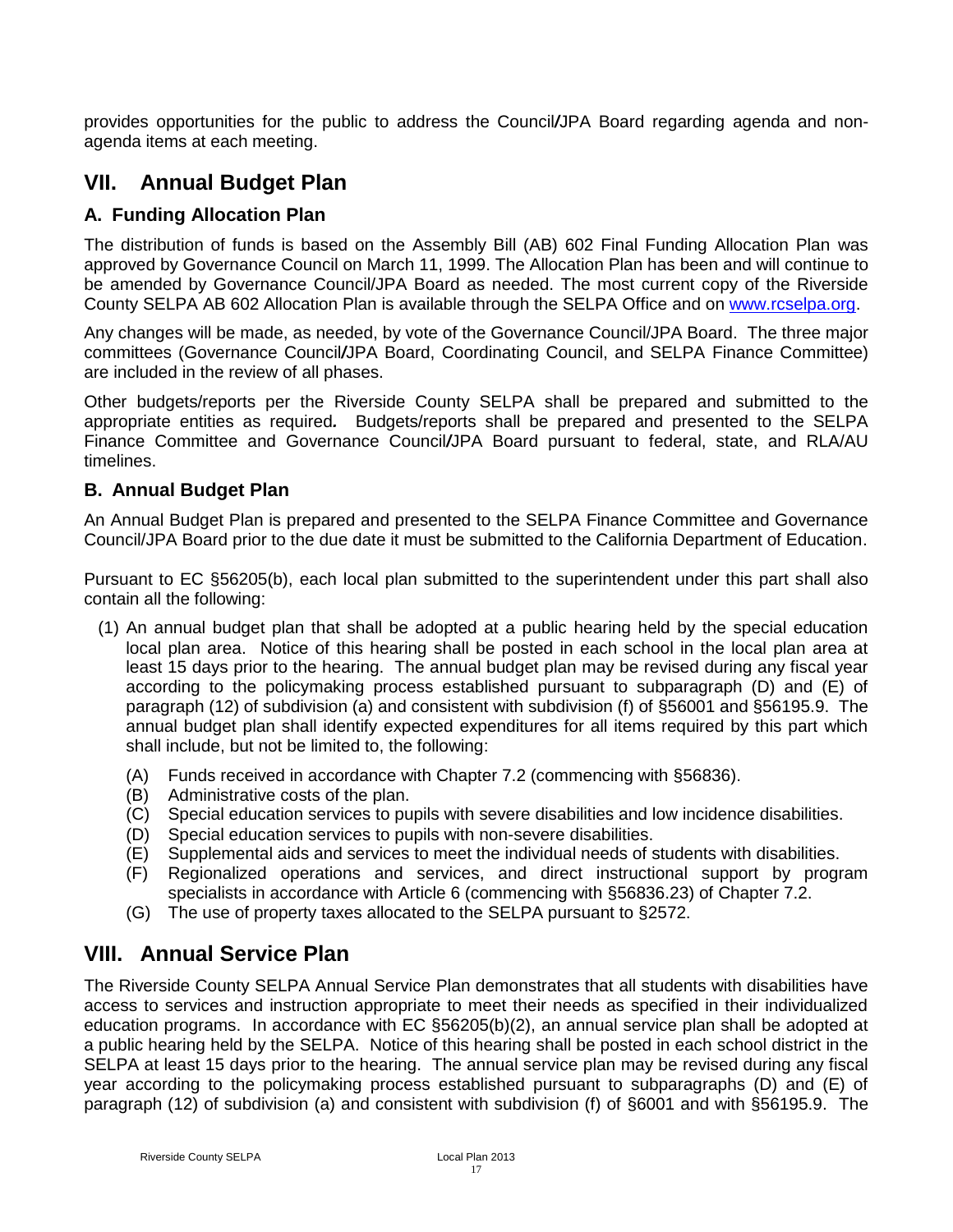provides opportunities for the public to address the Council*/*JPA Board regarding agenda and nonagenda items at each meeting.

# <span id="page-16-0"></span>**VII. Annual Budget Plan**

### <span id="page-16-1"></span>**A. Funding Allocation Plan**

The distribution of funds is based on the Assembly Bill (AB) 602 Final Funding Allocation Plan was approved by Governance Council on March 11, 1999. The Allocation Plan has been and will continue to be amended by Governance Council/JPA Board as needed. The most current copy of the Riverside County SELPA AB 602 Allocation Plan is available through the SELPA Office and on [www.rcselpa.org.](http://www.rcselpa.org/)

Any changes will be made, as needed, by vote of the Governance Council/JPA Board. The three major committees (Governance Council*/*JPA Board, Coordinating Council, and SELPA Finance Committee) are included in the review of all phases.

Other budgets/reports per the Riverside County SELPA shall be prepared and submitted to the appropriate entities as required*.* Budgets/reports shall be prepared and presented to the SELPA Finance Committee and Governance Council*/*JPA Board pursuant to federal, state, and RLA/AU timelines.

### <span id="page-16-2"></span>**B. Annual Budget Plan**

An Annual Budget Plan is prepared and presented to the SELPA Finance Committee and Governance Council/JPA Board prior to the due date it must be submitted to the California Department of Education.

Pursuant to EC §56205(b), each local plan submitted to the superintendent under this part shall also contain all the following:

- (1) An annual budget plan that shall be adopted at a public hearing held by the special education local plan area. Notice of this hearing shall be posted in each school in the local plan area at least 15 days prior to the hearing. The annual budget plan may be revised during any fiscal year according to the policymaking process established pursuant to subparagraph (D) and (E) of paragraph (12) of subdivision (a) and consistent with subdivision (f) of §56001 and §56195.9. The annual budget plan shall identify expected expenditures for all items required by this part which shall include, but not be limited to, the following:
	- (A) Funds received in accordance with Chapter 7.2 (commencing with §56836).
	- (B) Administrative costs of the plan.
	- (C) Special education services to pupils with severe disabilities and low incidence disabilities.
	- (D) Special education services to pupils with non-severe disabilities.
	- (E) Supplemental aids and services to meet the individual needs of students with disabilities.
	- (F) Regionalized operations and services, and direct instructional support by program specialists in accordance with Article 6 (commencing with §56836.23) of Chapter 7.2.
	- (G) The use of property taxes allocated to the SELPA pursuant to §2572.

# <span id="page-16-3"></span>**VIII. Annual Service Plan**

The Riverside County SELPA Annual Service Plan demonstrates that all students with disabilities have access to services and instruction appropriate to meet their needs as specified in their individualized education programs. In accordance with EC §56205(b)(2), an annual service plan shall be adopted at a public hearing held by the SELPA. Notice of this hearing shall be posted in each school district in the SELPA at least 15 days prior to the hearing. The annual service plan may be revised during any fiscal year according to the policymaking process established pursuant to subparagraphs (D) and (E) of paragraph (12) of subdivision (a) and consistent with subdivision (f) of §6001 and with §56195.9. The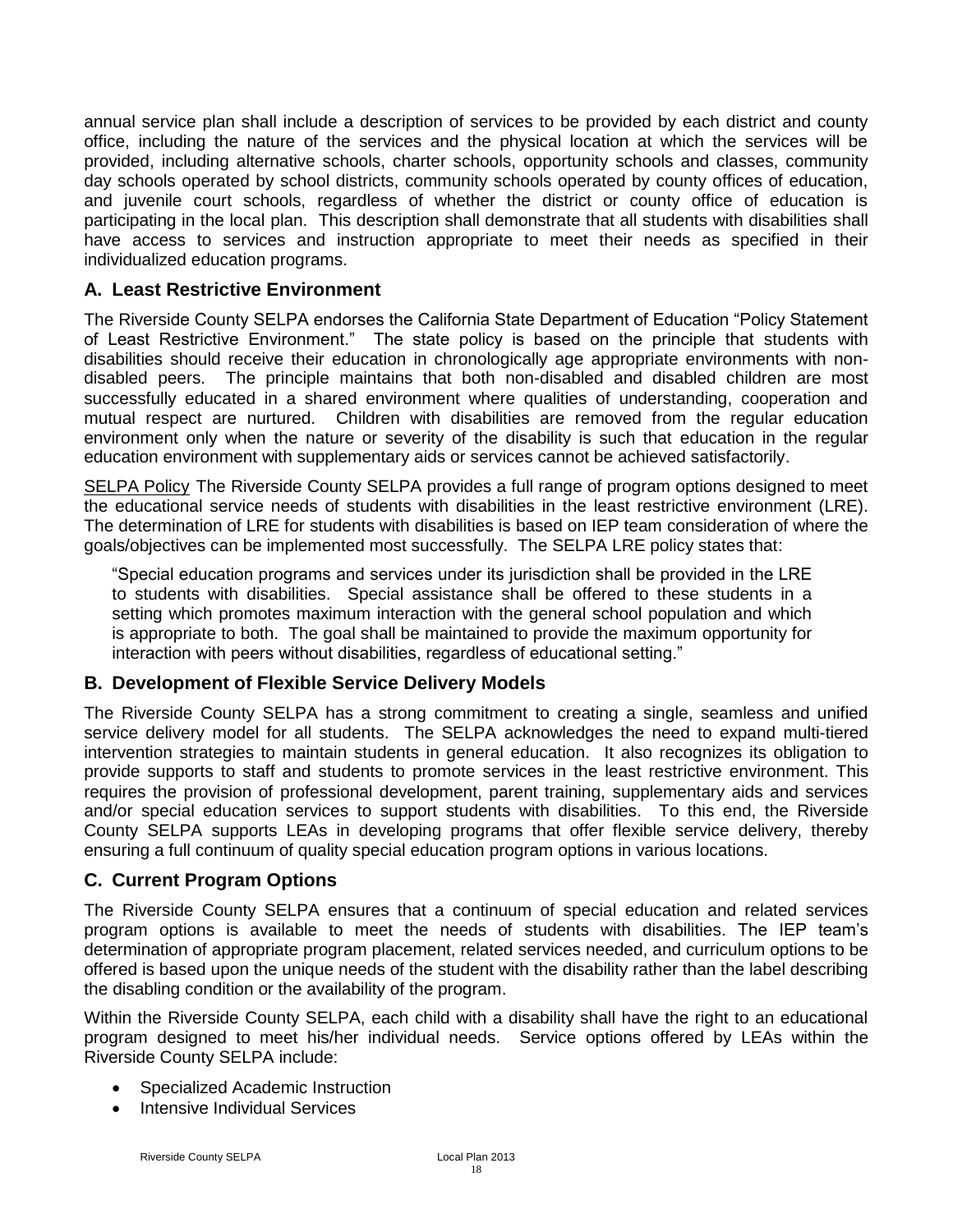annual service plan shall include a description of services to be provided by each district and county office, including the nature of the services and the physical location at which the services will be provided, including alternative schools, charter schools, opportunity schools and classes, community day schools operated by school districts, community schools operated by county offices of education, and juvenile court schools, regardless of whether the district or county office of education is participating in the local plan. This description shall demonstrate that all students with disabilities shall have access to services and instruction appropriate to meet their needs as specified in their individualized education programs.

### <span id="page-17-0"></span>**A. Least Restrictive Environment**

The Riverside County SELPA endorses the California State Department of Education "Policy Statement of Least Restrictive Environment." The state policy is based on the principle that students with disabilities should receive their education in chronologically age appropriate environments with nondisabled peers. The principle maintains that both non-disabled and disabled children are most successfully educated in a shared environment where qualities of understanding, cooperation and mutual respect are nurtured. Children with disabilities are removed from the regular education environment only when the nature or severity of the disability is such that education in the regular education environment with supplementary aids or services cannot be achieved satisfactorily.

SELPA Policy The Riverside County SELPA provides a full range of program options designed to meet the educational service needs of students with disabilities in the least restrictive environment (LRE). The determination of LRE for students with disabilities is based on IEP team consideration of where the goals/objectives can be implemented most successfully. The SELPA LRE policy states that:

"Special education programs and services under its jurisdiction shall be provided in the LRE to students with disabilities. Special assistance shall be offered to these students in a setting which promotes maximum interaction with the general school population and which is appropriate to both. The goal shall be maintained to provide the maximum opportunity for interaction with peers without disabilities, regardless of educational setting."

### <span id="page-17-1"></span>**B. Development of Flexible Service Delivery Models**

The Riverside County SELPA has a strong commitment to creating a single, seamless and unified service delivery model for all students. The SELPA acknowledges the need to expand multi-tiered intervention strategies to maintain students in general education. It also recognizes its obligation to provide supports to staff and students to promote services in the least restrictive environment. This requires the provision of professional development, parent training, supplementary aids and services and/or special education services to support students with disabilities. To this end, the Riverside County SELPA supports LEAs in developing programs that offer flexible service delivery, thereby ensuring a full continuum of quality special education program options in various locations.

## <span id="page-17-2"></span>**C. Current Program Options**

The Riverside County SELPA ensures that a continuum of special education and related services program options is available to meet the needs of students with disabilities. The IEP team's determination of appropriate program placement, related services needed, and curriculum options to be offered is based upon the unique needs of the student with the disability rather than the label describing the disabling condition or the availability of the program.

Within the Riverside County SELPA, each child with a disability shall have the right to an educational program designed to meet his/her individual needs. Service options offered by LEAs within the Riverside County SELPA include:

- Specialized Academic Instruction
- Intensive Individual Services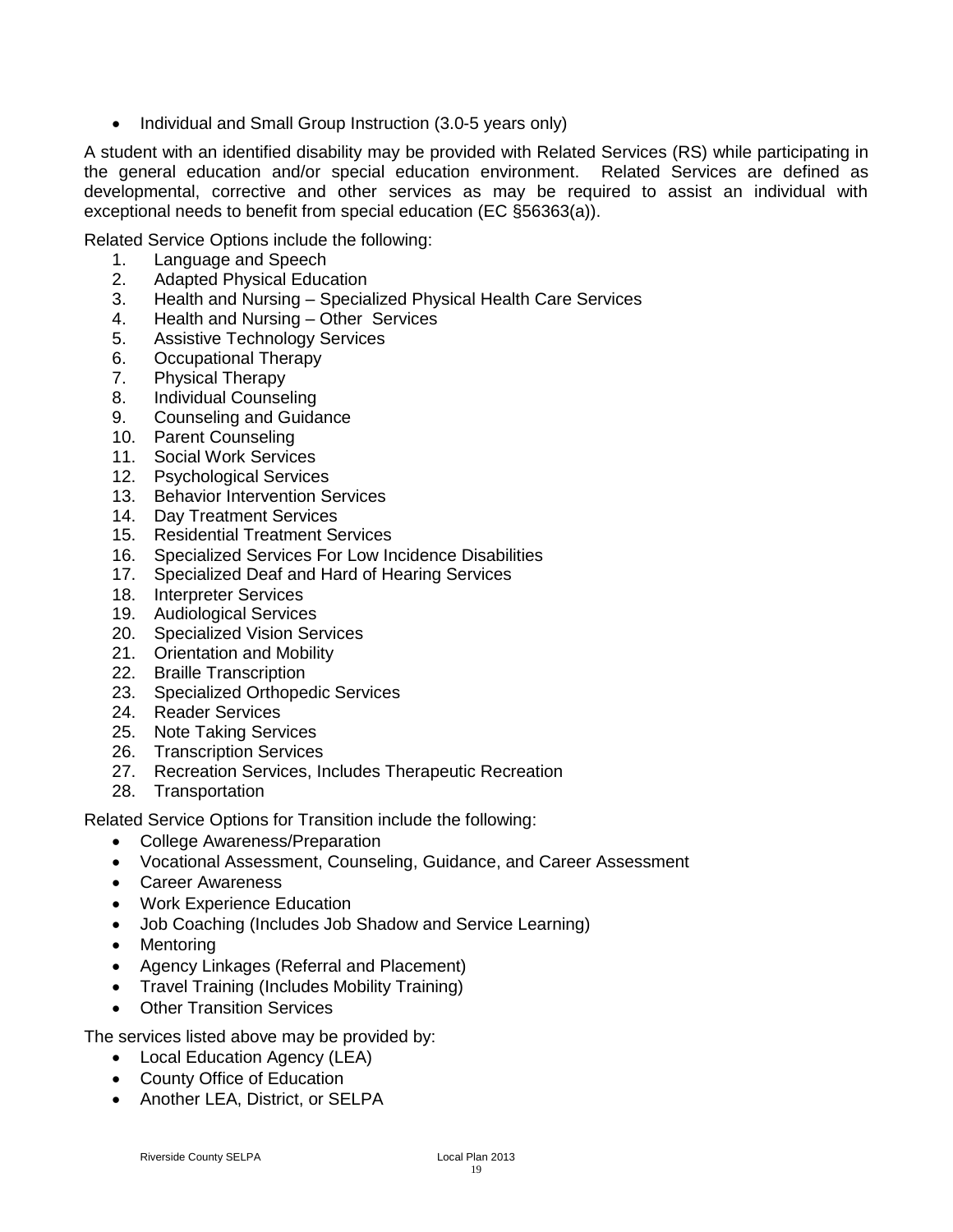• Individual and Small Group Instruction (3.0-5 years only)

A student with an identified disability may be provided with Related Services (RS) while participating in the general education and/or special education environment. Related Services are defined as developmental, corrective and other services as may be required to assist an individual with exceptional needs to benefit from special education (EC §56363(a)).

Related Service Options include the following:

- 1. Language and Speech
- 2. Adapted Physical Education
- 3. Health and Nursing Specialized Physical Health Care Services
- 4. Health and Nursing Other Services
- 5. Assistive Technology Services
- 6. Occupational Therapy
- 7. Physical Therapy
- 8. Individual Counseling
- 9. Counseling and Guidance
- 10. Parent Counseling
- 11. Social Work Services
- 12. Psychological Services
- 13. Behavior Intervention Services
- 14. Day Treatment Services
- 15. Residential Treatment Services
- 16. Specialized Services For Low Incidence Disabilities
- 17. Specialized Deaf and Hard of Hearing Services
- 18. Interpreter Services
- 19. Audiological Services
- 20. Specialized Vision Services
- 21. Orientation and Mobility
- 22. Braille Transcription
- 23. Specialized Orthopedic Services
- 24. Reader Services
- 25. Note Taking Services
- 26. Transcription Services
- 27. Recreation Services, Includes Therapeutic Recreation
- 28. Transportation

Related Service Options for Transition include the following:

- College Awareness/Preparation
- Vocational Assessment, Counseling, Guidance, and Career Assessment
- Career Awareness
- Work Experience Education
- Job Coaching (Includes Job Shadow and Service Learning)
- Mentoring
- Agency Linkages (Referral and Placement)
- Travel Training (Includes Mobility Training)
- Other Transition Services

The services listed above may be provided by:

- Local Education Agency (LEA)
- County Office of Education
- Another LEA, District, or SELPA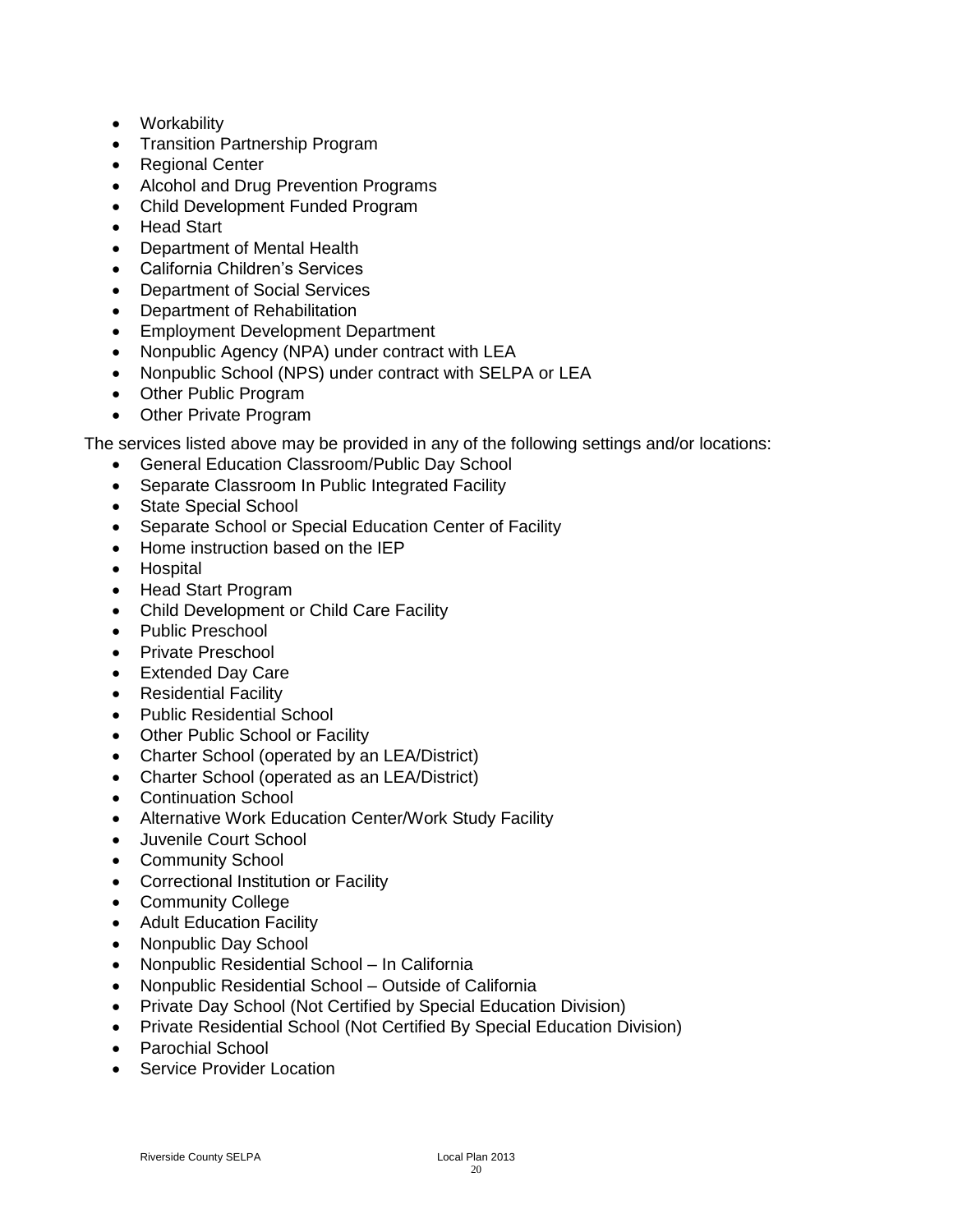- Workability
- Transition Partnership Program
- Regional Center
- Alcohol and Drug Prevention Programs
- Child Development Funded Program
- Head Start
- Department of Mental Health
- California Children's Services
- Department of Social Services
- Department of Rehabilitation
- Employment Development Department
- Nonpublic Agency (NPA) under contract with LEA
- Nonpublic School (NPS) under contract with SELPA or LEA
- Other Public Program
- Other Private Program

The services listed above may be provided in any of the following settings and/or locations:

- General Education Classroom/Public Day School
- Separate Classroom In Public Integrated Facility
- State Special School
- Separate School or Special Education Center of Facility
- Home instruction based on the IEP
- Hospital
- Head Start Program
- Child Development or Child Care Facility
- Public Preschool
- Private Preschool
- Extended Dav Care
- Residential Facility
- Public Residential School
- Other Public School or Facility
- Charter School (operated by an LEA/District)
- Charter School (operated as an LEA/District)
- Continuation School
- Alternative Work Education Center/Work Study Facility
- Juvenile Court School
- Community School
- Correctional Institution or Facility
- Community College
- Adult Education Facility
- Nonpublic Day School
- Nonpublic Residential School In California
- Nonpublic Residential School Outside of California
- Private Day School (Not Certified by Special Education Division)
- Private Residential School (Not Certified By Special Education Division)
- Parochial School
- Service Provider Location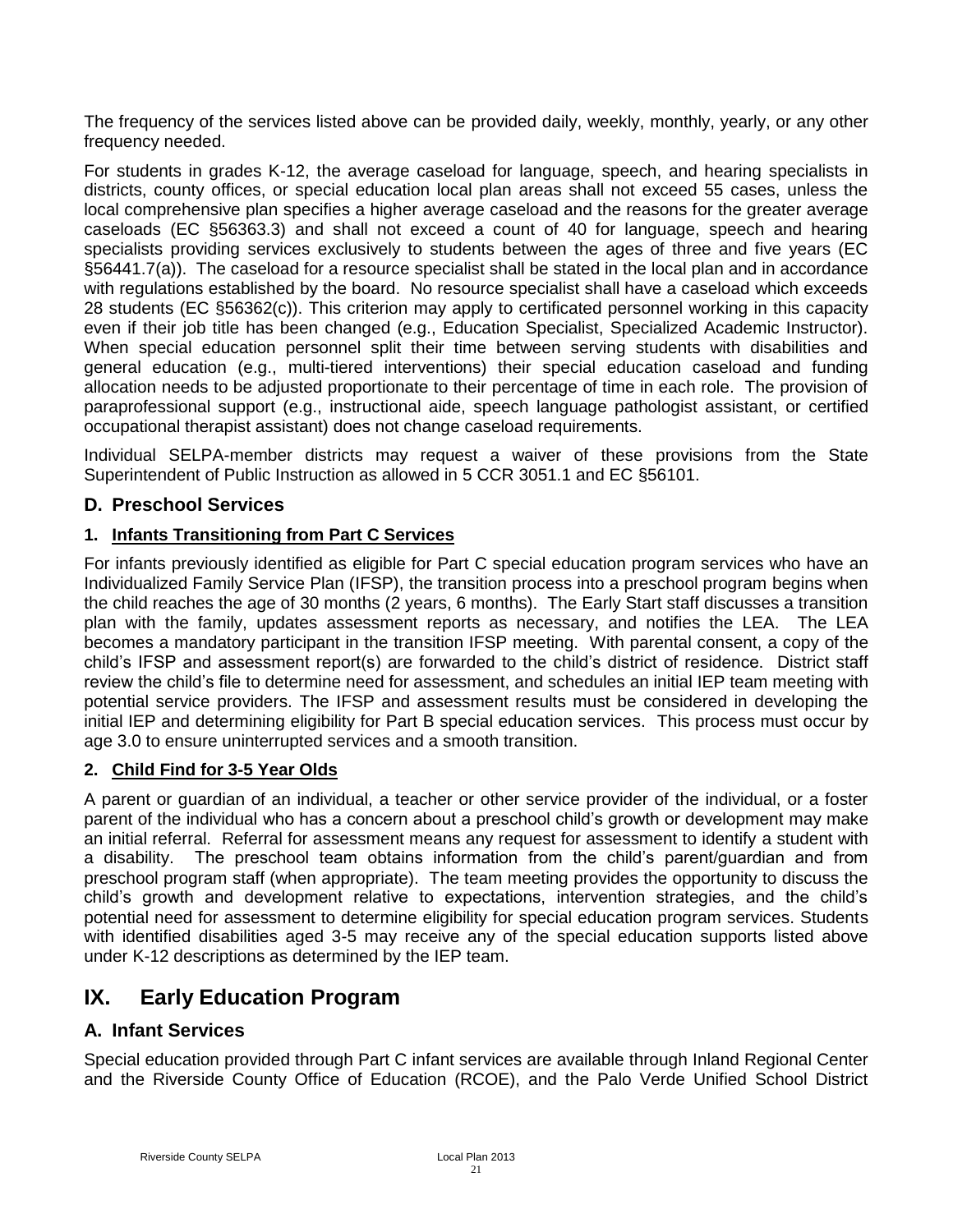The frequency of the services listed above can be provided daily, weekly, monthly, yearly, or any other frequency needed.

For students in grades K-12, the average caseload for language, speech, and hearing specialists in districts, county offices, or special education local plan areas shall not exceed 55 cases, unless the local comprehensive plan specifies a higher average caseload and the reasons for the greater average caseloads (EC §56363.3) and shall not exceed a count of 40 for language, speech and hearing specialists providing services exclusively to students between the ages of three and five years (EC §56441.7(a)). The caseload for a resource specialist shall be stated in the local plan and in accordance with regulations established by the board. No resource specialist shall have a caseload which exceeds 28 students (EC §56362(c)). This criterion may apply to certificated personnel working in this capacity even if their job title has been changed (e.g., Education Specialist, Specialized Academic Instructor). When special education personnel split their time between serving students with disabilities and general education (e.g., multi-tiered interventions) their special education caseload and funding allocation needs to be adjusted proportionate to their percentage of time in each role. The provision of paraprofessional support (e.g., instructional aide, speech language pathologist assistant, or certified occupational therapist assistant) does not change caseload requirements.

Individual SELPA-member districts may request a waiver of these provisions from the State Superintendent of Public Instruction as allowed in 5 CCR 3051.1 and EC §56101.

## <span id="page-20-0"></span>**D. Preschool Services**

### **1. Infants Transitioning from Part C Services**

For infants previously identified as eligible for Part C special education program services who have an Individualized Family Service Plan (IFSP), the transition process into a preschool program begins when the child reaches the age of 30 months (2 years, 6 months). The Early Start staff discusses a transition plan with the family, updates assessment reports as necessary, and notifies the LEA. The LEA becomes a mandatory participant in the transition IFSP meeting. With parental consent, a copy of the child's IFSP and assessment report(s) are forwarded to the child's district of residence. District staff review the child's file to determine need for assessment, and schedules an initial IEP team meeting with potential service providers. The IFSP and assessment results must be considered in developing the initial IEP and determining eligibility for Part B special education services. This process must occur by age 3.0 to ensure uninterrupted services and a smooth transition.

## **2. Child Find for 3-5 Year Olds**

A parent or guardian of an individual, a teacher or other service provider of the individual, or a foster parent of the individual who has a concern about a preschool child's growth or development may make an initial referral. Referral for assessment means any request for assessment to identify a student with a disability. The preschool team obtains information from the child's parent/guardian and from preschool program staff (when appropriate). The team meeting provides the opportunity to discuss the child's growth and development relative to expectations, intervention strategies, and the child's potential need for assessment to determine eligibility for special education program services. Students with identified disabilities aged 3-5 may receive any of the special education supports listed above under K-12 descriptions as determined by the IEP team.

# <span id="page-20-1"></span>**IX. Early Education Program**

## <span id="page-20-2"></span>**A. Infant Services**

Special education provided through Part C infant services are available through Inland Regional Center and the Riverside County Office of Education (RCOE), and the Palo Verde Unified School District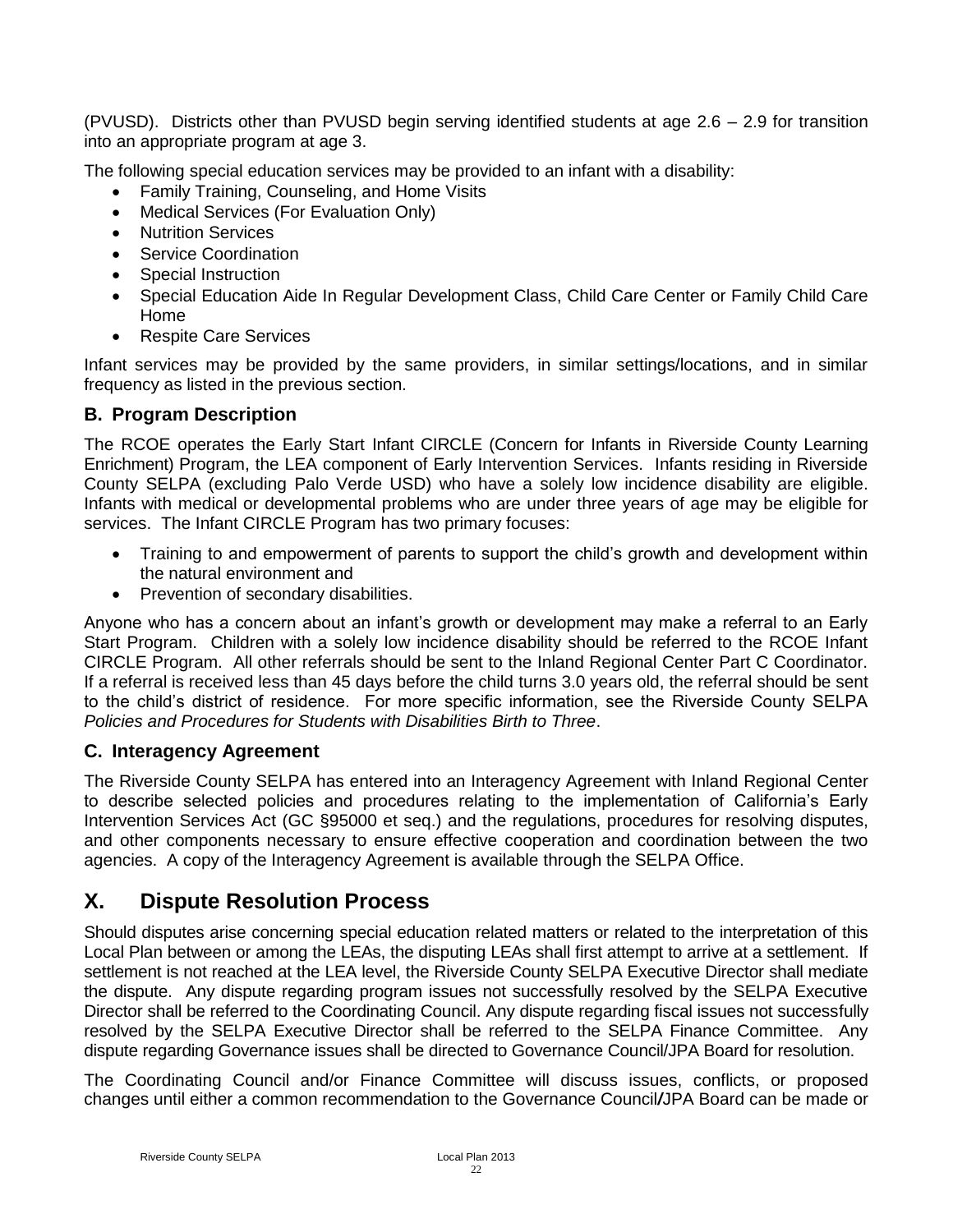(PVUSD). Districts other than PVUSD begin serving identified students at age 2.6 – 2.9 for transition into an appropriate program at age 3.

The following special education services may be provided to an infant with a disability:

- Family Training, Counseling, and Home Visits
- Medical Services (For Evaluation Only)
- Nutrition Services
- Service Coordination
- Special Instruction
- Special Education Aide In Regular Development Class, Child Care Center or Family Child Care Home
- Respite Care Services

Infant services may be provided by the same providers, in similar settings/locations, and in similar frequency as listed in the previous section.

## <span id="page-21-0"></span>**B. Program Description**

The RCOE operates the Early Start Infant CIRCLE (Concern for Infants in Riverside County Learning Enrichment) Program, the LEA component of Early Intervention Services. Infants residing in Riverside County SELPA (excluding Palo Verde USD) who have a solely low incidence disability are eligible. Infants with medical or developmental problems who are under three years of age may be eligible for services. The Infant CIRCLE Program has two primary focuses:

- Training to and empowerment of parents to support the child's growth and development within the natural environment and
- Prevention of secondary disabilities.

Anyone who has a concern about an infant's growth or development may make a referral to an Early Start Program. Children with a solely low incidence disability should be referred to the RCOE Infant CIRCLE Program. All other referrals should be sent to the Inland Regional Center Part C Coordinator. If a referral is received less than 45 days before the child turns 3.0 years old, the referral should be sent to the child's district of residence. For more specific information, see the Riverside County SELPA *Policies and Procedures for Students with Disabilities Birth to Three*.

## <span id="page-21-1"></span>**C. Interagency Agreement**

The Riverside County SELPA has entered into an Interagency Agreement with Inland Regional Center to describe selected policies and procedures relating to the implementation of California's Early Intervention Services Act (GC §95000 et seq.) and the regulations, procedures for resolving disputes, and other components necessary to ensure effective cooperation and coordination between the two agencies. A copy of the Interagency Agreement is available through the SELPA Office.

# <span id="page-21-2"></span>**X. Dispute Resolution Process**

Should disputes arise concerning special education related matters or related to the interpretation of this Local Plan between or among the LEAs, the disputing LEAs shall first attempt to arrive at a settlement. If settlement is not reached at the LEA level, the Riverside County SELPA Executive Director shall mediate the dispute. Any dispute regarding program issues not successfully resolved by the SELPA Executive Director shall be referred to the Coordinating Council. Any dispute regarding fiscal issues not successfully resolved by the SELPA Executive Director shall be referred to the SELPA Finance Committee. Any dispute regarding Governance issues shall be directed to Governance Council/JPA Board for resolution.

The Coordinating Council and/or Finance Committee will discuss issues, conflicts, or proposed changes until either a common recommendation to the Governance Council*/*JPA Board can be made or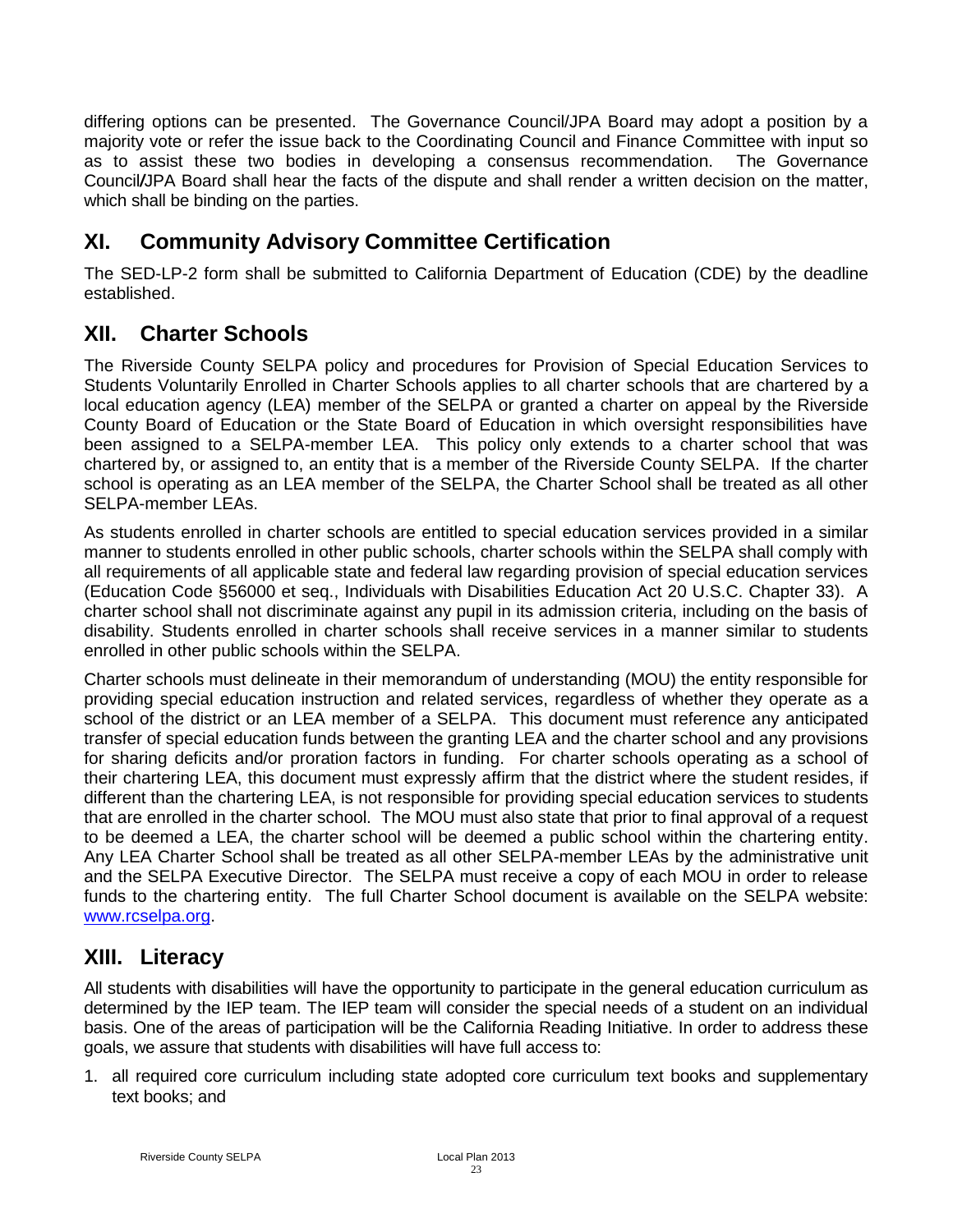differing options can be presented. The Governance Council/JPA Board may adopt a position by a majority vote or refer the issue back to the Coordinating Council and Finance Committee with input so as to assist these two bodies in developing a consensus recommendation. The Governance Council*/*JPA Board shall hear the facts of the dispute and shall render a written decision on the matter, which shall be binding on the parties.

# <span id="page-22-0"></span>**XI. Community Advisory Committee Certification**

The SED-LP-2 form shall be submitted to California Department of Education (CDE) by the deadline established.

# <span id="page-22-1"></span>**XII. Charter Schools**

The Riverside County SELPA policy and procedures for Provision of Special Education Services to Students Voluntarily Enrolled in Charter Schools applies to all charter schools that are chartered by a local education agency (LEA) member of the SELPA or granted a charter on appeal by the Riverside County Board of Education or the State Board of Education in which oversight responsibilities have been assigned to a SELPA-member LEA. This policy only extends to a charter school that was chartered by, or assigned to, an entity that is a member of the Riverside County SELPA. If the charter school is operating as an LEA member of the SELPA, the Charter School shall be treated as all other SELPA-member LEAs.

As students enrolled in charter schools are entitled to special education services provided in a similar manner to students enrolled in other public schools, charter schools within the SELPA shall comply with all requirements of all applicable state and federal law regarding provision of special education services (Education Code §56000 et seq., Individuals with Disabilities Education Act 20 U.S.C. Chapter 33). A charter school shall not discriminate against any pupil in its admission criteria, including on the basis of disability. Students enrolled in charter schools shall receive services in a manner similar to students enrolled in other public schools within the SELPA.

Charter schools must delineate in their memorandum of understanding (MOU) the entity responsible for providing special education instruction and related services, regardless of whether they operate as a school of the district or an LEA member of a SELPA. This document must reference any anticipated transfer of special education funds between the granting LEA and the charter school and any provisions for sharing deficits and/or proration factors in funding. For charter schools operating as a school of their chartering LEA, this document must expressly affirm that the district where the student resides, if different than the chartering LEA, is not responsible for providing special education services to students that are enrolled in the charter school. The MOU must also state that prior to final approval of a request to be deemed a LEA, the charter school will be deemed a public school within the chartering entity. Any LEA Charter School shall be treated as all other SELPA-member LEAs by the administrative unit and the SELPA Executive Director. The SELPA must receive a copy of each MOU in order to release funds to the chartering entity. The full Charter School document is available on the SELPA website: [www.rcselpa.org.](http://www.rcselpa.org/)

# <span id="page-22-2"></span>**XIII. Literacy**

All students with disabilities will have the opportunity to participate in the general education curriculum as determined by the IEP team. The IEP team will consider the special needs of a student on an individual basis. One of the areas of participation will be the California Reading Initiative. In order to address these goals, we assure that students with disabilities will have full access to:

1. all required core curriculum including state adopted core curriculum text books and supplementary text books; and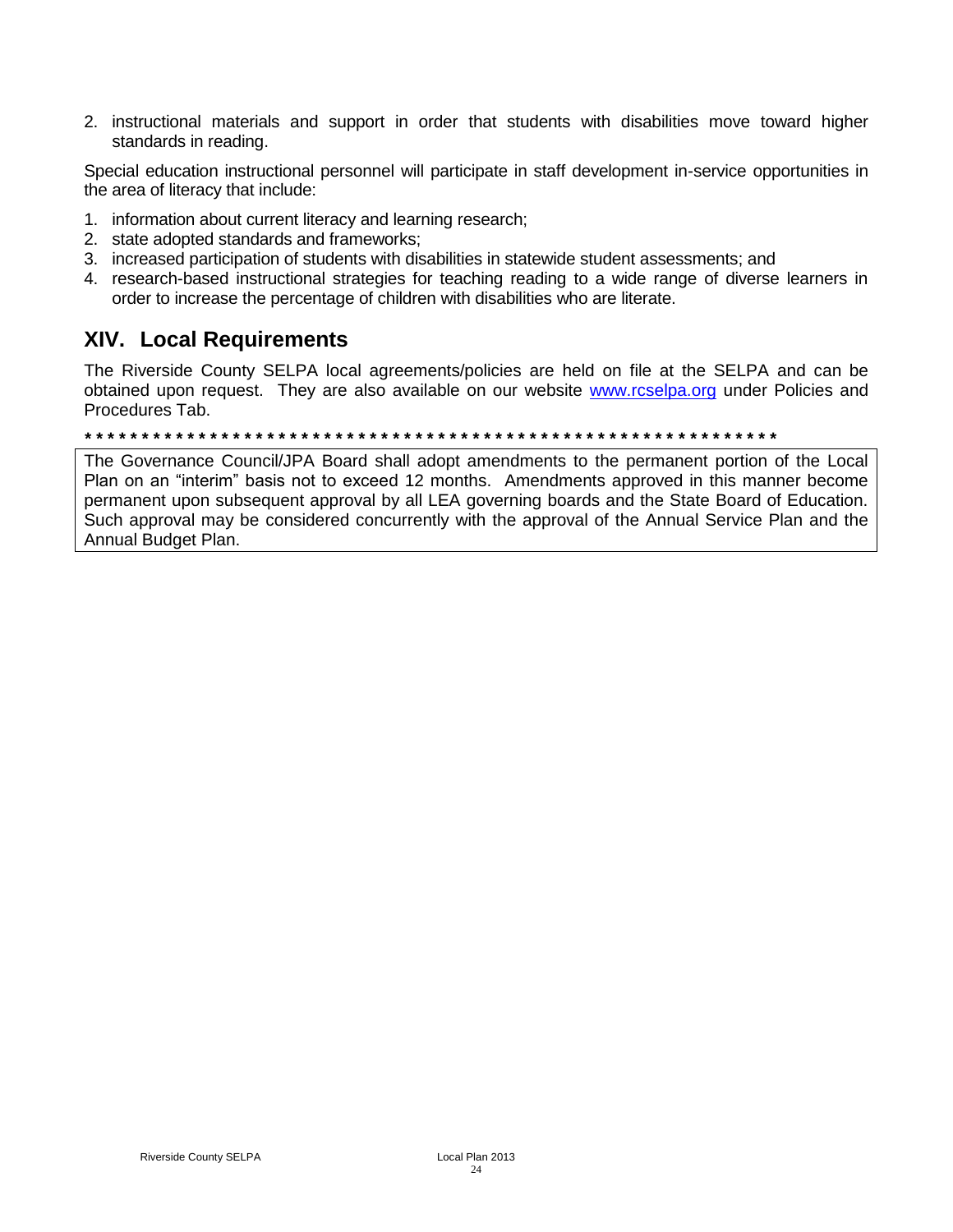2. instructional materials and support in order that students with disabilities move toward higher standards in reading.

Special education instructional personnel will participate in staff development in-service opportunities in the area of literacy that include:

- 1. information about current literacy and learning research;
- 2. state adopted standards and frameworks;
- 3. increased participation of students with disabilities in statewide student assessments; and
- 4. research-based instructional strategies for teaching reading to a wide range of diverse learners in order to increase the percentage of children with disabilities who are literate.

## <span id="page-23-0"></span>**XIV. Local Requirements**

The Riverside County SELPA local agreements/policies are held on file at the SELPA and can be obtained upon request. They are also available on our website [www.rcselpa.org](http://www.rcselpa.org/) under Policies and Procedures Tab.

*\* \* \* \* \* \* \* \* \* \* \* \* \* \* \* \* \* \* \* \* \* \* \* \* \* \* \* \* \* \* \* \* \* \* \* \* \* \* \* \* \* \* \* \* \* \* \* \* \* \* \* \* \* \* \* \* \* \* \* \* \** 

The Governance Council/JPA Board shall adopt amendments to the permanent portion of the Local Plan on an "interim" basis not to exceed 12 months. Amendments approved in this manner become permanent upon subsequent approval by all LEA governing boards and the State Board of Education. Such approval may be considered concurrently with the approval of the Annual Service Plan and the Annual Budget Plan.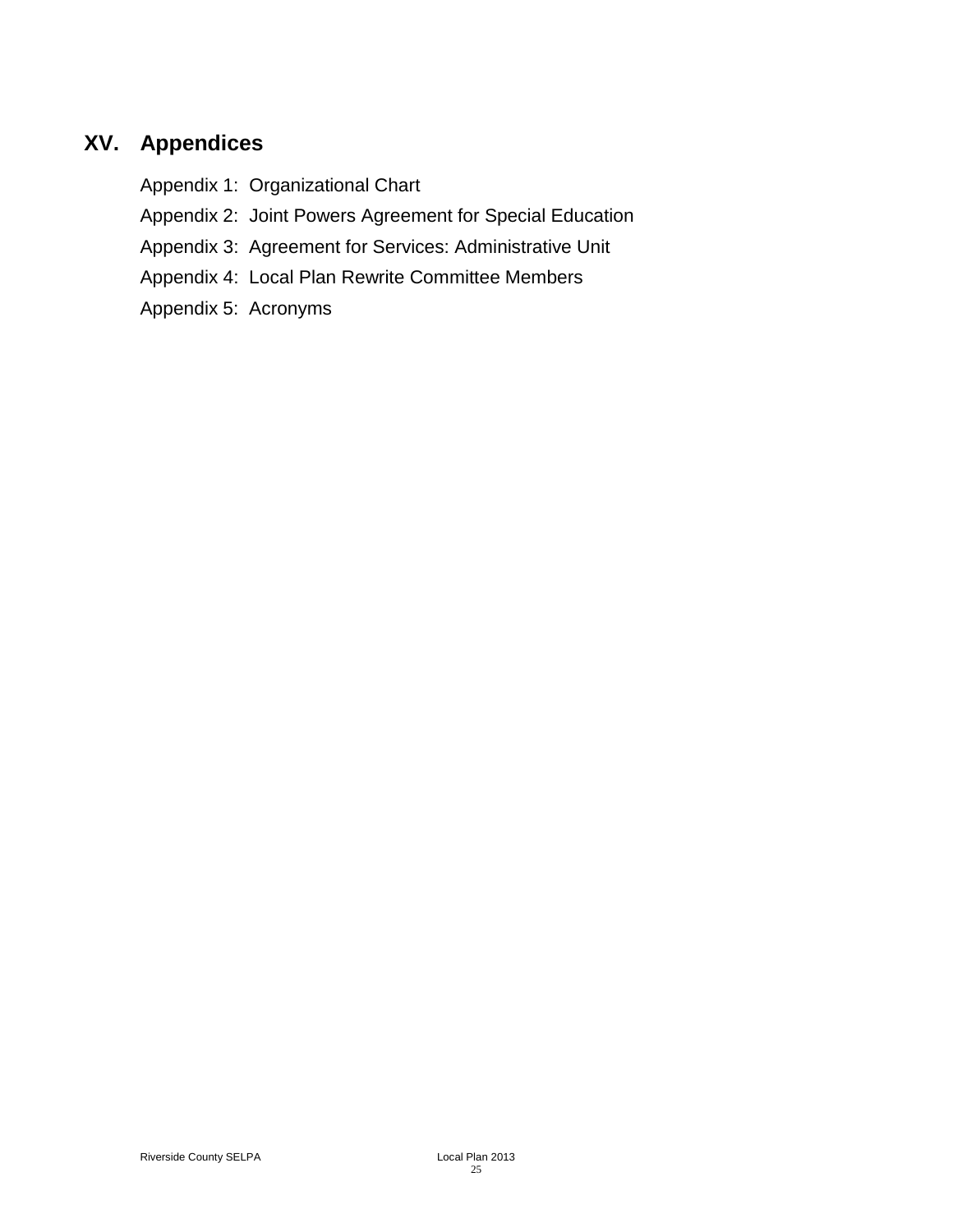# <span id="page-24-0"></span>**XV. Appendices**

Appendix 1: Organizational Chart

Appendix 2: Joint Powers Agreement for Special Education

Appendix 3: Agreement for Services: Administrative Unit

Appendix 4: Local Plan Rewrite Committee Members

Appendix 5: Acronyms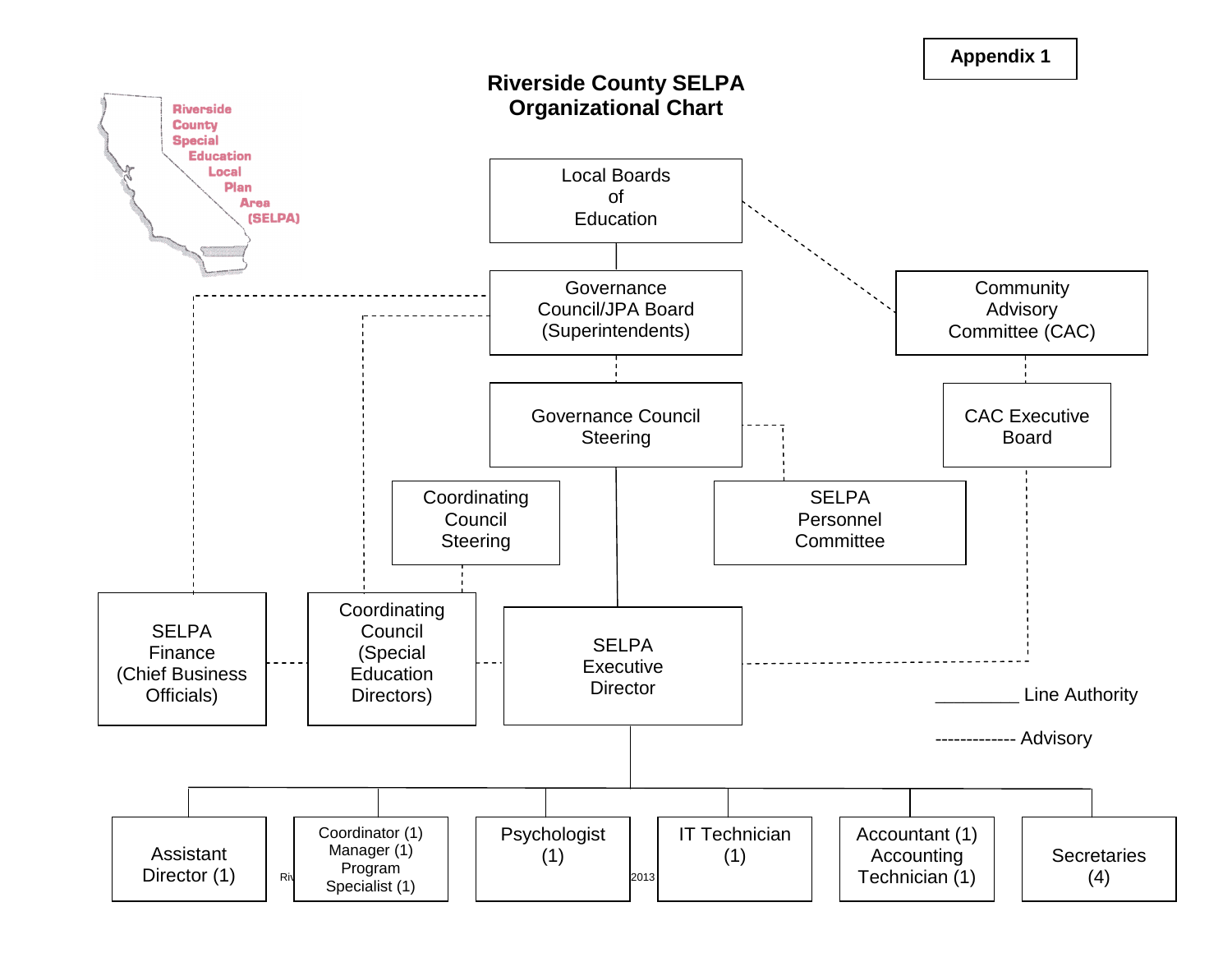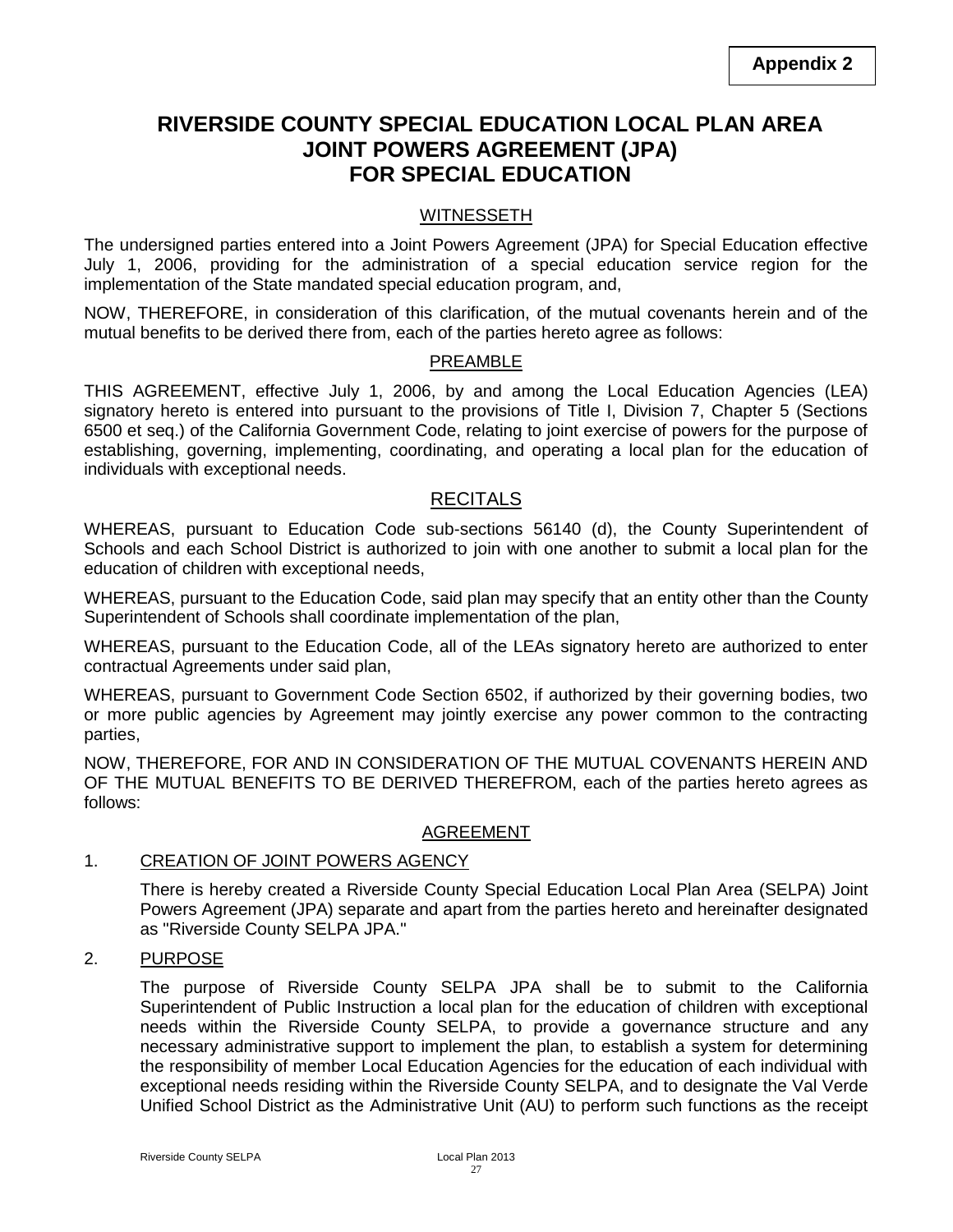# **RIVERSIDE COUNTY SPECIAL EDUCATION LOCAL PLAN AREA JOINT POWERS AGREEMENT (JPA) FOR SPECIAL EDUCATION**

### **WITNESSETH**

The undersigned parties entered into a Joint Powers Agreement (JPA) for Special Education effective July 1, 2006, providing for the administration of a special education service region for the implementation of the State mandated special education program, and,

NOW, THEREFORE, in consideration of this clarification, of the mutual covenants herein and of the mutual benefits to be derived there from, each of the parties hereto agree as follows:

### PREAMBLE

THIS AGREEMENT, effective July 1, 2006, by and among the Local Education Agencies (LEA) signatory hereto is entered into pursuant to the provisions of Title I, Division 7, Chapter 5 (Sections 6500 et seq.) of the California Government Code, relating to joint exercise of powers for the purpose of establishing, governing, implementing, coordinating, and operating a local plan for the education of individuals with exceptional needs.

### **RECITALS**

WHEREAS, pursuant to Education Code sub-sections 56140 (d), the County Superintendent of Schools and each School District is authorized to join with one another to submit a local plan for the education of children with exceptional needs,

WHEREAS, pursuant to the Education Code, said plan may specify that an entity other than the County Superintendent of Schools shall coordinate implementation of the plan,

WHEREAS, pursuant to the Education Code, all of the LEAs signatory hereto are authorized to enter contractual Agreements under said plan,

WHEREAS, pursuant to Government Code Section 6502, if authorized by their governing bodies, two or more public agencies by Agreement may jointly exercise any power common to the contracting parties,

NOW, THEREFORE, FOR AND IN CONSIDERATION OF THE MUTUAL COVENANTS HEREIN AND OF THE MUTUAL BENEFITS TO BE DERIVED THEREFROM, each of the parties hereto agrees as follows:

### AGREEMENT

### 1. CREATION OF JOINT POWERS AGENCY

There is hereby created a Riverside County Special Education Local Plan Area (SELPA) Joint Powers Agreement (JPA) separate and apart from the parties hereto and hereinafter designated as "Riverside County SELPA JPA."

### 2. PURPOSE

The purpose of Riverside County SELPA JPA shall be to submit to the California Superintendent of Public Instruction a local plan for the education of children with exceptional needs within the Riverside County SELPA, to provide a governance structure and any necessary administrative support to implement the plan, to establish a system for determining the responsibility of member Local Education Agencies for the education of each individual with exceptional needs residing within the Riverside County SELPA, and to designate the Val Verde Unified School District as the Administrative Unit (AU) to perform such functions as the receipt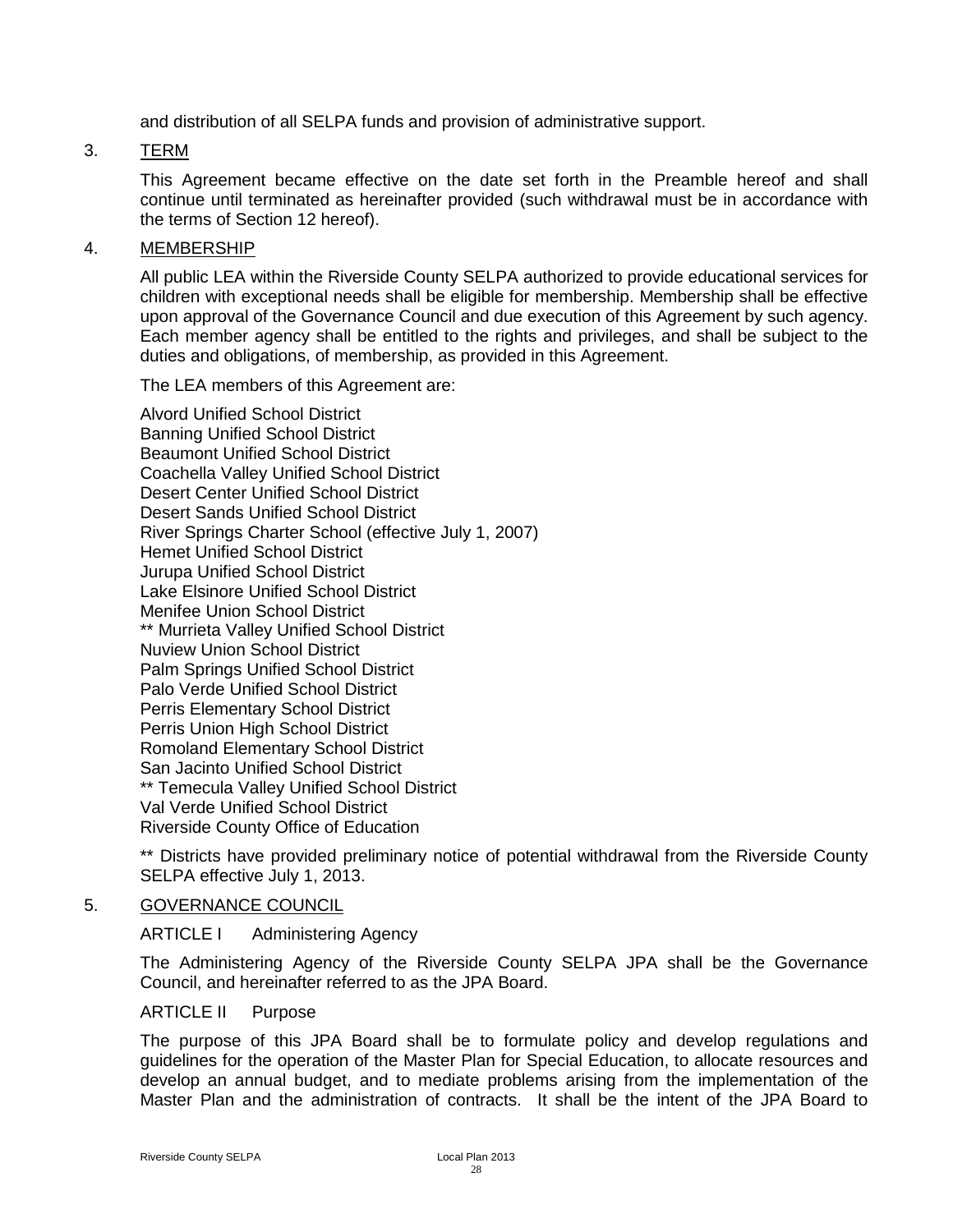and distribution of all SELPA funds and provision of administrative support.

### 3. TERM

This Agreement became effective on the date set forth in the Preamble hereof and shall continue until terminated as hereinafter provided (such withdrawal must be in accordance with the terms of Section 12 hereof).

### 4. MEMBERSHIP

All public LEA within the Riverside County SELPA authorized to provide educational services for children with exceptional needs shall be eligible for membership. Membership shall be effective upon approval of the Governance Council and due execution of this Agreement by such agency. Each member agency shall be entitled to the rights and privileges, and shall be subject to the duties and obligations, of membership, as provided in this Agreement.

The LEA members of this Agreement are:

Alvord Unified School District Banning Unified School District Beaumont Unified School District Coachella Valley Unified School District Desert Center Unified School District Desert Sands Unified School District River Springs Charter School (effective July 1, 2007) Hemet Unified School District Jurupa Unified School District Lake Elsinore Unified School District Menifee Union School District \*\* Murrieta Valley Unified School District Nuview Union School District Palm Springs Unified School District Palo Verde Unified School District Perris Elementary School District Perris Union High School District Romoland Elementary School District San Jacinto Unified School District \*\* Temecula Valley Unified School District Val Verde Unified School District Riverside County Office of Education

\*\* Districts have provided preliminary notice of potential withdrawal from the Riverside County SELPA effective July 1, 2013.

### 5. GOVERNANCE COUNCIL

ARTICLE I Administering Agency

The Administering Agency of the Riverside County SELPA JPA shall be the Governance Council, and hereinafter referred to as the JPA Board.

### ARTICLE II Purpose

The purpose of this JPA Board shall be to formulate policy and develop regulations and guidelines for the operation of the Master Plan for Special Education, to allocate resources and develop an annual budget, and to mediate problems arising from the implementation of the Master Plan and the administration of contracts. It shall be the intent of the JPA Board to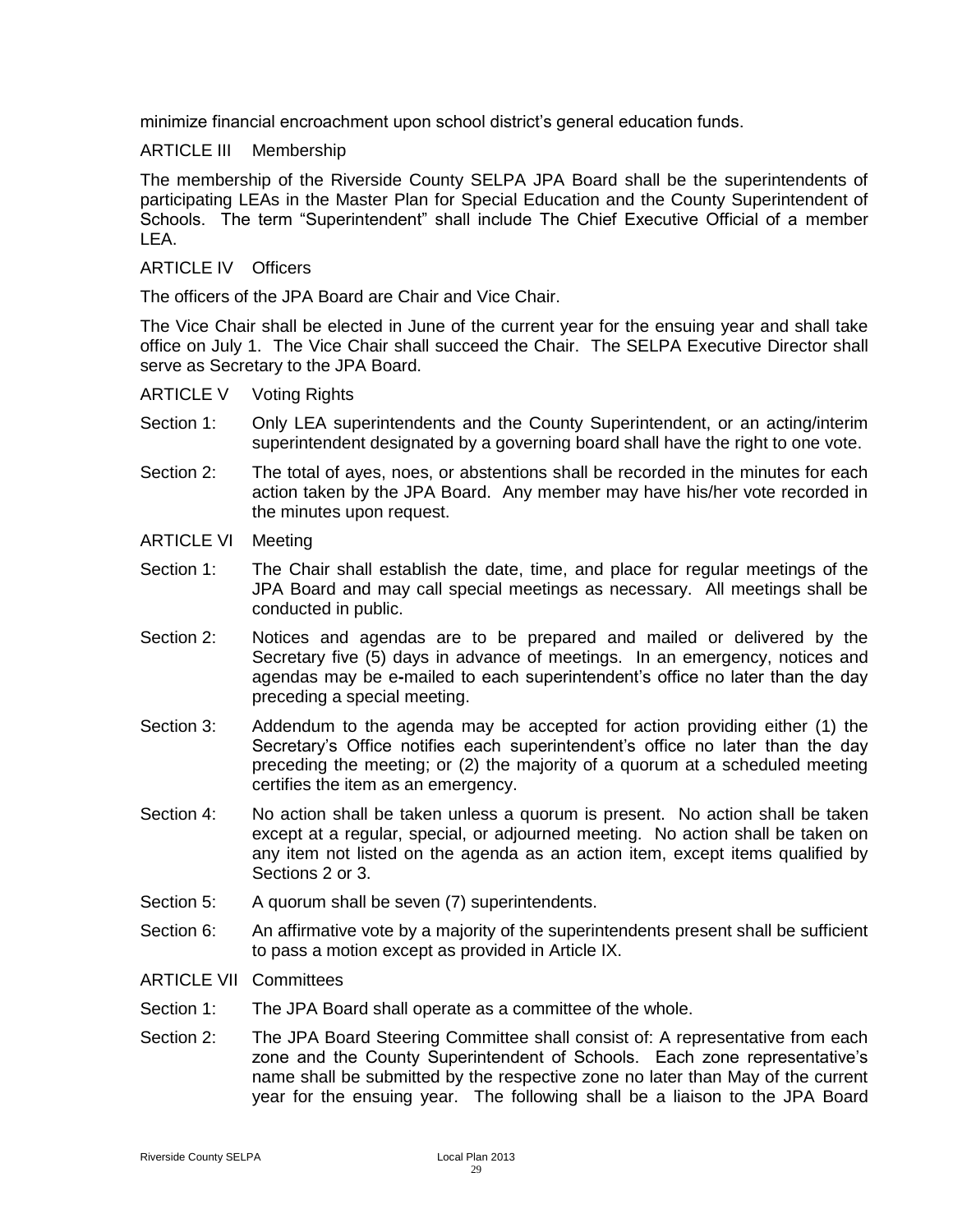minimize financial encroachment upon school district's general education funds.

### ARTICLE III Membership

The membership of the Riverside County SELPA JPA Board shall be the superintendents of participating LEAs in the Master Plan for Special Education and the County Superintendent of Schools. The term "Superintendent" shall include The Chief Executive Official of a member LEA.

### ARTICLE IV Officers

The officers of the JPA Board are Chair and Vice Chair.

The Vice Chair shall be elected in June of the current year for the ensuing year and shall take office on July 1. The Vice Chair shall succeed the Chair. The SELPA Executive Director shall serve as Secretary to the JPA Board.

- ARTICLE V Voting Rights
- Section 1: Only LEA superintendents and the County Superintendent, or an acting/interim superintendent designated by a governing board shall have the right to one vote.
- Section 2: The total of ayes, noes, or abstentions shall be recorded in the minutes for each action taken by the JPA Board. Any member may have his/her vote recorded in the minutes upon request.
- ARTICLE VI Meeting
- Section 1: The Chair shall establish the date, time, and place for regular meetings of the JPA Board and may call special meetings as necessary. All meetings shall be conducted in public.
- Section 2: Notices and agendas are to be prepared and mailed or delivered by the Secretary five (5) days in advance of meetings. In an emergency, notices and agendas may be e**-**mailed to each superintendent's office no later than the day preceding a special meeting.
- Section 3: Addendum to the agenda may be accepted for action providing either (1) the Secretary's Office notifies each superintendent's office no later than the day preceding the meeting; or (2) the majority of a quorum at a scheduled meeting certifies the item as an emergency.
- Section 4: No action shall be taken unless a quorum is present. No action shall be taken except at a regular, special, or adjourned meeting. No action shall be taken on any item not listed on the agenda as an action item, except items qualified by Sections 2 or 3.
- Section 5: A quorum shall be seven (7) superintendents.
- Section 6: An affirmative vote by a majority of the superintendents present shall be sufficient to pass a motion except as provided in Article IX.
- ARTICLE VII Committees
- Section 1: The JPA Board shall operate as a committee of the whole.
- Section 2: The JPA Board Steering Committee shall consist of: A representative from each zone and the County Superintendent of Schools. Each zone representative's name shall be submitted by the respective zone no later than May of the current year for the ensuing year. The following shall be a liaison to the JPA Board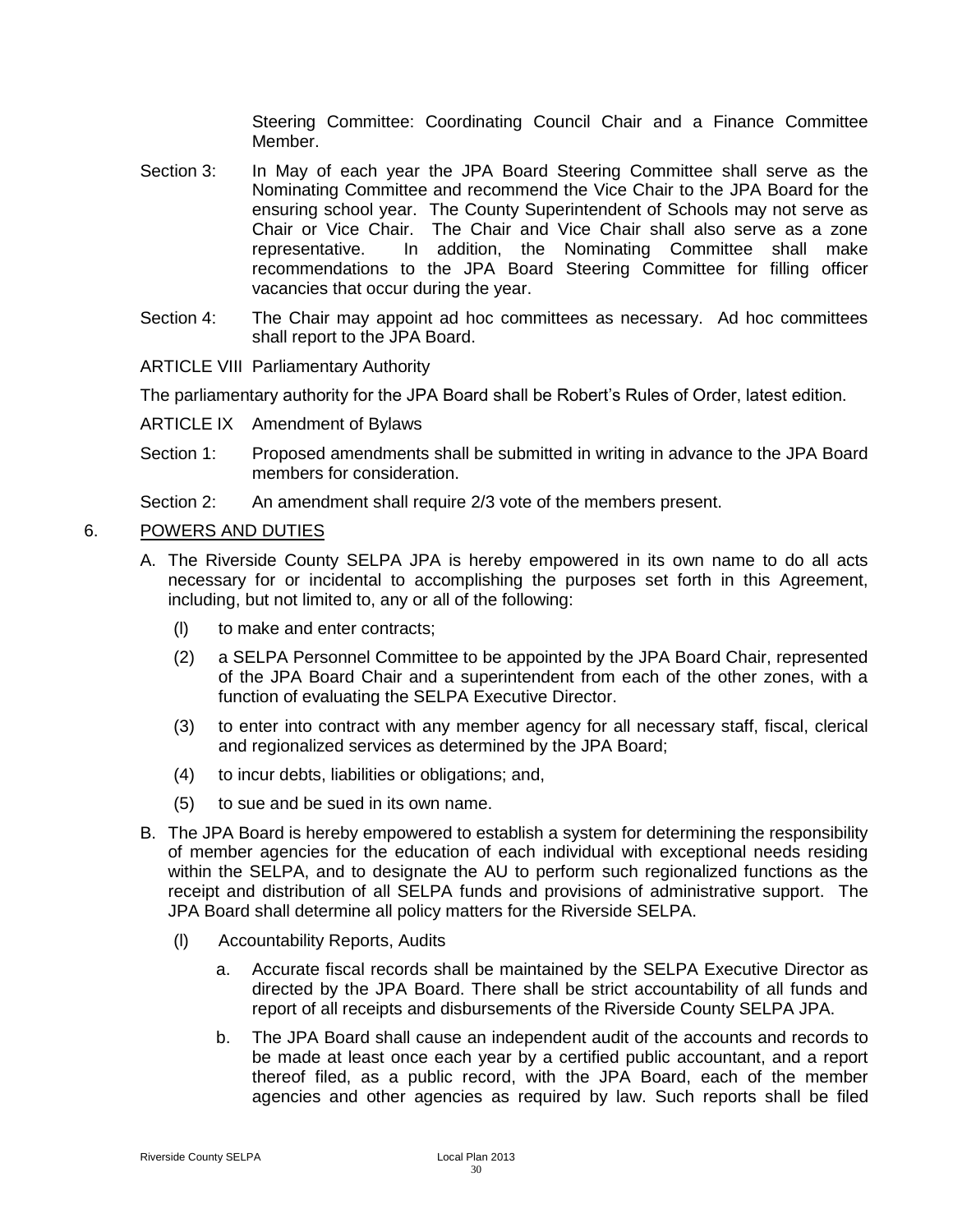Steering Committee: Coordinating Council Chair and a Finance Committee Member.

- Section 3: In May of each year the JPA Board Steering Committee shall serve as the Nominating Committee and recommend the Vice Chair to the JPA Board for the ensuring school year. The County Superintendent of Schools may not serve as Chair or Vice Chair. The Chair and Vice Chair shall also serve as a zone representative. In addition, the Nominating Committee shall make recommendations to the JPA Board Steering Committee for filling officer vacancies that occur during the year.
- Section 4: The Chair may appoint ad hoc committees as necessary. Ad hoc committees shall report to the JPA Board.
- ARTICLE VIII Parliamentary Authority

The parliamentary authority for the JPA Board shall be Robert's Rules of Order, latest edition.

- ARTICLE IX Amendment of Bylaws
- Section 1: Proposed amendments shall be submitted in writing in advance to the JPA Board members for consideration.
- Section 2: An amendment shall require 2/3 vote of the members present.

### 6. POWERS AND DUTIES

- A. The Riverside County SELPA JPA is hereby empowered in its own name to do all acts necessary for or incidental to accomplishing the purposes set forth in this Agreement, including, but not limited to, any or all of the following:
	- (l) to make and enter contracts;
	- (2) a SELPA Personnel Committee to be appointed by the JPA Board Chair, represented of the JPA Board Chair and a superintendent from each of the other zones, with a function of evaluating the SELPA Executive Director.
	- (3) to enter into contract with any member agency for all necessary staff, fiscal, clerical and regionalized services as determined by the JPA Board;
	- (4) to incur debts, liabilities or obligations; and,
	- (5) to sue and be sued in its own name.
- B. The JPA Board is hereby empowered to establish a system for determining the responsibility of member agencies for the education of each individual with exceptional needs residing within the SELPA, and to designate the AU to perform such regionalized functions as the receipt and distribution of all SELPA funds and provisions of administrative support. The JPA Board shall determine all policy matters for the Riverside SELPA.
	- (l) Accountability Reports, Audits
		- a. Accurate fiscal records shall be maintained by the SELPA Executive Director as directed by the JPA Board. There shall be strict accountability of all funds and report of all receipts and disbursements of the Riverside County SELPA JPA.
		- b. The JPA Board shall cause an independent audit of the accounts and records to be made at least once each year by a certified public accountant, and a report thereof filed, as a public record, with the JPA Board, each of the member agencies and other agencies as required by law. Such reports shall be filed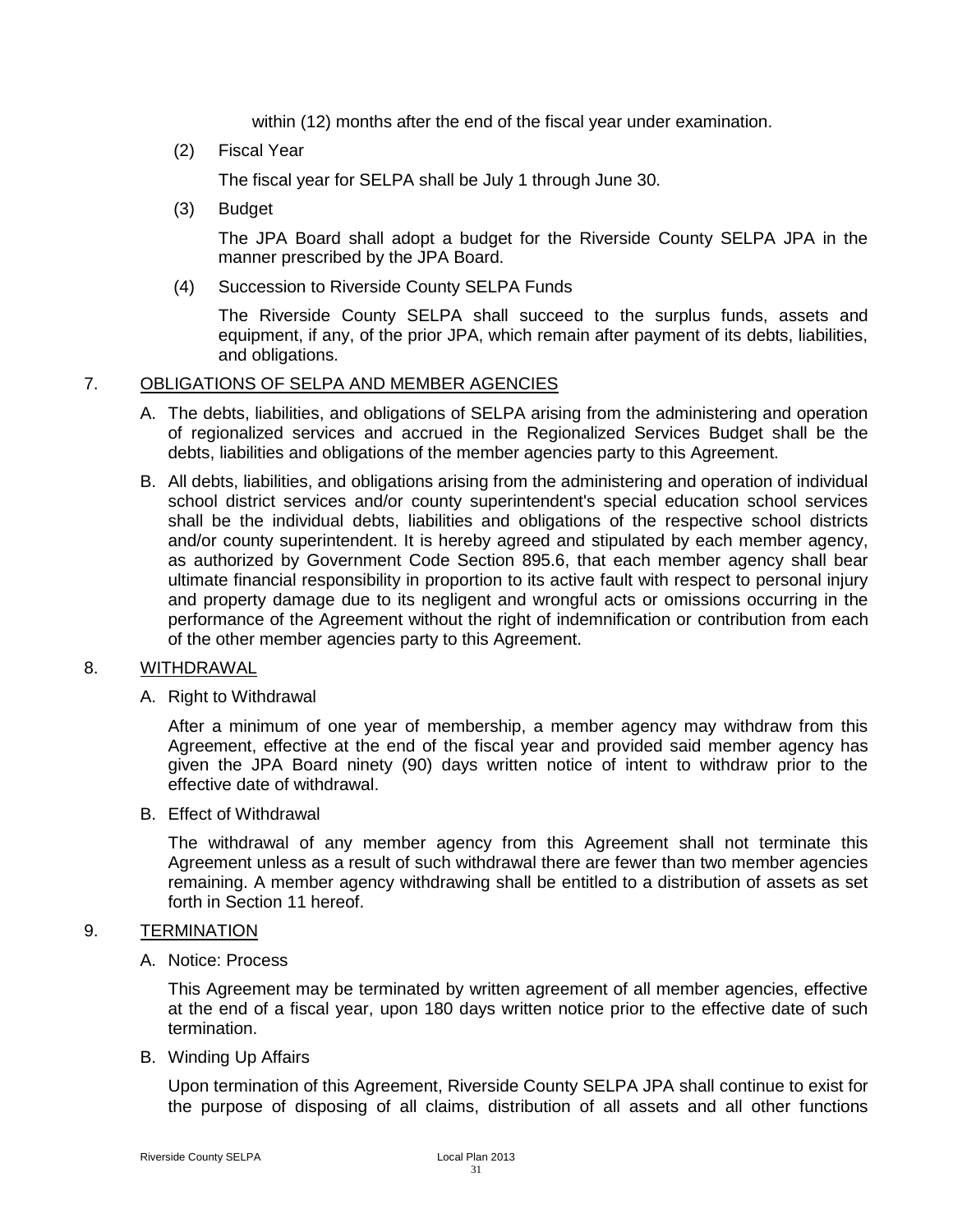within (12) months after the end of the fiscal year under examination.

(2) Fiscal Year

The fiscal year for SELPA shall be July 1 through June 30.

(3) Budget

The JPA Board shall adopt a budget for the Riverside County SELPA JPA in the manner prescribed by the JPA Board.

(4) Succession to Riverside County SELPA Funds

The Riverside County SELPA shall succeed to the surplus funds, assets and equipment, if any, of the prior JPA, which remain after payment of its debts, liabilities, and obligations.

### 7. OBLIGATIONS OF SELPA AND MEMBER AGENCIES

- A. The debts, liabilities, and obligations of SELPA arising from the administering and operation of regionalized services and accrued in the Regionalized Services Budget shall be the debts, liabilities and obligations of the member agencies party to this Agreement.
- B. All debts, liabilities, and obligations arising from the administering and operation of individual school district services and/or county superintendent's special education school services shall be the individual debts, liabilities and obligations of the respective school districts and/or county superintendent. It is hereby agreed and stipulated by each member agency, as authorized by Government Code Section 895.6, that each member agency shall bear ultimate financial responsibility in proportion to its active fault with respect to personal injury and property damage due to its negligent and wrongful acts or omissions occurring in the performance of the Agreement without the right of indemnification or contribution from each of the other member agencies party to this Agreement.

### 8. WITHDRAWAL

A. Right to Withdrawal

After a minimum of one year of membership, a member agency may withdraw from this Agreement, effective at the end of the fiscal year and provided said member agency has given the JPA Board ninety (90) days written notice of intent to withdraw prior to the effective date of withdrawal.

B. Effect of Withdrawal

The withdrawal of any member agency from this Agreement shall not terminate this Agreement unless as a result of such withdrawal there are fewer than two member agencies remaining. A member agency withdrawing shall be entitled to a distribution of assets as set forth in Section 11 hereof.

### 9. TERMINATION

A. Notice: Process

This Agreement may be terminated by written agreement of all member agencies, effective at the end of a fiscal year, upon 180 days written notice prior to the effective date of such termination.

B. Winding Up Affairs

Upon termination of this Agreement, Riverside County SELPA JPA shall continue to exist for the purpose of disposing of all claims, distribution of all assets and all other functions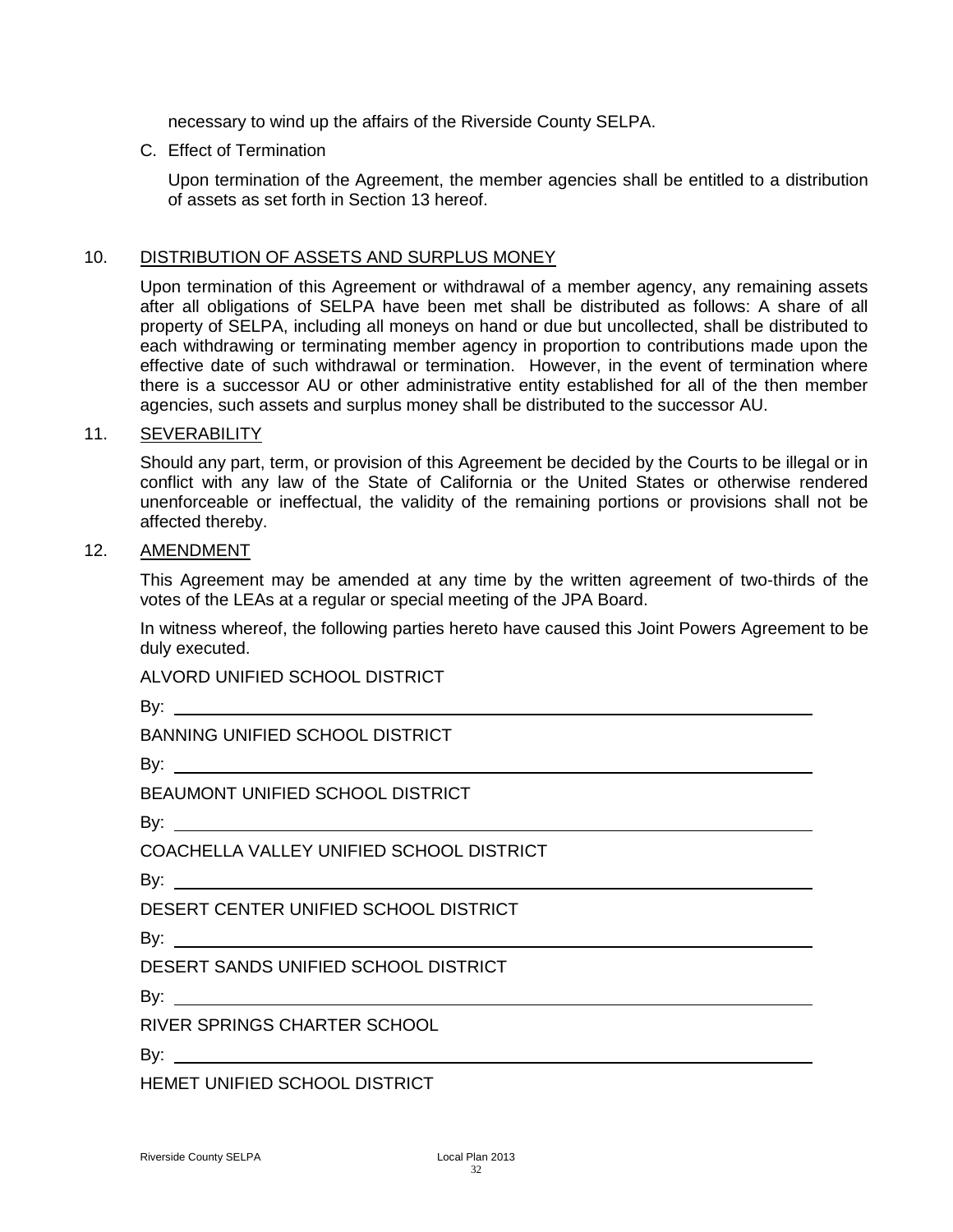necessary to wind up the affairs of the Riverside County SELPA.

C. Effect of Termination

Upon termination of the Agreement, the member agencies shall be entitled to a distribution of assets as set forth in Section 13 hereof.

### 10. DISTRIBUTION OF ASSETS AND SURPLUS MONEY

Upon termination of this Agreement or withdrawal of a member agency, any remaining assets after all obligations of SELPA have been met shall be distributed as follows: A share of all property of SELPA, including all moneys on hand or due but uncollected, shall be distributed to each withdrawing or terminating member agency in proportion to contributions made upon the effective date of such withdrawal or termination. However, in the event of termination where there is a successor AU or other administrative entity established for all of the then member agencies, such assets and surplus money shall be distributed to the successor AU.

### 11. SEVERABILITY

Should any part, term, or provision of this Agreement be decided by the Courts to be illegal or in conflict with any law of the State of California or the United States or otherwise rendered unenforceable or ineffectual, the validity of the remaining portions or provisions shall not be affected thereby.

### 12. AMENDMENT

This Agreement may be amended at any time by the written agreement of two-thirds of the votes of the LEAs at a regular or special meeting of the JPA Board.

In witness whereof, the following parties hereto have caused this Joint Powers Agreement to be duly executed.

ALVORD UNIFIED SCHOOL DISTRICT

By:

BANNING UNIFIED SCHOOL DISTRICT

By:

BEAUMONT UNIFIED SCHOOL DISTRICT

By: a control of the set of the set of the set of the set of the set of the set of the set of the set of the set of the set of the set of the set of the set of the set of the set of the set of the set of the set of the set

COACHELLA VALLEY UNIFIED SCHOOL DISTRICT

By:

DESERT CENTER UNIFIED SCHOOL DISTRICT

By:

DESERT SANDS UNIFIED SCHOOL DISTRICT

By: the state of the state of the state of the state of the state of the state of the state of the state of the state of the state of the state of the state of the state of the state of the state of the state of the state

RIVER SPRINGS CHARTER SCHOOL

By:

HEMET UNIFIED SCHOOL DISTRICT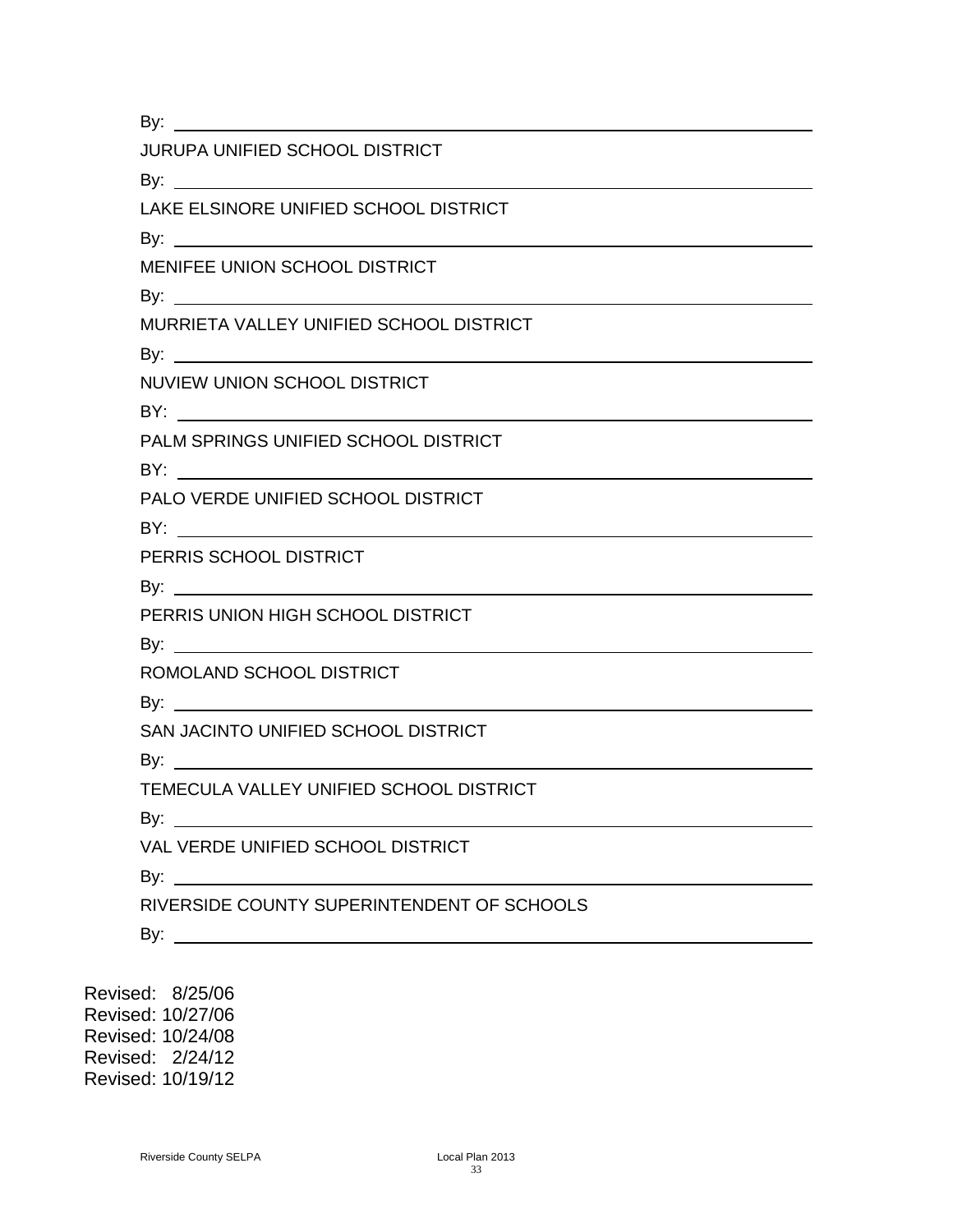By:

|  | JURUPA UNIFIED SCHOOL DISTRICT |
|--|--------------------------------|
|  |                                |

By:

LAKE ELSINORE UNIFIED SCHOOL DISTRICT

By:

MENIFEE UNION SCHOOL DISTRICT

By:

MURRIETA VALLEY UNIFIED SCHOOL DISTRICT

By: a strategy in the strategy of the strategy of the strategy of the strategy of the strategy of the strategy of the strategy of the strategy of the strategy of the strategy of the strategy of the strategy of the strategy

NUVIEW UNION SCHOOL DISTRICT

BY: the state of  $\mathsf{B}$ 

PALM SPRINGS UNIFIED SCHOOL DISTRICT

BY:

PALO VERDE UNIFIED SCHOOL DISTRICT

BY: the contract of the contract of the contract of the contract of the contract of the contract of the contract of the contract of the contract of the contract of the contract of the contract of the contract of the contra

PERRIS SCHOOL DISTRICT

By: a set of  $\mathsf{B}$ 

PERRIS UNION HIGH SCHOOL DISTRICT

By: the contract of the contract of the contract of the contract of the contract of the contract of the contract of the contract of the contract of the contract of the contract of the contract of the contract of the contra

ROMOLAND SCHOOL DISTRICT

By: **Example** 

SAN JACINTO UNIFIED SCHOOL DISTRICT

By:

TEMECULA VALLEY UNIFIED SCHOOL DISTRICT

By:

VAL VERDE UNIFIED SCHOOL DISTRICT

By:

RIVERSIDE COUNTY SUPERINTENDENT OF SCHOOLS

By:  $\qquad \qquad$ 

Revised: 8/25/06 Revised: 10/27/06 Revised: 10/24/08 Revised: 2/24/12 Revised: 10/19/12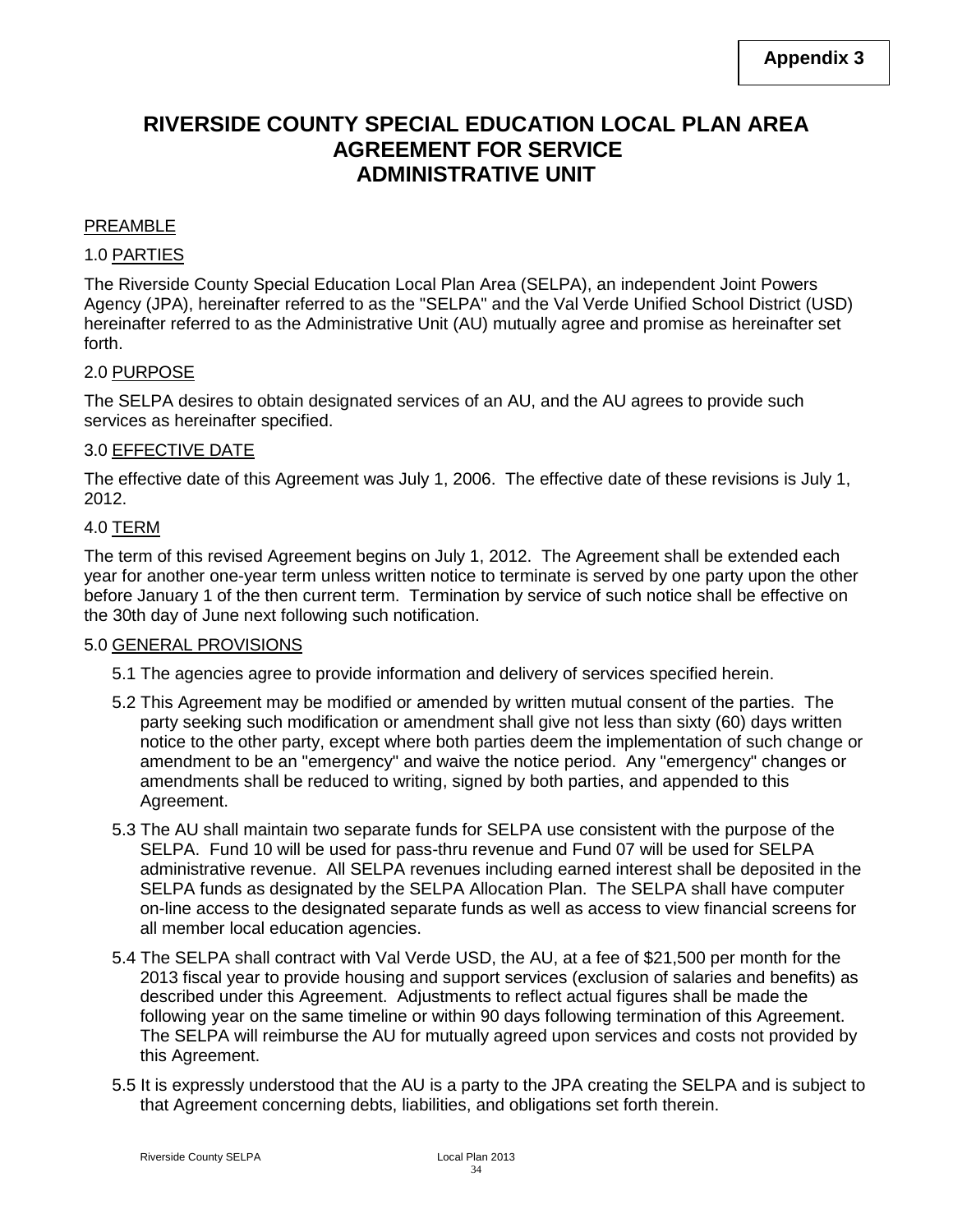# **RIVERSIDE COUNTY SPECIAL EDUCATION LOCAL PLAN AREA AGREEMENT FOR SERVICE ADMINISTRATIVE UNIT**

### PREAMBLE

### 1.0 PARTIES

The Riverside County Special Education Local Plan Area (SELPA), an independent Joint Powers Agency (JPA), hereinafter referred to as the "SELPA" and the Val Verde Unified School District (USD) hereinafter referred to as the Administrative Unit (AU) mutually agree and promise as hereinafter set forth.

### 2.0 PURPOSE

The SELPA desires to obtain designated services of an AU, and the AU agrees to provide such services as hereinafter specified.

### 3.0 EFFECTIVE DATE

The effective date of this Agreement was July 1, 2006. The effective date of these revisions is July 1, 2012.

### 4.0 TERM

The term of this revised Agreement begins on July 1, 2012. The Agreement shall be extended each year for another one-year term unless written notice to terminate is served by one party upon the other before January 1 of the then current term. Termination by service of such notice shall be effective on the 30th day of June next following such notification.

### 5.0 GENERAL PROVISIONS

- 5.1 The agencies agree to provide information and delivery of services specified herein.
- 5.2 This Agreement may be modified or amended by written mutual consent of the parties. The party seeking such modification or amendment shall give not less than sixty (60) days written notice to the other party, except where both parties deem the implementation of such change or amendment to be an "emergency" and waive the notice period. Any "emergency" changes or amendments shall be reduced to writing, signed by both parties, and appended to this Agreement.
- 5.3 The AU shall maintain two separate funds for SELPA use consistent with the purpose of the SELPA. Fund 10 will be used for pass-thru revenue and Fund 07 will be used for SELPA administrative revenue. All SELPA revenues including earned interest shall be deposited in the SELPA funds as designated by the SELPA Allocation Plan. The SELPA shall have computer on-line access to the designated separate funds as well as access to view financial screens for all member local education agencies.
- 5.4 The SELPA shall contract with Val Verde USD, the AU, at a fee of \$21,500 per month for the 2013 fiscal year to provide housing and support services (exclusion of salaries and benefits) as described under this Agreement. Adjustments to reflect actual figures shall be made the following year on the same timeline or within 90 days following termination of this Agreement. The SELPA will reimburse the AU for mutually agreed upon services and costs not provided by this Agreement.
- 5.5 It is expressly understood that the AU is a party to the JPA creating the SELPA and is subject to that Agreement concerning debts, liabilities, and obligations set forth therein.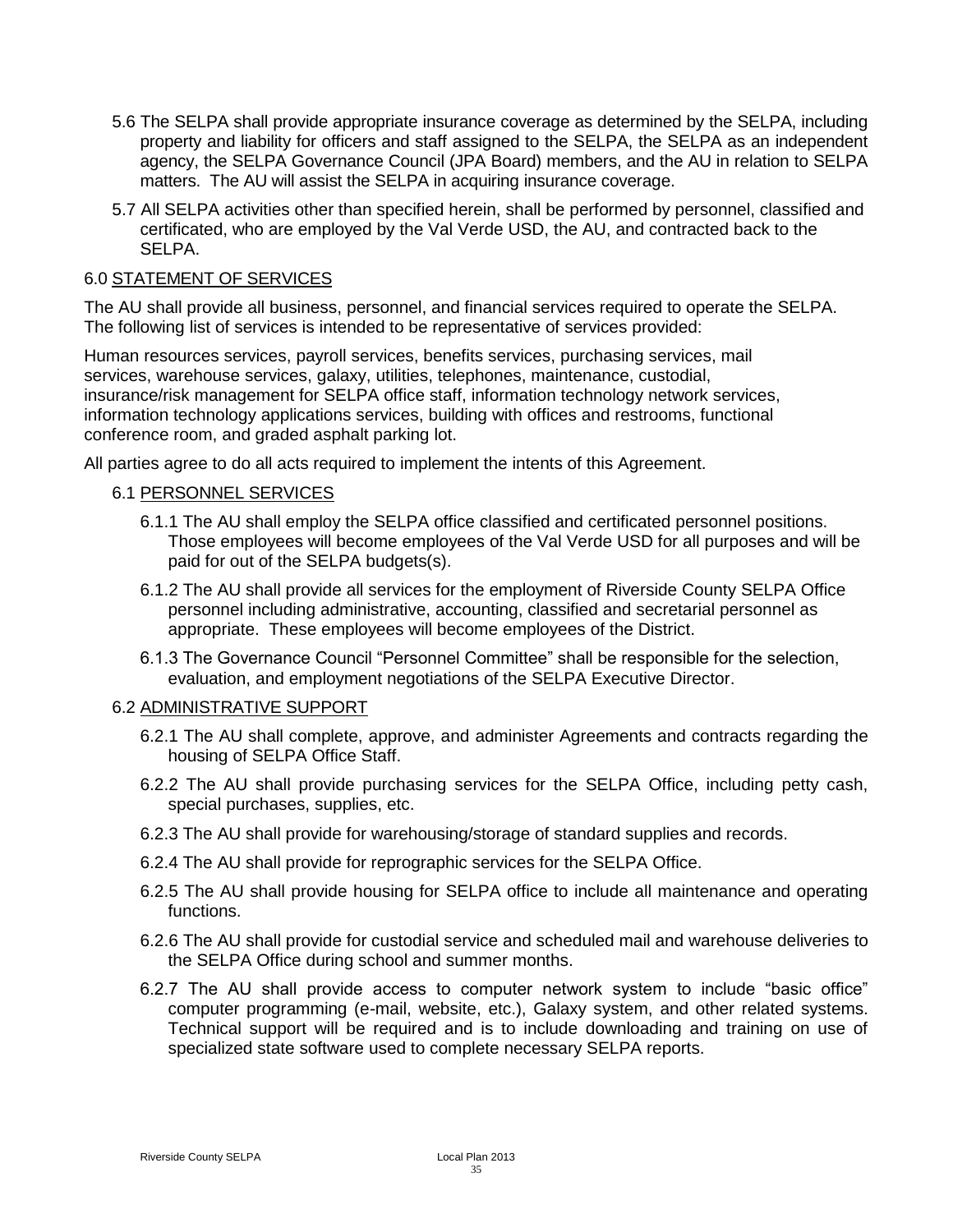- 5.6 The SELPA shall provide appropriate insurance coverage as determined by the SELPA, including property and liability for officers and staff assigned to the SELPA, the SELPA as an independent agency, the SELPA Governance Council (JPA Board) members, and the AU in relation to SELPA matters. The AU will assist the SELPA in acquiring insurance coverage.
- 5.7 All SELPA activities other than specified herein, shall be performed by personnel, classified and certificated, who are employed by the Val Verde USD, the AU, and contracted back to the SELPA.

### 6.0 STATEMENT OF SERVICES

The AU shall provide all business, personnel, and financial services required to operate the SELPA. The following list of services is intended to be representative of services provided:

Human resources services, payroll services, benefits services, purchasing services, mail services, warehouse services, galaxy, utilities, telephones, maintenance, custodial, insurance/risk management for SELPA office staff, information technology network services, information technology applications services, building with offices and restrooms, functional conference room, and graded asphalt parking lot.

All parties agree to do all acts required to implement the intents of this Agreement.

### 6.1 PERSONNEL SERVICES

- 6.1.1 The AU shall employ the SELPA office classified and certificated personnel positions. Those employees will become employees of the Val Verde USD for all purposes and will be paid for out of the SELPA budgets(s).
- 6.1.2 The AU shall provide all services for the employment of Riverside County SELPA Office personnel including administrative, accounting, classified and secretarial personnel as appropriate. These employees will become employees of the District.
- 6.1.3 The Governance Council "Personnel Committee" shall be responsible for the selection, evaluation, and employment negotiations of the SELPA Executive Director.

### 6.2 ADMINISTRATIVE SUPPORT

- 6.2.1 The AU shall complete, approve, and administer Agreements and contracts regarding the housing of SELPA Office Staff.
- 6.2.2 The AU shall provide purchasing services for the SELPA Office, including petty cash, special purchases, supplies, etc.
- 6.2.3 The AU shall provide for warehousing/storage of standard supplies and records.
- 6.2.4 The AU shall provide for reprographic services for the SELPA Office.
- 6.2.5 The AU shall provide housing for SELPA office to include all maintenance and operating functions.
- 6.2.6 The AU shall provide for custodial service and scheduled mail and warehouse deliveries to the SELPA Office during school and summer months.
- 6.2.7 The AU shall provide access to computer network system to include "basic office" computer programming (e-mail, website, etc.), Galaxy system, and other related systems. Technical support will be required and is to include downloading and training on use of specialized state software used to complete necessary SELPA reports.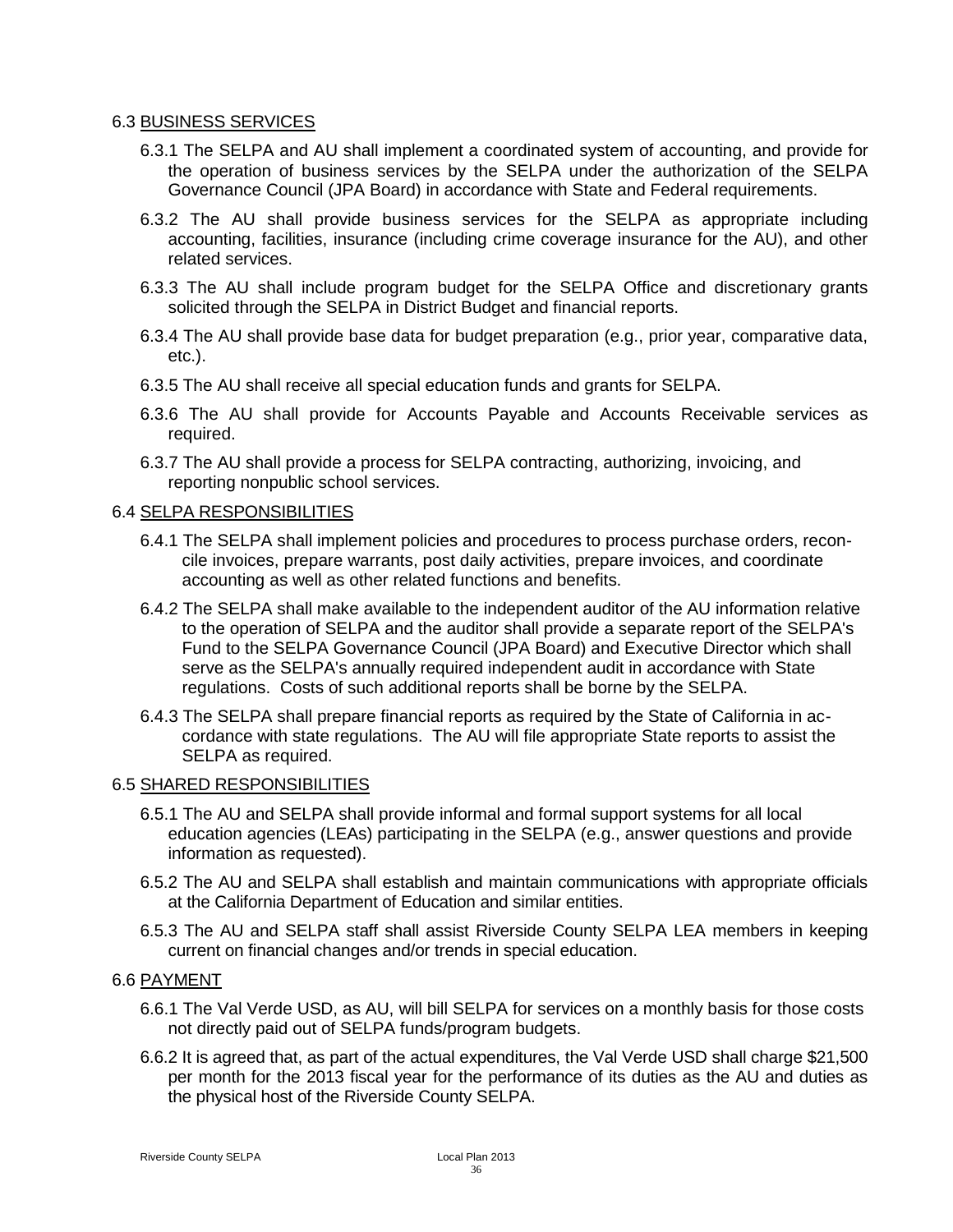#### 6.3 BUSINESS SERVICES

- 6.3.1 The SELPA and AU shall implement a coordinated system of accounting, and provide for the operation of business services by the SELPA under the authorization of the SELPA Governance Council (JPA Board) in accordance with State and Federal requirements.
- 6.3.2 The AU shall provide business services for the SELPA as appropriate including accounting, facilities, insurance (including crime coverage insurance for the AU), and other related services.
- 6.3.3 The AU shall include program budget for the SELPA Office and discretionary grants solicited through the SELPA in District Budget and financial reports.
- 6.3.4 The AU shall provide base data for budget preparation (e.g., prior year, comparative data, etc.).
- 6.3.5 The AU shall receive all special education funds and grants for SELPA.
- 6.3.6 The AU shall provide for Accounts Payable and Accounts Receivable services as required.
- 6.3.7 The AU shall provide a process for SELPA contracting, authorizing, invoicing, and reporting nonpublic school services.

### 6.4 SELPA RESPONSIBILITIES

- 6.4.1 The SELPA shall implement policies and procedures to process purchase orders, reconcile invoices, prepare warrants, post daily activities, prepare invoices, and coordinate accounting as well as other related functions and benefits.
- 6.4.2 The SELPA shall make available to the independent auditor of the AU information relative to the operation of SELPA and the auditor shall provide a separate report of the SELPA's Fund to the SELPA Governance Council (JPA Board) and Executive Director which shall serve as the SELPA's annually required independent audit in accordance with State regulations. Costs of such additional reports shall be borne by the SELPA.
- 6.4.3 The SELPA shall prepare financial reports as required by the State of California in accordance with state regulations. The AU will file appropriate State reports to assist the SELPA as required.

### 6.5 SHARED RESPONSIBILITIES

- 6.5.1 The AU and SELPA shall provide informal and formal support systems for all local education agencies (LEAs) participating in the SELPA (e.g., answer questions and provide information as requested).
- 6.5.2 The AU and SELPA shall establish and maintain communications with appropriate officials at the California Department of Education and similar entities.
- 6.5.3 The AU and SELPA staff shall assist Riverside County SELPA LEA members in keeping current on financial changes and/or trends in special education.

### 6.6 PAYMENT

- 6.6.1 The Val Verde USD, as AU, will bill SELPA for services on a monthly basis for those costs not directly paid out of SELPA funds/program budgets.
- 6.6.2 It is agreed that, as part of the actual expenditures, the Val Verde USD shall charge \$21,500 per month for the 2013 fiscal year for the performance of its duties as the AU and duties as the physical host of the Riverside County SELPA.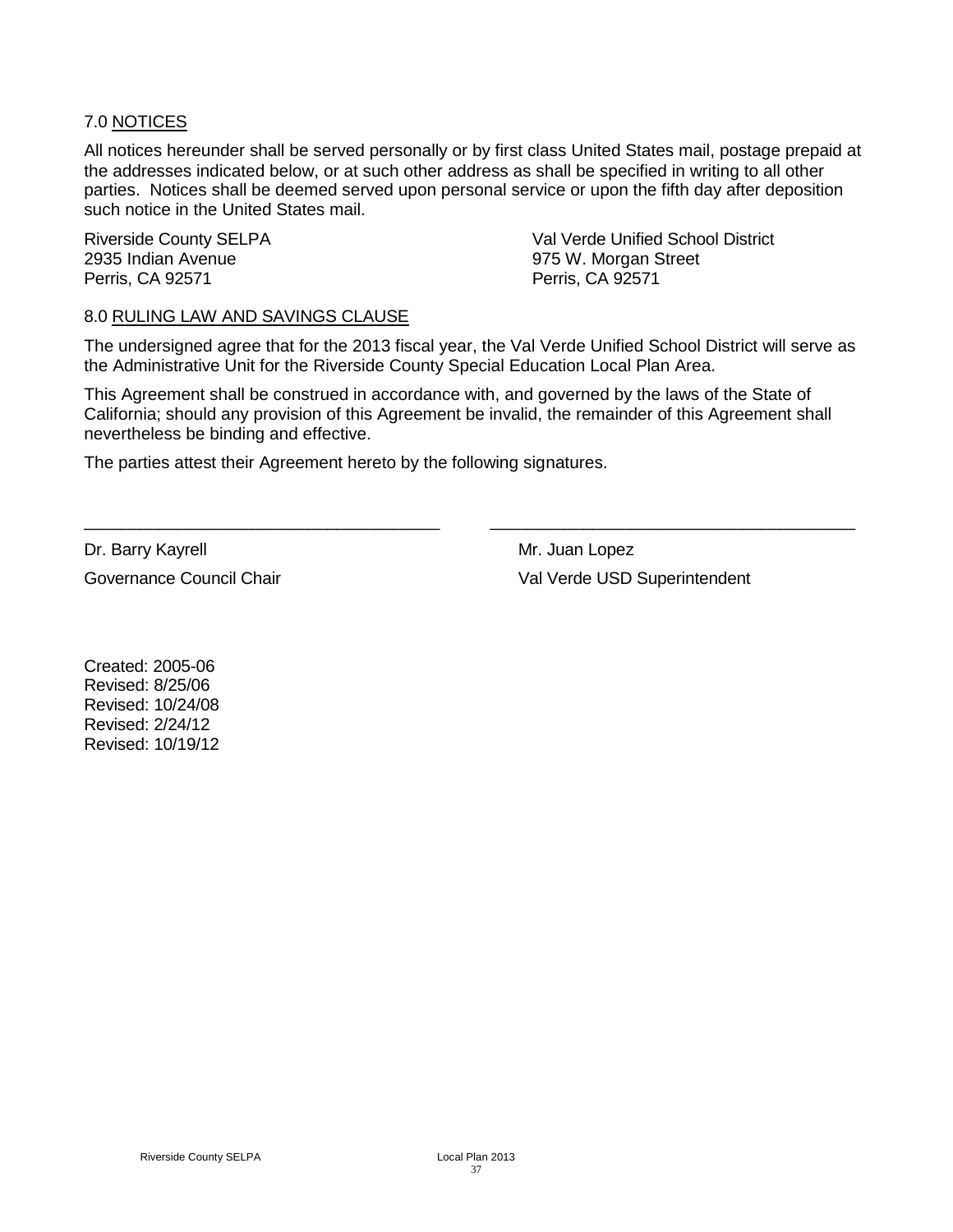### 7.0 NOTICES

All notices hereunder shall be served personally or by first class United States mail, postage prepaid at the addresses indicated below, or at such other address as shall be specified in writing to all other parties. Notices shall be deemed served upon personal service or upon the fifth day after deposition such notice in the United States mail.

2935 Indian Avenue 975 W. Morgan Street Perris, CA 92571 Perris, CA 92571

Riverside County SELPA Val Verde Unified School District

#### 8.0 RULING LAW AND SAVINGS CLAUSE

The undersigned agree that for the 2013 fiscal year, the Val Verde Unified School District will serve as the Administrative Unit for the Riverside County Special Education Local Plan Area.

This Agreement shall be construed in accordance with, and governed by the laws of the State of California; should any provision of this Agreement be invalid, the remainder of this Agreement shall nevertheless be binding and effective.

\_\_\_\_\_\_\_\_\_\_\_\_\_\_\_\_\_\_\_\_\_\_\_\_\_\_\_\_\_\_\_\_\_\_\_\_\_\_ \_\_\_\_\_\_\_\_\_\_\_\_\_\_\_\_\_\_\_\_\_\_\_\_\_\_\_\_\_\_\_\_\_\_\_\_\_\_\_

The parties attest their Agreement hereto by the following signatures.

Dr. Barry Kayrell Mr. Juan Lopez

Governance Council Chair **Val Verde USD** Superintendent

Created: 2005-06 Revised: 8/25/06 Revised: 10/24/08 Revised: 2/24/12 Revised: 10/19/12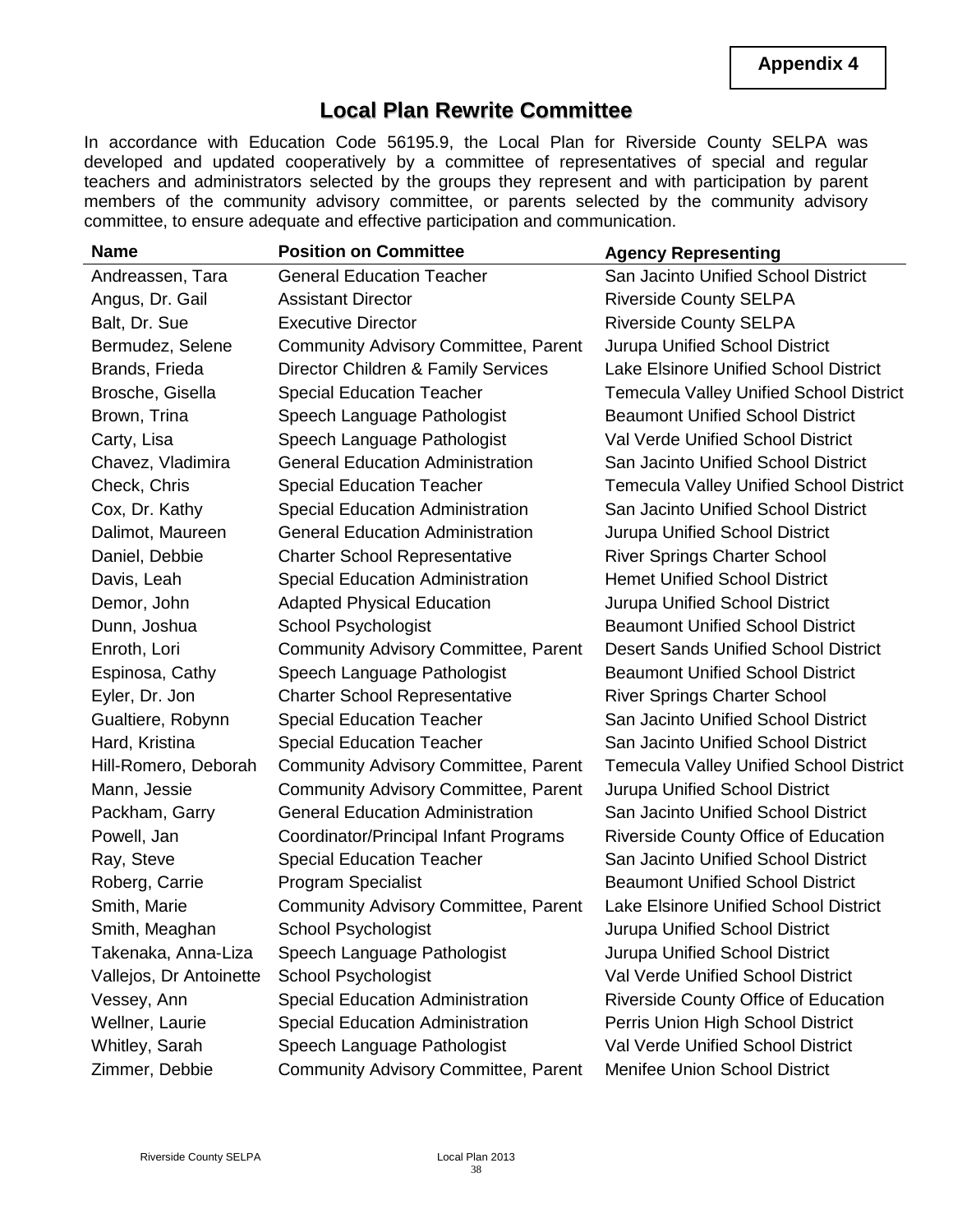# **Local Plan Rewrite Committee**

In accordance with Education Code 56195.9, the Local Plan for Riverside County SELPA was developed and updated cooperatively by a committee of representatives of special and regular teachers and administrators selected by the groups they represent and with participation by parent members of the community advisory committee, or parents selected by the community advisory committee, to ensure adequate and effective participation and communication.

| Name                    | <b>Position on Committee</b>                | <b>Agency Representing</b>                     |
|-------------------------|---------------------------------------------|------------------------------------------------|
| Andreassen, Tara        | <b>General Education Teacher</b>            | San Jacinto Unified School District            |
| Angus, Dr. Gail         | <b>Assistant Director</b>                   | <b>Riverside County SELPA</b>                  |
| Balt, Dr. Sue           | <b>Executive Director</b>                   | <b>Riverside County SELPA</b>                  |
| Bermudez, Selene        | <b>Community Advisory Committee, Parent</b> | Jurupa Unified School District                 |
| Brands, Frieda          | Director Children & Family Services         | <b>Lake Elsinore Unified School District</b>   |
| Brosche, Gisella        | <b>Special Education Teacher</b>            | <b>Temecula Valley Unified School District</b> |
| Brown, Trina            | Speech Language Pathologist                 | <b>Beaumont Unified School District</b>        |
| Carty, Lisa             | Speech Language Pathologist                 | Val Verde Unified School District              |
| Chavez, Vladimira       | <b>General Education Administration</b>     | San Jacinto Unified School District            |
| Check, Chris            | <b>Special Education Teacher</b>            | <b>Temecula Valley Unified School District</b> |
| Cox, Dr. Kathy          | <b>Special Education Administration</b>     | San Jacinto Unified School District            |
| Dalimot, Maureen        | <b>General Education Administration</b>     | <b>Jurupa Unified School District</b>          |
| Daniel, Debbie          | <b>Charter School Representative</b>        | <b>River Springs Charter School</b>            |
| Davis, Leah             | <b>Special Education Administration</b>     | <b>Hemet Unified School District</b>           |
| Demor, John             | <b>Adapted Physical Education</b>           | Jurupa Unified School District                 |
| Dunn, Joshua            | School Psychologist                         | <b>Beaumont Unified School District</b>        |
| Enroth, Lori            | <b>Community Advisory Committee, Parent</b> | <b>Desert Sands Unified School District</b>    |
| Espinosa, Cathy         | Speech Language Pathologist                 | <b>Beaumont Unified School District</b>        |
| Eyler, Dr. Jon          | <b>Charter School Representative</b>        | <b>River Springs Charter School</b>            |
| Gualtiere, Robynn       | <b>Special Education Teacher</b>            | San Jacinto Unified School District            |
| Hard, Kristina          | <b>Special Education Teacher</b>            | San Jacinto Unified School District            |
| Hill-Romero, Deborah    | <b>Community Advisory Committee, Parent</b> | <b>Temecula Valley Unified School District</b> |
| Mann, Jessie            | <b>Community Advisory Committee, Parent</b> | <b>Jurupa Unified School District</b>          |
| Packham, Garry          | <b>General Education Administration</b>     | San Jacinto Unified School District            |
| Powell, Jan             | Coordinator/Principal Infant Programs       | <b>Riverside County Office of Education</b>    |
| Ray, Steve              | <b>Special Education Teacher</b>            | San Jacinto Unified School District            |
| Roberg, Carrie          | <b>Program Specialist</b>                   | <b>Beaumont Unified School District</b>        |
| Smith, Marie            | <b>Community Advisory Committee, Parent</b> | Lake Elsinore Unified School District          |
| Smith, Meaghan          | School Psychologist                         | Jurupa Unified School District                 |
| Takenaka, Anna-Liza     | Speech Language Pathologist                 | <b>Jurupa Unified School District</b>          |
| Vallejos, Dr Antoinette | School Psychologist                         | Val Verde Unified School District              |
| Vessey, Ann             | <b>Special Education Administration</b>     | <b>Riverside County Office of Education</b>    |
| Wellner, Laurie         | <b>Special Education Administration</b>     | Perris Union High School District              |
| Whitley, Sarah          | Speech Language Pathologist                 | Val Verde Unified School District              |
| Zimmer, Debbie          | <b>Community Advisory Committee, Parent</b> | <b>Menifee Union School District</b>           |